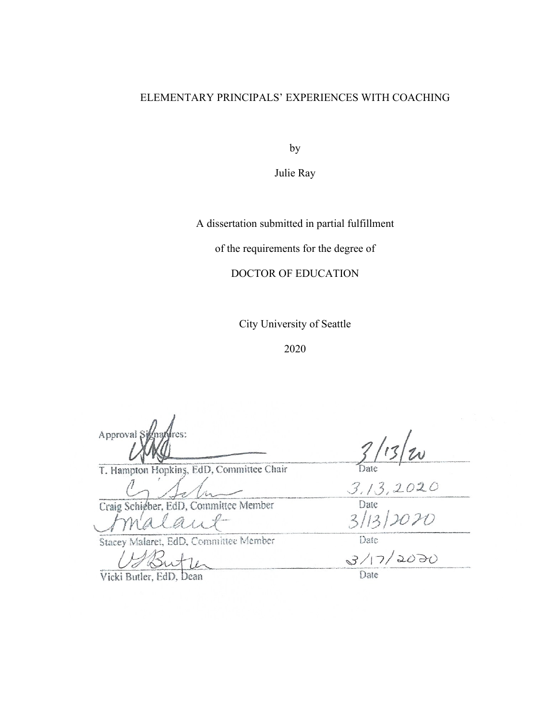# ELEMENTARY PRINCIPALS' EXPERIENCES WITH COACHING

by

Julie Ray

A dissertation submitted in partial fulfillment

of the requirements for the degree of

DOCTOR OF EDUCATION

City University of Seattle

2020

Approval S  $\frac{1}{2}$ 

T. Hampton Hopkins, EdD, Committee Chair

Craig Schieber, EdD, Committee Member

 $J$ maiain  $\frac{1}{2}$ 

Stacey Malaret, EdD, Committee Member

Vicki Butler, EdD, Dean Date

 $\frac{1}{213.2020}$ 

 $3/17/2070$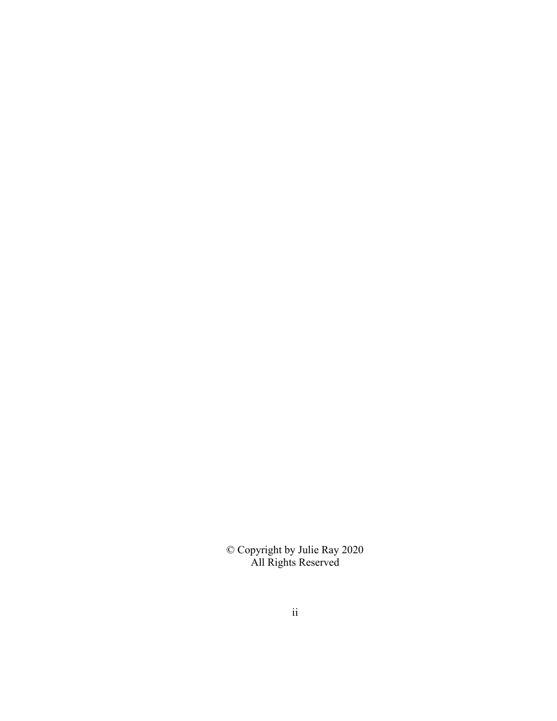© Copyright by Julie Ray 2020 All Rights Reserved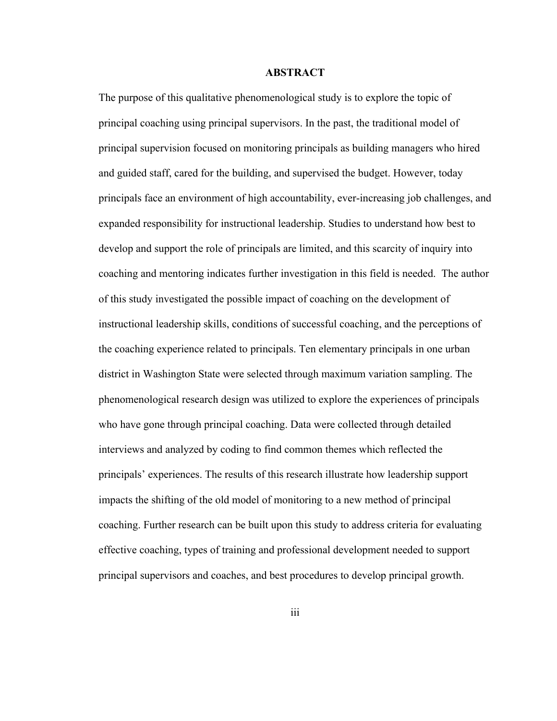## **ABSTRACT**

The purpose of this qualitative phenomenological study is to explore the topic of principal coaching using principal supervisors. In the past, the traditional model of principal supervision focused on monitoring principals as building managers who hired and guided staff, cared for the building, and supervised the budget. However, today principals face an environment of high accountability, ever-increasing job challenges, and expanded responsibility for instructional leadership. Studies to understand how best to develop and support the role of principals are limited, and this scarcity of inquiry into coaching and mentoring indicates further investigation in this field is needed. The author of this study investigated the possible impact of coaching on the development of instructional leadership skills, conditions of successful coaching, and the perceptions of the coaching experience related to principals. Ten elementary principals in one urban district in Washington State were selected through maximum variation sampling. The phenomenological research design was utilized to explore the experiences of principals who have gone through principal coaching. Data were collected through detailed interviews and analyzed by coding to find common themes which reflected the principals' experiences. The results of this research illustrate how leadership support impacts the shifting of the old model of monitoring to a new method of principal coaching. Further research can be built upon this study to address criteria for evaluating effective coaching, types of training and professional development needed to support principal supervisors and coaches, and best procedures to develop principal growth.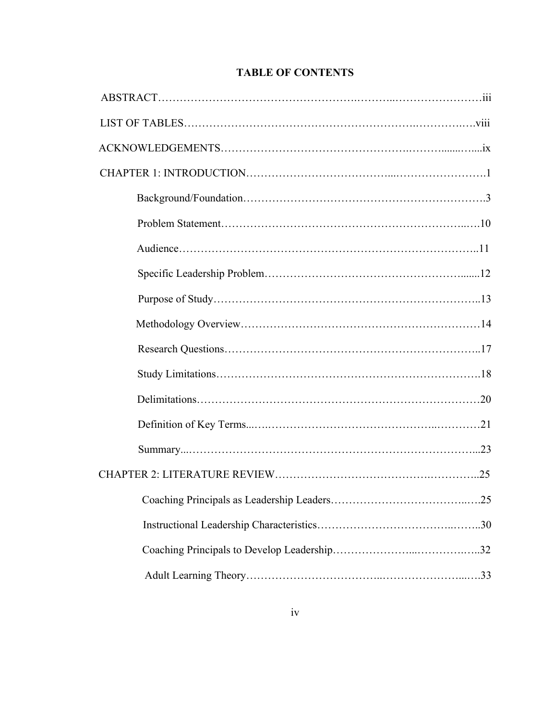|  | <b>TABLE OF CONTENTS</b> |
|--|--------------------------|
|--|--------------------------|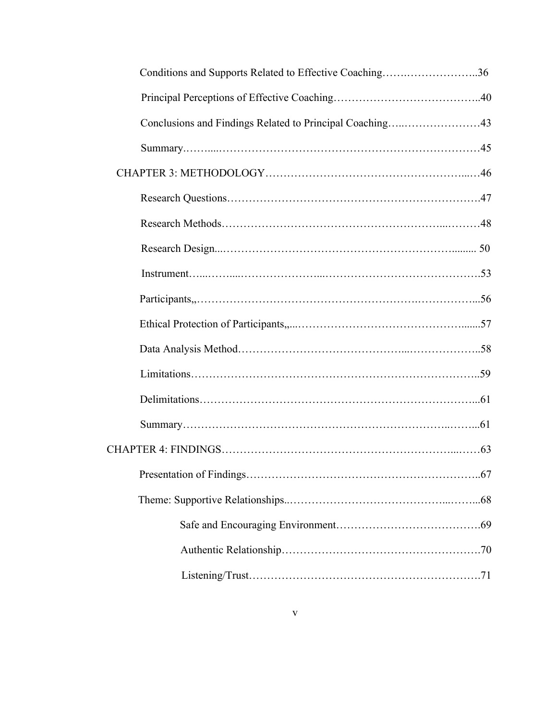| Conditions and Supports Related to Effective Coaching36  |
|----------------------------------------------------------|
|                                                          |
| Conclusions and Findings Related to Principal Coaching43 |
|                                                          |
|                                                          |
|                                                          |
|                                                          |
|                                                          |
|                                                          |
|                                                          |
|                                                          |
|                                                          |
|                                                          |
|                                                          |
|                                                          |
|                                                          |
|                                                          |
|                                                          |
|                                                          |
|                                                          |
|                                                          |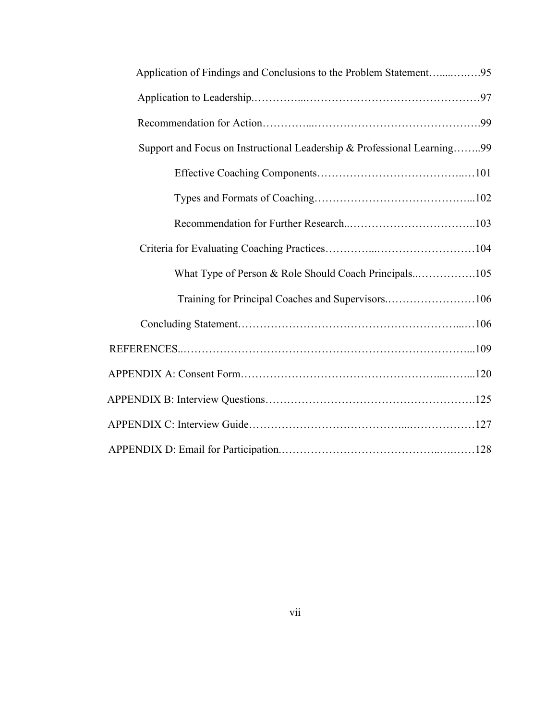| Application of Findings and Conclusions to the Problem Statement95      |
|-------------------------------------------------------------------------|
|                                                                         |
|                                                                         |
| Support and Focus on Instructional Leadership & Professional Learning99 |
|                                                                         |
|                                                                         |
|                                                                         |
|                                                                         |
| What Type of Person & Role Should Coach Principals105                   |
| Training for Principal Coaches and Supervisors106                       |
|                                                                         |
|                                                                         |
|                                                                         |
|                                                                         |
|                                                                         |
|                                                                         |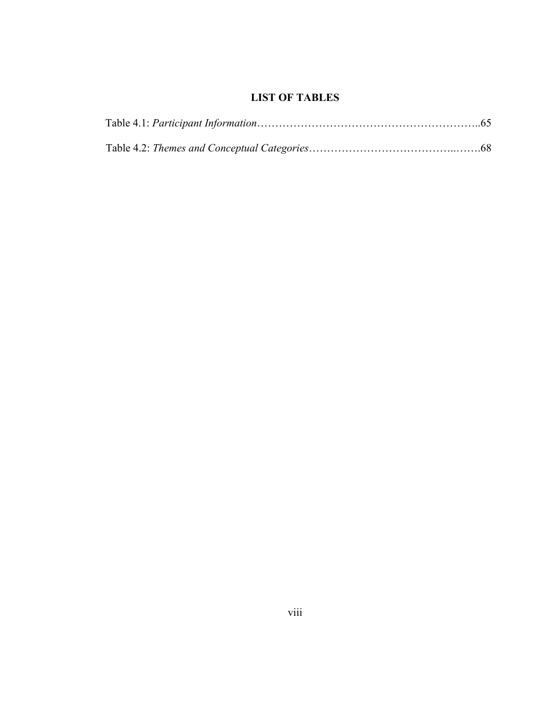# **LIST OF TABLES**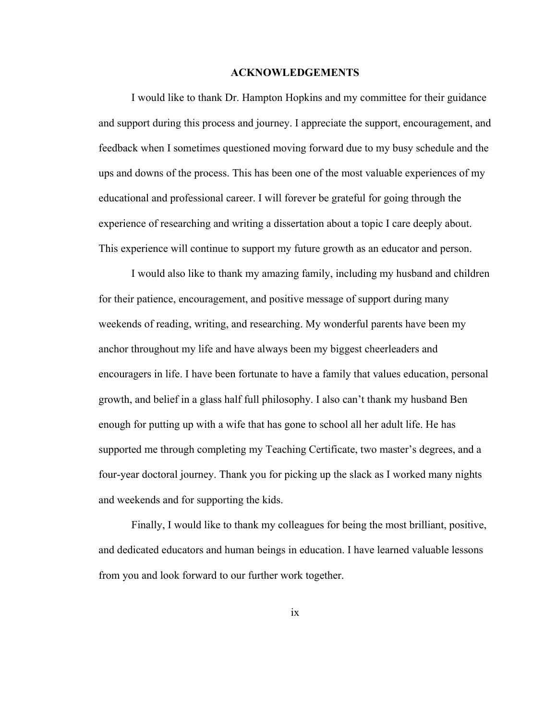## **ACKNOWLEDGEMENTS**

I would like to thank Dr. Hampton Hopkins and my committee for their guidance and support during this process and journey. I appreciate the support, encouragement, and feedback when I sometimes questioned moving forward due to my busy schedule and the ups and downs of the process. This has been one of the most valuable experiences of my educational and professional career. I will forever be grateful for going through the experience of researching and writing a dissertation about a topic I care deeply about. This experience will continue to support my future growth as an educator and person.

I would also like to thank my amazing family, including my husband and children for their patience, encouragement, and positive message of support during many weekends of reading, writing, and researching. My wonderful parents have been my anchor throughout my life and have always been my biggest cheerleaders and encouragers in life. I have been fortunate to have a family that values education, personal growth, and belief in a glass half full philosophy. I also can't thank my husband Ben enough for putting up with a wife that has gone to school all her adult life. He has supported me through completing my Teaching Certificate, two master's degrees, and a four-year doctoral journey. Thank you for picking up the slack as I worked many nights and weekends and for supporting the kids.

Finally, I would like to thank my colleagues for being the most brilliant, positive, and dedicated educators and human beings in education. I have learned valuable lessons from you and look forward to our further work together.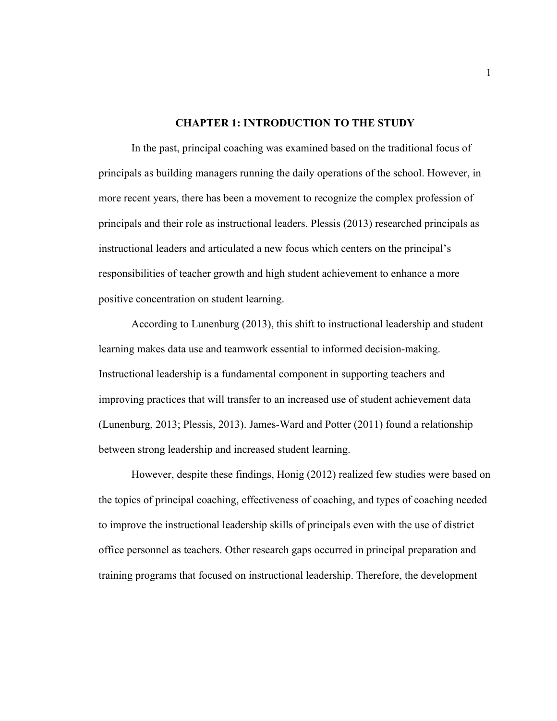## **CHAPTER 1: INTRODUCTION TO THE STUDY**

In the past, principal coaching was examined based on the traditional focus of principals as building managers running the daily operations of the school. However, in more recent years, there has been a movement to recognize the complex profession of principals and their role as instructional leaders. Plessis (2013) researched principals as instructional leaders and articulated a new focus which centers on the principal's responsibilities of teacher growth and high student achievement to enhance a more positive concentration on student learning.

According to Lunenburg (2013), this shift to instructional leadership and student learning makes data use and teamwork essential to informed decision-making. Instructional leadership is a fundamental component in supporting teachers and improving practices that will transfer to an increased use of student achievement data (Lunenburg, 2013; Plessis, 2013). James-Ward and Potter (2011) found a relationship between strong leadership and increased student learning.

However, despite these findings, Honig (2012) realized few studies were based on the topics of principal coaching, effectiveness of coaching, and types of coaching needed to improve the instructional leadership skills of principals even with the use of district office personnel as teachers. Other research gaps occurred in principal preparation and training programs that focused on instructional leadership. Therefore, the development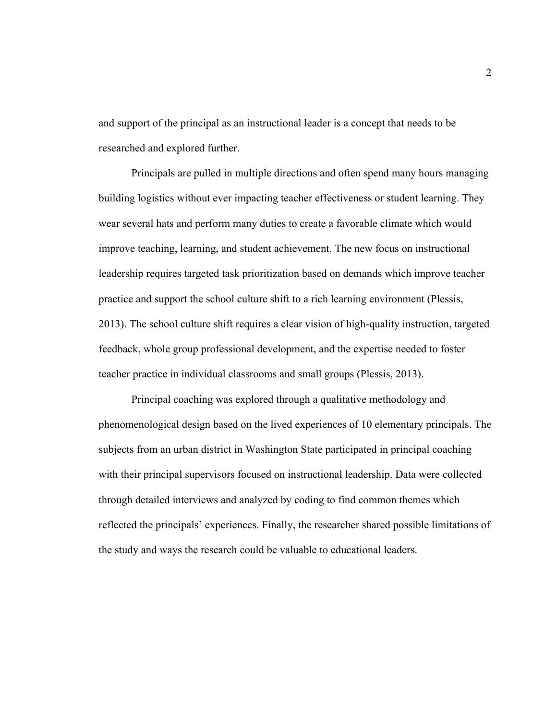and support of the principal as an instructional leader is a concept that needs to be researched and explored further.

Principals are pulled in multiple directions and often spend many hours managing building logistics without ever impacting teacher effectiveness or student learning. They wear several hats and perform many duties to create a favorable climate which would improve teaching, learning, and student achievement. The new focus on instructional leadership requires targeted task prioritization based on demands which improve teacher practice and support the school culture shift to a rich learning environment (Plessis, 2013). The school culture shift requires a clear vision of high-quality instruction, targeted feedback, whole group professional development, and the expertise needed to foster teacher practice in individual classrooms and small groups (Plessis, 2013).

Principal coaching was explored through a qualitative methodology and phenomenological design based on the lived experiences of 10 elementary principals. The subjects from an urban district in Washington State participated in principal coaching with their principal supervisors focused on instructional leadership. Data were collected through detailed interviews and analyzed by coding to find common themes which reflected the principals' experiences. Finally, the researcher shared possible limitations of the study and ways the research could be valuable to educational leaders.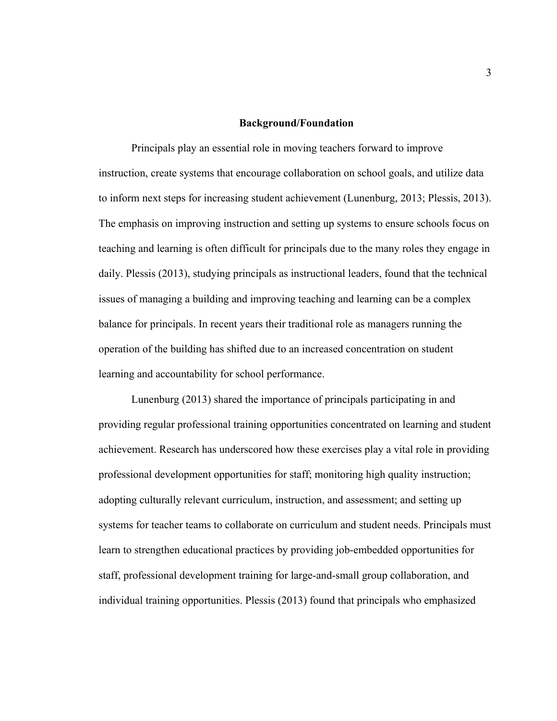## **Background/Foundation**

Principals play an essential role in moving teachers forward to improve instruction, create systems that encourage collaboration on school goals, and utilize data to inform next steps for increasing student achievement (Lunenburg, 2013; Plessis, 2013). The emphasis on improving instruction and setting up systems to ensure schools focus on teaching and learning is often difficult for principals due to the many roles they engage in daily. Plessis (2013), studying principals as instructional leaders, found that the technical issues of managing a building and improving teaching and learning can be a complex balance for principals. In recent years their traditional role as managers running the operation of the building has shifted due to an increased concentration on student learning and accountability for school performance.

Lunenburg (2013) shared the importance of principals participating in and providing regular professional training opportunities concentrated on learning and student achievement. Research has underscored how these exercises play a vital role in providing professional development opportunities for staff; monitoring high quality instruction; adopting culturally relevant curriculum, instruction, and assessment; and setting up systems for teacher teams to collaborate on curriculum and student needs. Principals must learn to strengthen educational practices by providing job-embedded opportunities for staff, professional development training for large-and-small group collaboration, and individual training opportunities. Plessis (2013) found that principals who emphasized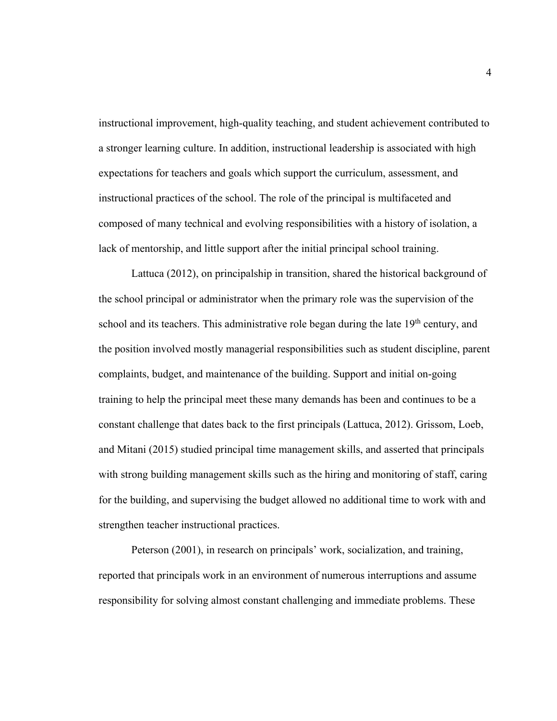instructional improvement, high-quality teaching, and student achievement contributed to a stronger learning culture. In addition, instructional leadership is associated with high expectations for teachers and goals which support the curriculum, assessment, and instructional practices of the school. The role of the principal is multifaceted and composed of many technical and evolving responsibilities with a history of isolation, a lack of mentorship, and little support after the initial principal school training.

Lattuca (2012), on principalship in transition, shared the historical background of the school principal or administrator when the primary role was the supervision of the school and its teachers. This administrative role began during the late 19<sup>th</sup> century, and the position involved mostly managerial responsibilities such as student discipline, parent complaints, budget, and maintenance of the building. Support and initial on-going training to help the principal meet these many demands has been and continues to be a constant challenge that dates back to the first principals (Lattuca, 2012). Grissom, Loeb, and Mitani (2015) studied principal time management skills, and asserted that principals with strong building management skills such as the hiring and monitoring of staff, caring for the building, and supervising the budget allowed no additional time to work with and strengthen teacher instructional practices.

Peterson (2001), in research on principals' work, socialization, and training, reported that principals work in an environment of numerous interruptions and assume responsibility for solving almost constant challenging and immediate problems. These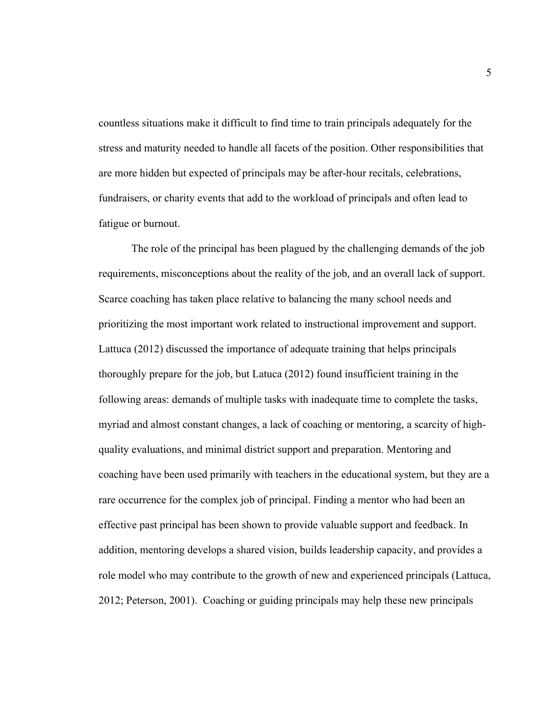countless situations make it difficult to find time to train principals adequately for the stress and maturity needed to handle all facets of the position. Other responsibilities that are more hidden but expected of principals may be after-hour recitals, celebrations, fundraisers, or charity events that add to the workload of principals and often lead to fatigue or burnout.

The role of the principal has been plagued by the challenging demands of the job requirements, misconceptions about the reality of the job, and an overall lack of support. Scarce coaching has taken place relative to balancing the many school needs and prioritizing the most important work related to instructional improvement and support. Lattuca (2012) discussed the importance of adequate training that helps principals thoroughly prepare for the job, but Latuca (2012) found insufficient training in the following areas: demands of multiple tasks with inadequate time to complete the tasks, myriad and almost constant changes, a lack of coaching or mentoring, a scarcity of highquality evaluations, and minimal district support and preparation. Mentoring and coaching have been used primarily with teachers in the educational system, but they are a rare occurrence for the complex job of principal. Finding a mentor who had been an effective past principal has been shown to provide valuable support and feedback. In addition, mentoring develops a shared vision, builds leadership capacity, and provides a role model who may contribute to the growth of new and experienced principals (Lattuca, 2012; Peterson, 2001). Coaching or guiding principals may help these new principals

5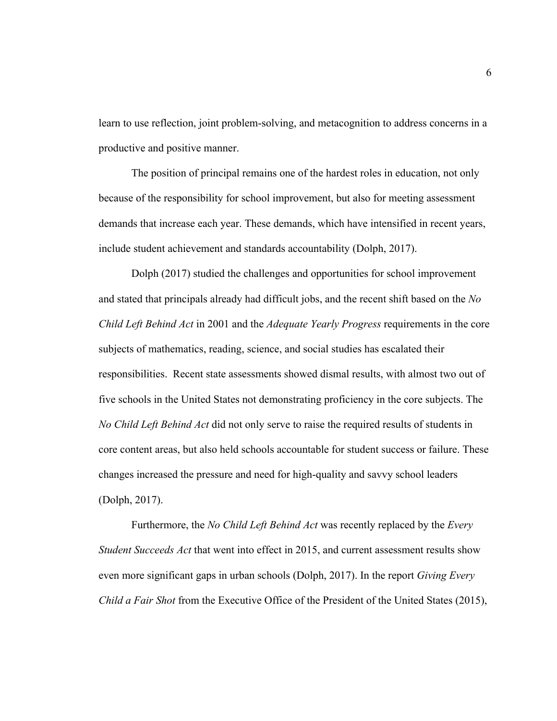learn to use reflection, joint problem-solving, and metacognition to address concerns in a productive and positive manner.

The position of principal remains one of the hardest roles in education, not only because of the responsibility for school improvement, but also for meeting assessment demands that increase each year. These demands, which have intensified in recent years, include student achievement and standards accountability (Dolph, 2017).

Dolph (2017) studied the challenges and opportunities for school improvement and stated that principals already had difficult jobs, and the recent shift based on the *No Child Left Behind Act* in 2001 and the *Adequate Yearly Progress* requirements in the core subjects of mathematics, reading, science, and social studies has escalated their responsibilities. Recent state assessments showed dismal results, with almost two out of five schools in the United States not demonstrating proficiency in the core subjects. The *No Child Left Behind Act* did not only serve to raise the required results of students in core content areas, but also held schools accountable for student success or failure. These changes increased the pressure and need for high-quality and savvy school leaders (Dolph, 2017).

Furthermore, the *No Child Left Behind Act* was recently replaced by the *Every Student Succeeds Act* that went into effect in 2015, and current assessment results show even more significant gaps in urban schools (Dolph, 2017). In the report *Giving Every Child a Fair Shot* from the Executive Office of the President of the United States (2015),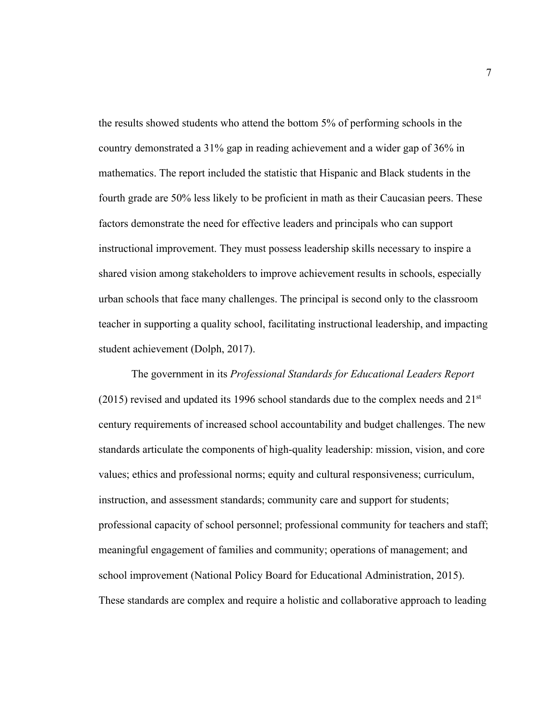the results showed students who attend the bottom 5% of performing schools in the country demonstrated a 31% gap in reading achievement and a wider gap of 36% in mathematics. The report included the statistic that Hispanic and Black students in the fourth grade are 50% less likely to be proficient in math as their Caucasian peers. These factors demonstrate the need for effective leaders and principals who can support instructional improvement. They must possess leadership skills necessary to inspire a shared vision among stakeholders to improve achievement results in schools, especially urban schools that face many challenges. The principal is second only to the classroom teacher in supporting a quality school, facilitating instructional leadership, and impacting student achievement (Dolph, 2017).

The government in its *Professional Standards for Educational Leaders Report*  $(2015)$  revised and updated its 1996 school standards due to the complex needs and  $21<sup>st</sup>$ century requirements of increased school accountability and budget challenges. The new standards articulate the components of high-quality leadership: mission, vision, and core values; ethics and professional norms; equity and cultural responsiveness; curriculum, instruction, and assessment standards; community care and support for students; professional capacity of school personnel; professional community for teachers and staff; meaningful engagement of families and community; operations of management; and school improvement (National Policy Board for Educational Administration, 2015). These standards are complex and require a holistic and collaborative approach to leading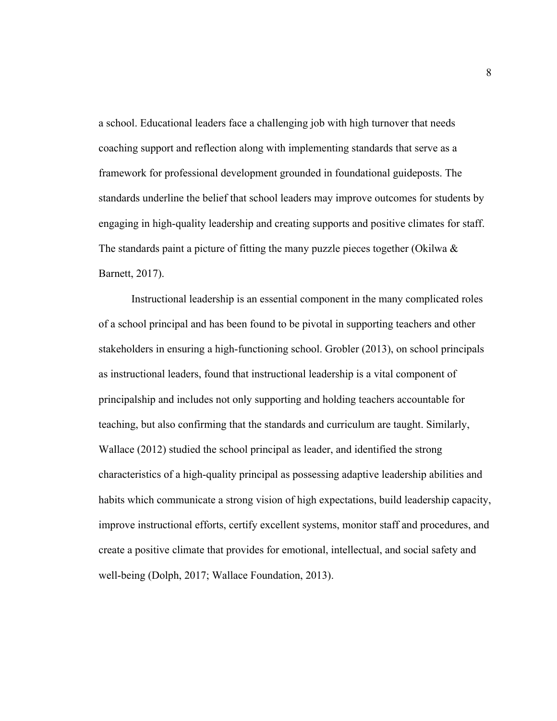a school. Educational leaders face a challenging job with high turnover that needs coaching support and reflection along with implementing standards that serve as a framework for professional development grounded in foundational guideposts. The standards underline the belief that school leaders may improve outcomes for students by engaging in high-quality leadership and creating supports and positive climates for staff. The standards paint a picture of fitting the many puzzle pieces together (Okilwa  $\&$ Barnett, 2017).

Instructional leadership is an essential component in the many complicated roles of a school principal and has been found to be pivotal in supporting teachers and other stakeholders in ensuring a high-functioning school. Grobler (2013), on school principals as instructional leaders, found that instructional leadership is a vital component of principalship and includes not only supporting and holding teachers accountable for teaching, but also confirming that the standards and curriculum are taught. Similarly, Wallace (2012) studied the school principal as leader, and identified the strong characteristics of a high-quality principal as possessing adaptive leadership abilities and habits which communicate a strong vision of high expectations, build leadership capacity, improve instructional efforts, certify excellent systems, monitor staff and procedures, and create a positive climate that provides for emotional, intellectual, and social safety and well-being (Dolph, 2017; Wallace Foundation, 2013).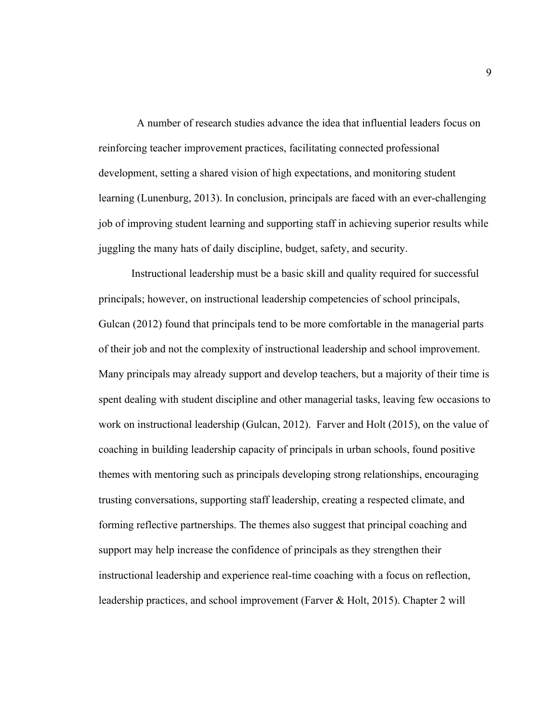A number of research studies advance the idea that influential leaders focus on reinforcing teacher improvement practices, facilitating connected professional development, setting a shared vision of high expectations, and monitoring student learning (Lunenburg, 2013). In conclusion, principals are faced with an ever-challenging job of improving student learning and supporting staff in achieving superior results while juggling the many hats of daily discipline, budget, safety, and security.

Instructional leadership must be a basic skill and quality required for successful principals; however, on instructional leadership competencies of school principals, Gulcan (2012) found that principals tend to be more comfortable in the managerial parts of their job and not the complexity of instructional leadership and school improvement. Many principals may already support and develop teachers, but a majority of their time is spent dealing with student discipline and other managerial tasks, leaving few occasions to work on instructional leadership (Gulcan, 2012). Farver and Holt (2015), on the value of coaching in building leadership capacity of principals in urban schools, found positive themes with mentoring such as principals developing strong relationships, encouraging trusting conversations, supporting staff leadership, creating a respected climate, and forming reflective partnerships. The themes also suggest that principal coaching and support may help increase the confidence of principals as they strengthen their instructional leadership and experience real-time coaching with a focus on reflection, leadership practices, and school improvement (Farver & Holt, 2015). Chapter 2 will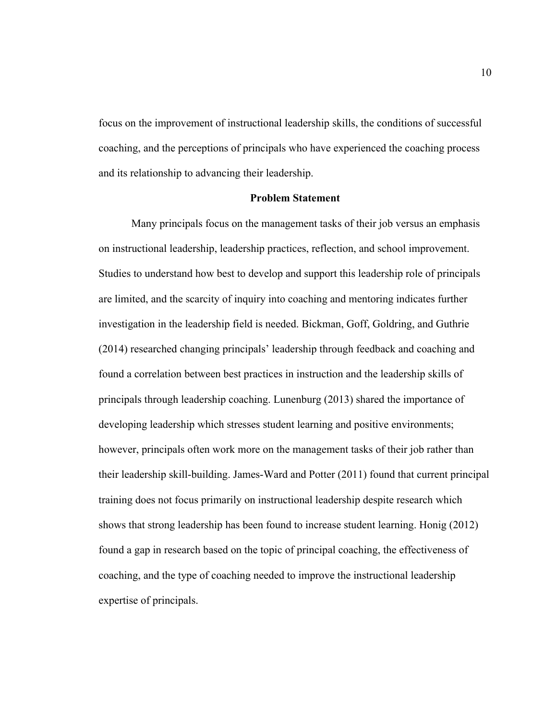focus on the improvement of instructional leadership skills, the conditions of successful coaching, and the perceptions of principals who have experienced the coaching process and its relationship to advancing their leadership.

## **Problem Statement**

Many principals focus on the management tasks of their job versus an emphasis on instructional leadership, leadership practices, reflection, and school improvement. Studies to understand how best to develop and support this leadership role of principals are limited, and the scarcity of inquiry into coaching and mentoring indicates further investigation in the leadership field is needed. Bickman, Goff, Goldring, and Guthrie (2014) researched changing principals' leadership through feedback and coaching and found a correlation between best practices in instruction and the leadership skills of principals through leadership coaching. Lunenburg (2013) shared the importance of developing leadership which stresses student learning and positive environments; however, principals often work more on the management tasks of their job rather than their leadership skill-building. James-Ward and Potter (2011) found that current principal training does not focus primarily on instructional leadership despite research which shows that strong leadership has been found to increase student learning. Honig (2012) found a gap in research based on the topic of principal coaching, the effectiveness of coaching, and the type of coaching needed to improve the instructional leadership expertise of principals.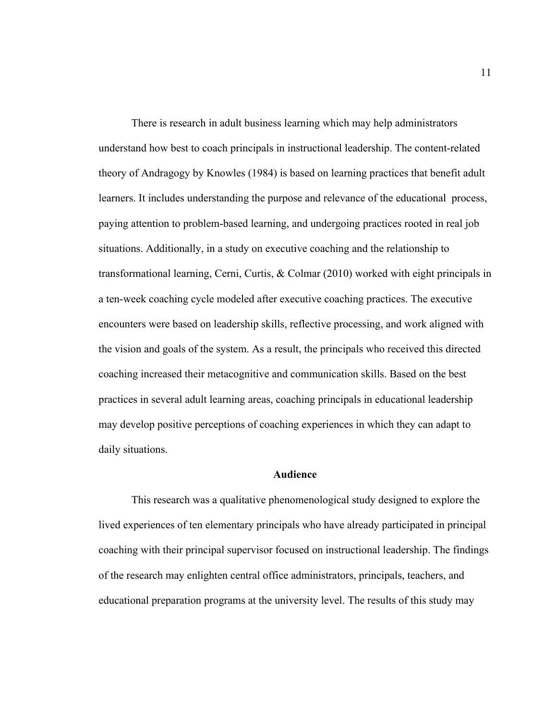There is research in adult business learning which may help administrators understand how best to coach principals in instructional leadership. The content-related theory of Andragogy by Knowles (1984) is based on learning practices that benefit adult learners. It includes understanding the purpose and relevance of the educational process, paying attention to problem-based learning, and undergoing practices rooted in real job situations. Additionally, in a study on executive coaching and the relationship to transformational learning, Cerni, Curtis, & Colmar (2010) worked with eight principals in a ten-week coaching cycle modeled after executive coaching practices. The executive encounters were based on leadership skills, reflective processing, and work aligned with the vision and goals of the system. As a result, the principals who received this directed coaching increased their metacognitive and communication skills. Based on the best practices in several adult learning areas, coaching principals in educational leadership may develop positive perceptions of coaching experiences in which they can adapt to daily situations.

## **Audience**

This research was a qualitative phenomenological study designed to explore the lived experiences of ten elementary principals who have already participated in principal coaching with their principal supervisor focused on instructional leadership. The findings of the research may enlighten central office administrators, principals, teachers, and educational preparation programs at the university level. The results of this study may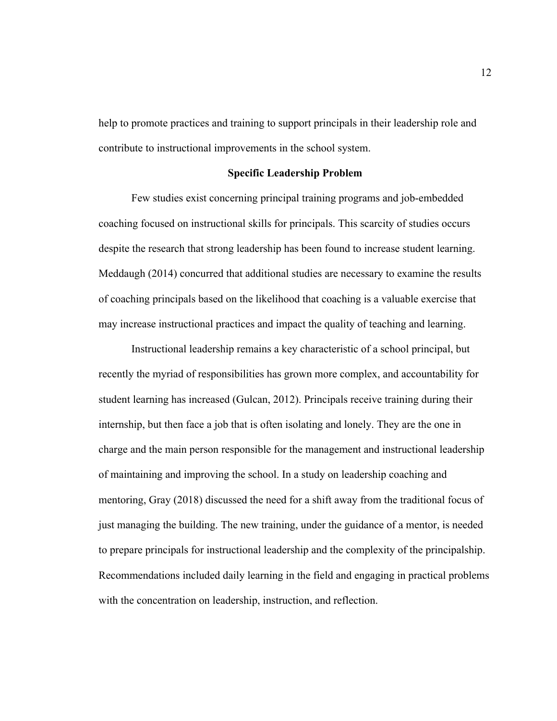help to promote practices and training to support principals in their leadership role and contribute to instructional improvements in the school system.

## **Specific Leadership Problem**

Few studies exist concerning principal training programs and job-embedded coaching focused on instructional skills for principals. This scarcity of studies occurs despite the research that strong leadership has been found to increase student learning. Meddaugh (2014) concurred that additional studies are necessary to examine the results of coaching principals based on the likelihood that coaching is a valuable exercise that may increase instructional practices and impact the quality of teaching and learning.

Instructional leadership remains a key characteristic of a school principal, but recently the myriad of responsibilities has grown more complex, and accountability for student learning has increased (Gulcan, 2012). Principals receive training during their internship, but then face a job that is often isolating and lonely. They are the one in charge and the main person responsible for the management and instructional leadership of maintaining and improving the school. In a study on leadership coaching and mentoring, Gray (2018) discussed the need for a shift away from the traditional focus of just managing the building. The new training, under the guidance of a mentor, is needed to prepare principals for instructional leadership and the complexity of the principalship. Recommendations included daily learning in the field and engaging in practical problems with the concentration on leadership, instruction, and reflection.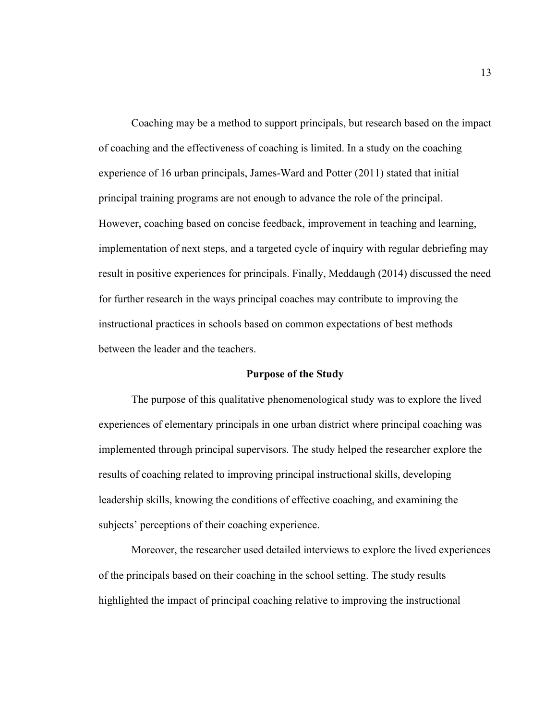Coaching may be a method to support principals, but research based on the impact of coaching and the effectiveness of coaching is limited. In a study on the coaching experience of 16 urban principals, James-Ward and Potter (2011) stated that initial principal training programs are not enough to advance the role of the principal. However, coaching based on concise feedback, improvement in teaching and learning, implementation of next steps, and a targeted cycle of inquiry with regular debriefing may result in positive experiences for principals. Finally, Meddaugh (2014) discussed the need for further research in the ways principal coaches may contribute to improving the instructional practices in schools based on common expectations of best methods between the leader and the teachers.

#### **Purpose of the Study**

The purpose of this qualitative phenomenological study was to explore the lived experiences of elementary principals in one urban district where principal coaching was implemented through principal supervisors. The study helped the researcher explore the results of coaching related to improving principal instructional skills, developing leadership skills, knowing the conditions of effective coaching, and examining the subjects' perceptions of their coaching experience.

Moreover, the researcher used detailed interviews to explore the lived experiences of the principals based on their coaching in the school setting. The study results highlighted the impact of principal coaching relative to improving the instructional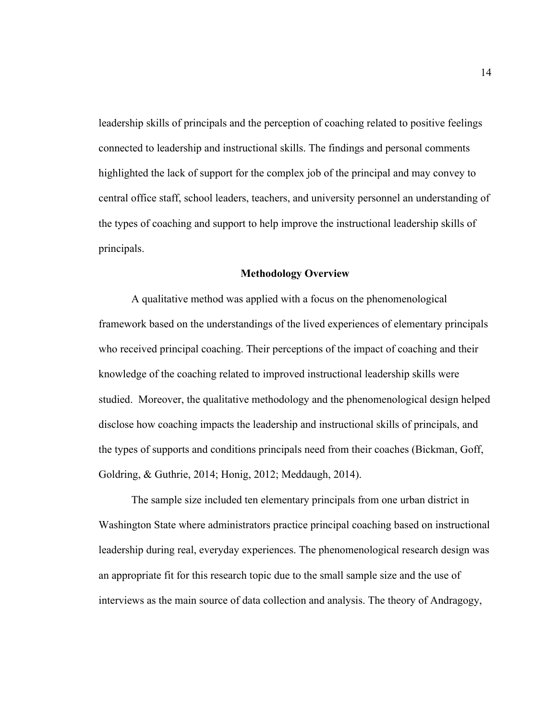leadership skills of principals and the perception of coaching related to positive feelings connected to leadership and instructional skills. The findings and personal comments highlighted the lack of support for the complex job of the principal and may convey to central office staff, school leaders, teachers, and university personnel an understanding of the types of coaching and support to help improve the instructional leadership skills of principals.

#### **Methodology Overview**

A qualitative method was applied with a focus on the phenomenological framework based on the understandings of the lived experiences of elementary principals who received principal coaching. Their perceptions of the impact of coaching and their knowledge of the coaching related to improved instructional leadership skills were studied. Moreover, the qualitative methodology and the phenomenological design helped disclose how coaching impacts the leadership and instructional skills of principals, and the types of supports and conditions principals need from their coaches (Bickman, Goff, Goldring, & Guthrie, 2014; Honig, 2012; Meddaugh, 2014).

The sample size included ten elementary principals from one urban district in Washington State where administrators practice principal coaching based on instructional leadership during real, everyday experiences. The phenomenological research design was an appropriate fit for this research topic due to the small sample size and the use of interviews as the main source of data collection and analysis. The theory of Andragogy,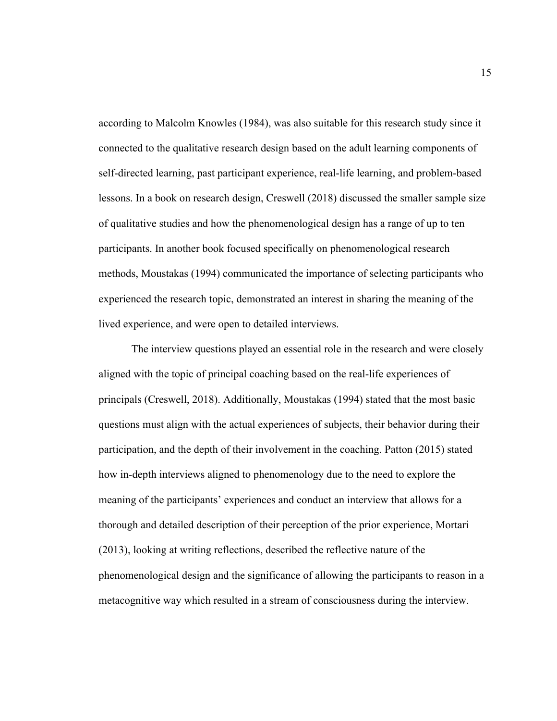according to Malcolm Knowles (1984), was also suitable for this research study since it connected to the qualitative research design based on the adult learning components of self-directed learning, past participant experience, real-life learning, and problem-based lessons. In a book on research design, Creswell (2018) discussed the smaller sample size of qualitative studies and how the phenomenological design has a range of up to ten participants. In another book focused specifically on phenomenological research methods, Moustakas (1994) communicated the importance of selecting participants who experienced the research topic, demonstrated an interest in sharing the meaning of the lived experience, and were open to detailed interviews.

The interview questions played an essential role in the research and were closely aligned with the topic of principal coaching based on the real-life experiences of principals (Creswell, 2018). Additionally, Moustakas (1994) stated that the most basic questions must align with the actual experiences of subjects, their behavior during their participation, and the depth of their involvement in the coaching. Patton (2015) stated how in-depth interviews aligned to phenomenology due to the need to explore the meaning of the participants' experiences and conduct an interview that allows for a thorough and detailed description of their perception of the prior experience, Mortari (2013), looking at writing reflections, described the reflective nature of the phenomenological design and the significance of allowing the participants to reason in a metacognitive way which resulted in a stream of consciousness during the interview.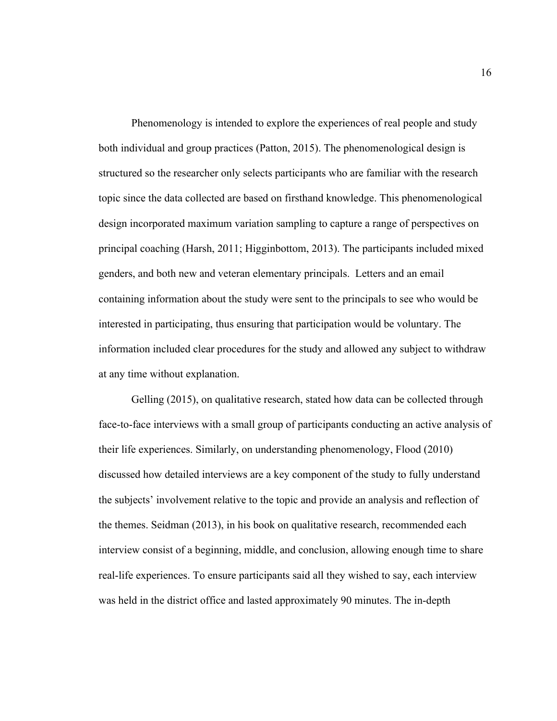Phenomenology is intended to explore the experiences of real people and study both individual and group practices (Patton, 2015). The phenomenological design is structured so the researcher only selects participants who are familiar with the research topic since the data collected are based on firsthand knowledge. This phenomenological design incorporated maximum variation sampling to capture a range of perspectives on principal coaching (Harsh, 2011; Higginbottom, 2013). The participants included mixed genders, and both new and veteran elementary principals. Letters and an email containing information about the study were sent to the principals to see who would be interested in participating, thus ensuring that participation would be voluntary. The information included clear procedures for the study and allowed any subject to withdraw at any time without explanation.

Gelling (2015), on qualitative research, stated how data can be collected through face-to-face interviews with a small group of participants conducting an active analysis of their life experiences. Similarly, on understanding phenomenology, Flood (2010) discussed how detailed interviews are a key component of the study to fully understand the subjects' involvement relative to the topic and provide an analysis and reflection of the themes. Seidman (2013), in his book on qualitative research, recommended each interview consist of a beginning, middle, and conclusion, allowing enough time to share real-life experiences. To ensure participants said all they wished to say, each interview was held in the district office and lasted approximately 90 minutes. The in-depth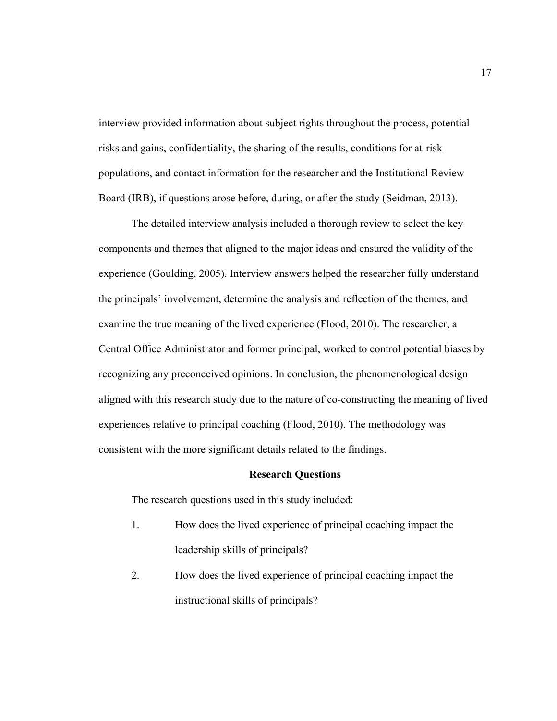interview provided information about subject rights throughout the process, potential risks and gains, confidentiality, the sharing of the results, conditions for at-risk populations, and contact information for the researcher and the Institutional Review Board (IRB), if questions arose before, during, or after the study (Seidman, 2013).

The detailed interview analysis included a thorough review to select the key components and themes that aligned to the major ideas and ensured the validity of the experience (Goulding, 2005). Interview answers helped the researcher fully understand the principals' involvement, determine the analysis and reflection of the themes, and examine the true meaning of the lived experience (Flood, 2010). The researcher, a Central Office Administrator and former principal, worked to control potential biases by recognizing any preconceived opinions. In conclusion, the phenomenological design aligned with this research study due to the nature of co-constructing the meaning of lived experiences relative to principal coaching (Flood, 2010). The methodology was consistent with the more significant details related to the findings.

#### **Research Questions**

The research questions used in this study included:

- 1. How does the lived experience of principal coaching impact the leadership skills of principals?
- 2. How does the lived experience of principal coaching impact the instructional skills of principals?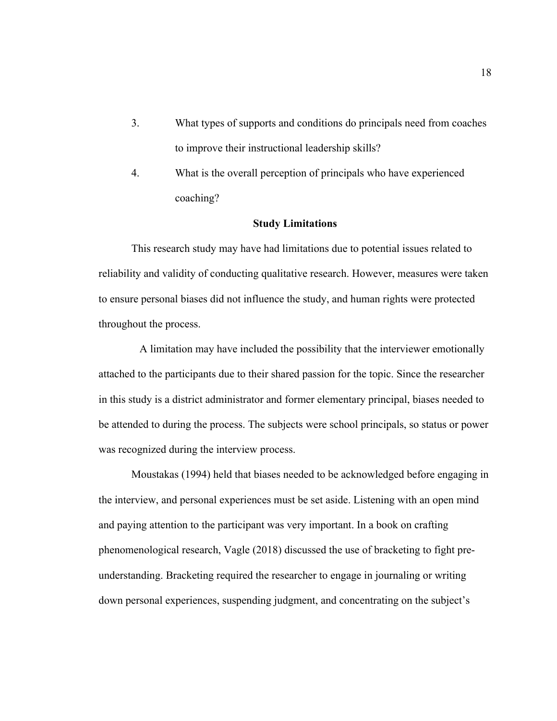- 3. What types of supports and conditions do principals need from coaches to improve their instructional leadership skills?
- 4. What is the overall perception of principals who have experienced coaching?

## **Study Limitations**

This research study may have had limitations due to potential issues related to reliability and validity of conducting qualitative research. However, measures were taken to ensure personal biases did not influence the study, and human rights were protected throughout the process.

 A limitation may have included the possibility that the interviewer emotionally attached to the participants due to their shared passion for the topic. Since the researcher in this study is a district administrator and former elementary principal, biases needed to be attended to during the process. The subjects were school principals, so status or power was recognized during the interview process.

Moustakas (1994) held that biases needed to be acknowledged before engaging in the interview, and personal experiences must be set aside. Listening with an open mind and paying attention to the participant was very important. In a book on crafting phenomenological research, Vagle (2018) discussed the use of bracketing to fight preunderstanding. Bracketing required the researcher to engage in journaling or writing down personal experiences, suspending judgment, and concentrating on the subject's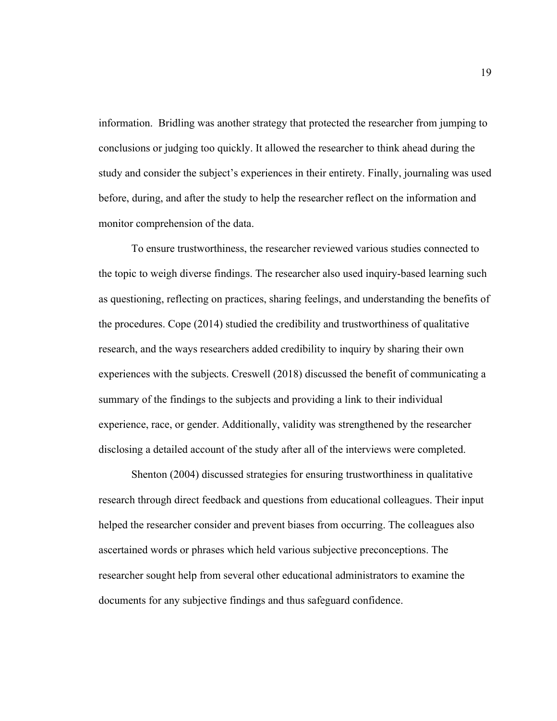information. Bridling was another strategy that protected the researcher from jumping to conclusions or judging too quickly. It allowed the researcher to think ahead during the study and consider the subject's experiences in their entirety. Finally, journaling was used before, during, and after the study to help the researcher reflect on the information and monitor comprehension of the data.

To ensure trustworthiness, the researcher reviewed various studies connected to the topic to weigh diverse findings. The researcher also used inquiry-based learning such as questioning, reflecting on practices, sharing feelings, and understanding the benefits of the procedures. Cope (2014) studied the credibility and trustworthiness of qualitative research, and the ways researchers added credibility to inquiry by sharing their own experiences with the subjects. Creswell (2018) discussed the benefit of communicating a summary of the findings to the subjects and providing a link to their individual experience, race, or gender. Additionally, validity was strengthened by the researcher disclosing a detailed account of the study after all of the interviews were completed.

Shenton (2004) discussed strategies for ensuring trustworthiness in qualitative research through direct feedback and questions from educational colleagues. Their input helped the researcher consider and prevent biases from occurring. The colleagues also ascertained words or phrases which held various subjective preconceptions. The researcher sought help from several other educational administrators to examine the documents for any subjective findings and thus safeguard confidence.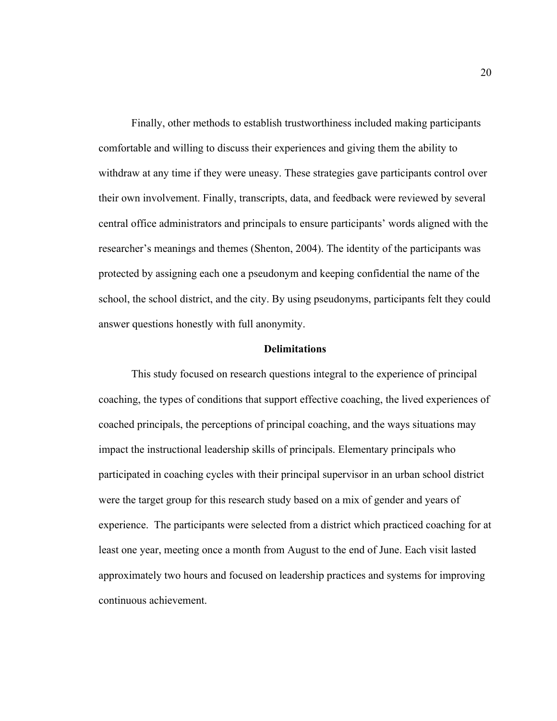Finally, other methods to establish trustworthiness included making participants comfortable and willing to discuss their experiences and giving them the ability to withdraw at any time if they were uneasy. These strategies gave participants control over their own involvement. Finally, transcripts, data, and feedback were reviewed by several central office administrators and principals to ensure participants' words aligned with the researcher's meanings and themes (Shenton, 2004). The identity of the participants was protected by assigning each one a pseudonym and keeping confidential the name of the school, the school district, and the city. By using pseudonyms, participants felt they could answer questions honestly with full anonymity.

## **Delimitations**

This study focused on research questions integral to the experience of principal coaching, the types of conditions that support effective coaching, the lived experiences of coached principals, the perceptions of principal coaching, and the ways situations may impact the instructional leadership skills of principals. Elementary principals who participated in coaching cycles with their principal supervisor in an urban school district were the target group for this research study based on a mix of gender and years of experience. The participants were selected from a district which practiced coaching for at least one year, meeting once a month from August to the end of June. Each visit lasted approximately two hours and focused on leadership practices and systems for improving continuous achievement.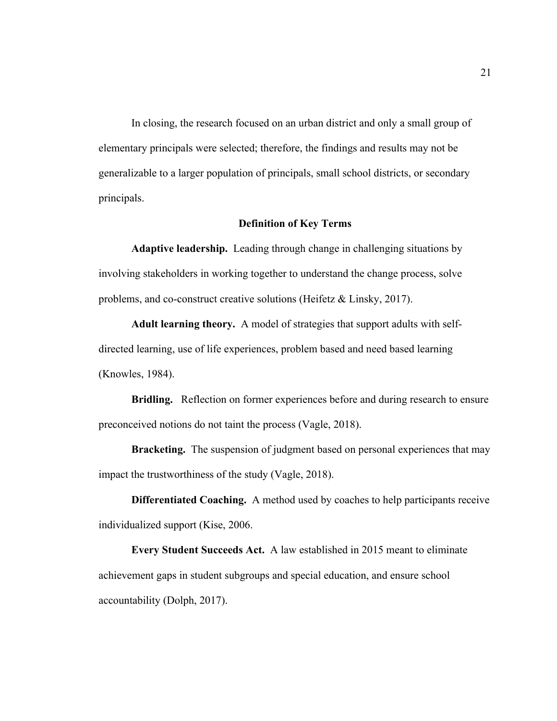In closing, the research focused on an urban district and only a small group of elementary principals were selected; therefore, the findings and results may not be generalizable to a larger population of principals, small school districts, or secondary principals.

## **Definition of Key Terms**

**Adaptive leadership.** Leading through change in challenging situations by involving stakeholders in working together to understand the change process, solve problems, and co-construct creative solutions (Heifetz & Linsky, 2017).

**Adult learning theory.**A model of strategies that support adults with selfdirected learning, use of life experiences, problem based and need based learning (Knowles, 1984).

**Bridling.** Reflection on former experiences before and during research to ensure preconceived notions do not taint the process (Vagle, 2018).

**Bracketing.** The suspension of judgment based on personal experiences that may impact the trustworthiness of the study (Vagle, 2018).

**Differentiated Coaching.** A method used by coaches to help participants receive individualized support (Kise, 2006.

**Every Student Succeeds Act.** A law established in 2015 meant to eliminate achievement gaps in student subgroups and special education, and ensure school accountability (Dolph, 2017).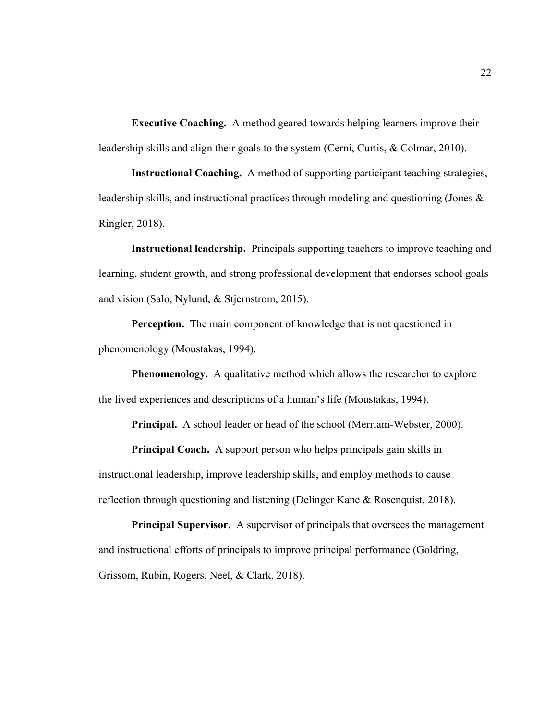**Executive Coaching.** A method geared towards helping learners improve their leadership skills and align their goals to the system (Cerni, Curtis, & Colmar, 2010).

**Instructional Coaching.** A method of supporting participant teaching strategies, leadership skills, and instructional practices through modeling and questioning (Jones & Ringler, 2018).

**Instructional leadership.** Principals supporting teachers to improve teaching and learning, student growth, and strong professional development that endorses school goals and vision (Salo, Nylund, & Stjernstrom, 2015).

**Perception.** The main component of knowledge that is not questioned in phenomenology (Moustakas, 1994).

**Phenomenology.** A qualitative method which allows the researcher to explore the lived experiences and descriptions of a human's life (Moustakas, 1994).

**Principal.** A school leader or head of the school (Merriam-Webster, 2000).

**Principal Coach.** A support person who helps principals gain skills in instructional leadership, improve leadership skills, and employ methods to cause reflection through questioning and listening (Delinger Kane & Rosenquist, 2018).

**Principal Supervisor.** A supervisor of principals that oversees the management and instructional efforts of principals to improve principal performance (Goldring, Grissom, Rubin, Rogers, Neel, & Clark, 2018).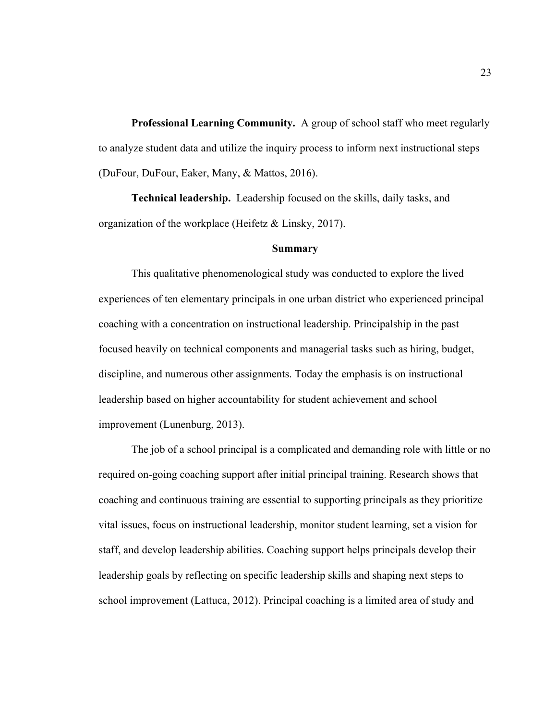**Professional Learning Community.** A group of school staff who meet regularly to analyze student data and utilize the inquiry process to inform next instructional steps (DuFour, DuFour, Eaker, Many, & Mattos, 2016).

**Technical leadership.** Leadership focused on the skills, daily tasks, and organization of the workplace (Heifetz & Linsky, 2017).

#### **Summary**

This qualitative phenomenological study was conducted to explore the lived experiences of ten elementary principals in one urban district who experienced principal coaching with a concentration on instructional leadership. Principalship in the past focused heavily on technical components and managerial tasks such as hiring, budget, discipline, and numerous other assignments. Today the emphasis is on instructional leadership based on higher accountability for student achievement and school improvement (Lunenburg, 2013).

The job of a school principal is a complicated and demanding role with little or no required on-going coaching support after initial principal training. Research shows that coaching and continuous training are essential to supporting principals as they prioritize vital issues, focus on instructional leadership, monitor student learning, set a vision for staff, and develop leadership abilities. Coaching support helps principals develop their leadership goals by reflecting on specific leadership skills and shaping next steps to school improvement (Lattuca, 2012). Principal coaching is a limited area of study and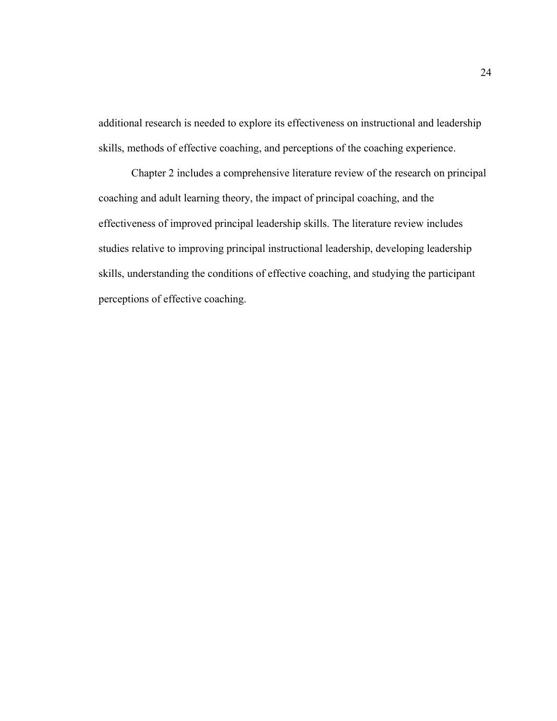additional research is needed to explore its effectiveness on instructional and leadership skills, methods of effective coaching, and perceptions of the coaching experience.

Chapter 2 includes a comprehensive literature review of the research on principal coaching and adult learning theory, the impact of principal coaching, and the effectiveness of improved principal leadership skills. The literature review includes studies relative to improving principal instructional leadership, developing leadership skills, understanding the conditions of effective coaching, and studying the participant perceptions of effective coaching.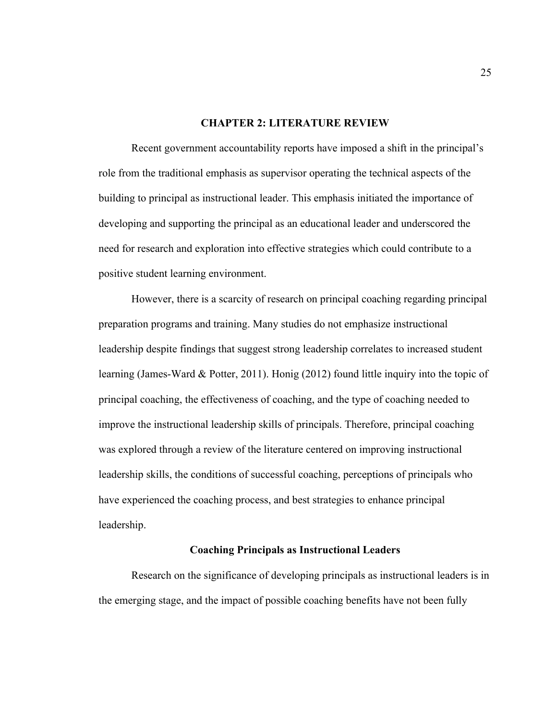## **CHAPTER 2: LITERATURE REVIEW**

Recent government accountability reports have imposed a shift in the principal's role from the traditional emphasis as supervisor operating the technical aspects of the building to principal as instructional leader. This emphasis initiated the importance of developing and supporting the principal as an educational leader and underscored the need for research and exploration into effective strategies which could contribute to a positive student learning environment.

However, there is a scarcity of research on principal coaching regarding principal preparation programs and training. Many studies do not emphasize instructional leadership despite findings that suggest strong leadership correlates to increased student learning (James-Ward & Potter, 2011). Honig (2012) found little inquiry into the topic of principal coaching, the effectiveness of coaching, and the type of coaching needed to improve the instructional leadership skills of principals. Therefore, principal coaching was explored through a review of the literature centered on improving instructional leadership skills, the conditions of successful coaching, perceptions of principals who have experienced the coaching process, and best strategies to enhance principal leadership.

## **Coaching Principals as Instructional Leaders**

Research on the significance of developing principals as instructional leaders is in the emerging stage, and the impact of possible coaching benefits have not been fully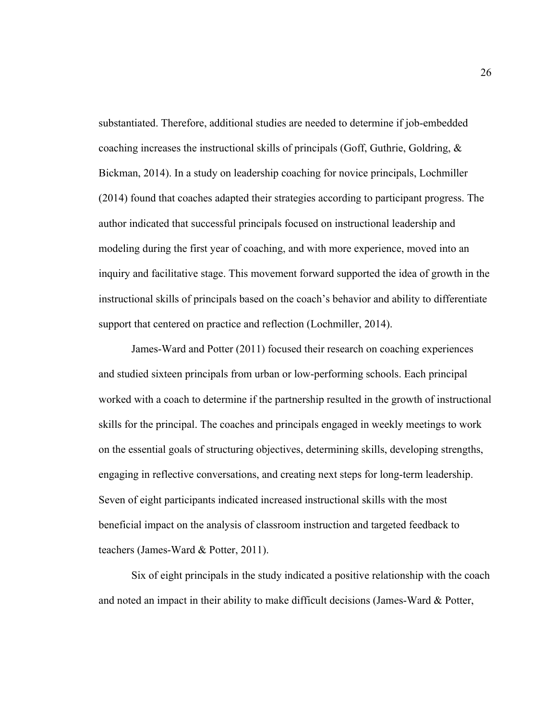substantiated. Therefore, additional studies are needed to determine if job-embedded coaching increases the instructional skills of principals (Goff, Guthrie, Goldring, & Bickman, 2014). In a study on leadership coaching for novice principals, Lochmiller (2014) found that coaches adapted their strategies according to participant progress. The author indicated that successful principals focused on instructional leadership and modeling during the first year of coaching, and with more experience, moved into an inquiry and facilitative stage. This movement forward supported the idea of growth in the instructional skills of principals based on the coach's behavior and ability to differentiate support that centered on practice and reflection (Lochmiller, 2014).

James-Ward and Potter (2011) focused their research on coaching experiences and studied sixteen principals from urban or low-performing schools. Each principal worked with a coach to determine if the partnership resulted in the growth of instructional skills for the principal. The coaches and principals engaged in weekly meetings to work on the essential goals of structuring objectives, determining skills, developing strengths, engaging in reflective conversations, and creating next steps for long-term leadership. Seven of eight participants indicated increased instructional skills with the most beneficial impact on the analysis of classroom instruction and targeted feedback to teachers (James-Ward & Potter, 2011).

Six of eight principals in the study indicated a positive relationship with the coach and noted an impact in their ability to make difficult decisions (James-Ward & Potter,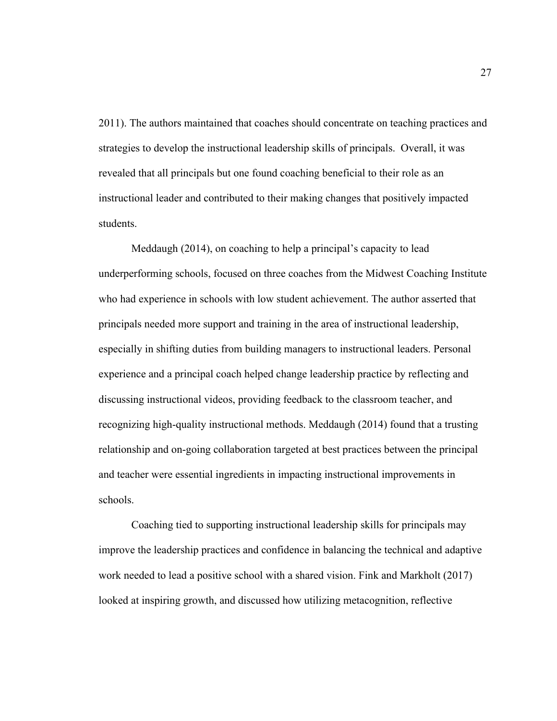2011). The authors maintained that coaches should concentrate on teaching practices and strategies to develop the instructional leadership skills of principals. Overall, it was revealed that all principals but one found coaching beneficial to their role as an instructional leader and contributed to their making changes that positively impacted students.

Meddaugh (2014), on coaching to help a principal's capacity to lead underperforming schools, focused on three coaches from the Midwest Coaching Institute who had experience in schools with low student achievement. The author asserted that principals needed more support and training in the area of instructional leadership, especially in shifting duties from building managers to instructional leaders. Personal experience and a principal coach helped change leadership practice by reflecting and discussing instructional videos, providing feedback to the classroom teacher, and recognizing high-quality instructional methods. Meddaugh (2014) found that a trusting relationship and on-going collaboration targeted at best practices between the principal and teacher were essential ingredients in impacting instructional improvements in schools.

Coaching tied to supporting instructional leadership skills for principals may improve the leadership practices and confidence in balancing the technical and adaptive work needed to lead a positive school with a shared vision. Fink and Markholt (2017) looked at inspiring growth, and discussed how utilizing metacognition, reflective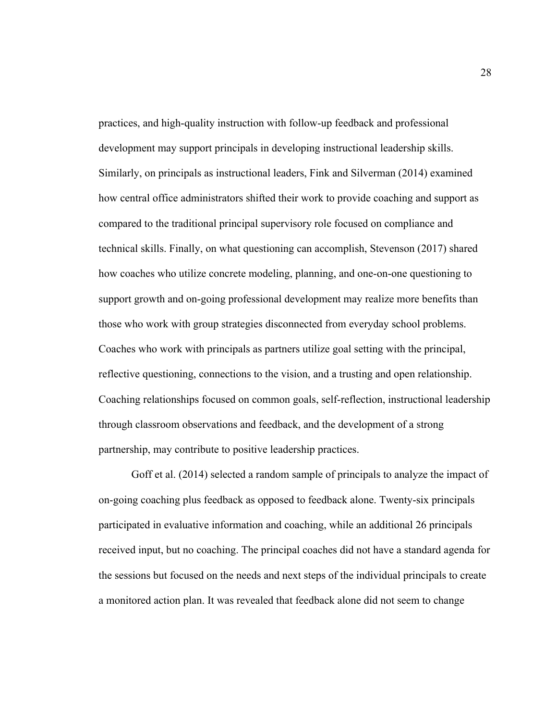practices, and high-quality instruction with follow-up feedback and professional development may support principals in developing instructional leadership skills. Similarly, on principals as instructional leaders, Fink and Silverman (2014) examined how central office administrators shifted their work to provide coaching and support as compared to the traditional principal supervisory role focused on compliance and technical skills. Finally, on what questioning can accomplish, Stevenson (2017) shared how coaches who utilize concrete modeling, planning, and one-on-one questioning to support growth and on-going professional development may realize more benefits than those who work with group strategies disconnected from everyday school problems. Coaches who work with principals as partners utilize goal setting with the principal, reflective questioning, connections to the vision, and a trusting and open relationship. Coaching relationships focused on common goals, self-reflection, instructional leadership through classroom observations and feedback, and the development of a strong partnership, may contribute to positive leadership practices.

Goff et al. (2014) selected a random sample of principals to analyze the impact of on-going coaching plus feedback as opposed to feedback alone. Twenty-six principals participated in evaluative information and coaching, while an additional 26 principals received input, but no coaching. The principal coaches did not have a standard agenda for the sessions but focused on the needs and next steps of the individual principals to create a monitored action plan. It was revealed that feedback alone did not seem to change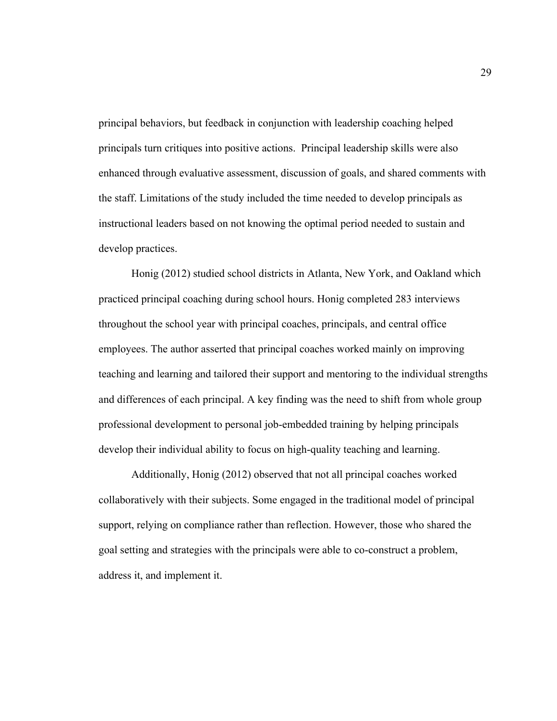principal behaviors, but feedback in conjunction with leadership coaching helped principals turn critiques into positive actions. Principal leadership skills were also enhanced through evaluative assessment, discussion of goals, and shared comments with the staff. Limitations of the study included the time needed to develop principals as instructional leaders based on not knowing the optimal period needed to sustain and develop practices.

Honig (2012) studied school districts in Atlanta, New York, and Oakland which practiced principal coaching during school hours. Honig completed 283 interviews throughout the school year with principal coaches, principals, and central office employees. The author asserted that principal coaches worked mainly on improving teaching and learning and tailored their support and mentoring to the individual strengths and differences of each principal. A key finding was the need to shift from whole group professional development to personal job-embedded training by helping principals develop their individual ability to focus on high-quality teaching and learning.

Additionally, Honig (2012) observed that not all principal coaches worked collaboratively with their subjects. Some engaged in the traditional model of principal support, relying on compliance rather than reflection. However, those who shared the goal setting and strategies with the principals were able to co-construct a problem, address it, and implement it.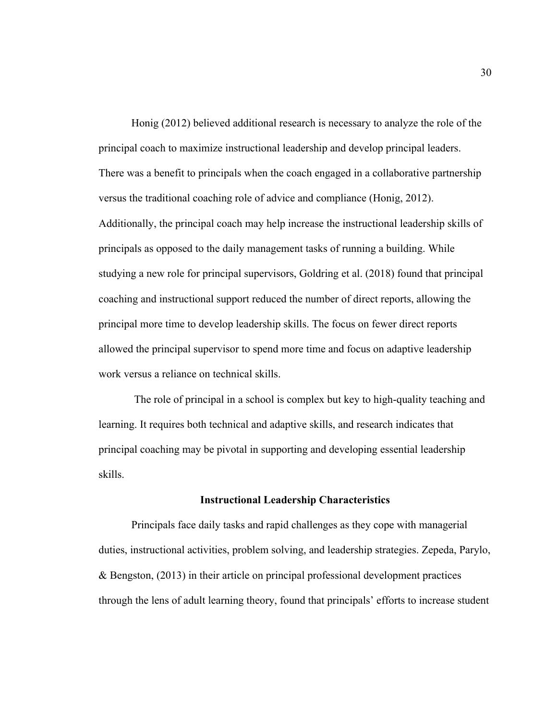Honig (2012) believed additional research is necessary to analyze the role of the principal coach to maximize instructional leadership and develop principal leaders. There was a benefit to principals when the coach engaged in a collaborative partnership versus the traditional coaching role of advice and compliance (Honig, 2012). Additionally, the principal coach may help increase the instructional leadership skills of principals as opposed to the daily management tasks of running a building. While studying a new role for principal supervisors, Goldring et al. (2018) found that principal coaching and instructional support reduced the number of direct reports, allowing the principal more time to develop leadership skills. The focus on fewer direct reports allowed the principal supervisor to spend more time and focus on adaptive leadership work versus a reliance on technical skills.

The role of principal in a school is complex but key to high-quality teaching and learning. It requires both technical and adaptive skills, and research indicates that principal coaching may be pivotal in supporting and developing essential leadership skills.

## **Instructional Leadership Characteristics**

Principals face daily tasks and rapid challenges as they cope with managerial duties, instructional activities, problem solving, and leadership strategies. Zepeda, Parylo, & Bengston, (2013) in their article on principal professional development practices through the lens of adult learning theory, found that principals' efforts to increase student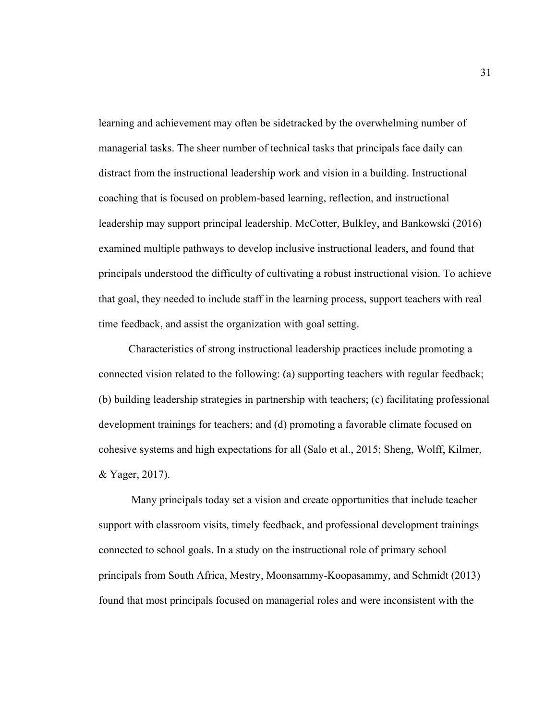learning and achievement may often be sidetracked by the overwhelming number of managerial tasks. The sheer number of technical tasks that principals face daily can distract from the instructional leadership work and vision in a building. Instructional coaching that is focused on problem-based learning, reflection, and instructional leadership may support principal leadership. McCotter, Bulkley, and Bankowski (2016) examined multiple pathways to develop inclusive instructional leaders, and found that principals understood the difficulty of cultivating a robust instructional vision. To achieve that goal, they needed to include staff in the learning process, support teachers with real time feedback, and assist the organization with goal setting.

 Characteristics of strong instructional leadership practices include promoting a connected vision related to the following: (a) supporting teachers with regular feedback; (b) building leadership strategies in partnership with teachers; (c) facilitating professional development trainings for teachers; and (d) promoting a favorable climate focused on cohesive systems and high expectations for all (Salo et al., 2015; Sheng, Wolff, Kilmer, & Yager, 2017).

Many principals today set a vision and create opportunities that include teacher support with classroom visits, timely feedback, and professional development trainings connected to school goals. In a study on the instructional role of primary school principals from South Africa, Mestry, Moonsammy-Koopasammy, and Schmidt (2013) found that most principals focused on managerial roles and were inconsistent with the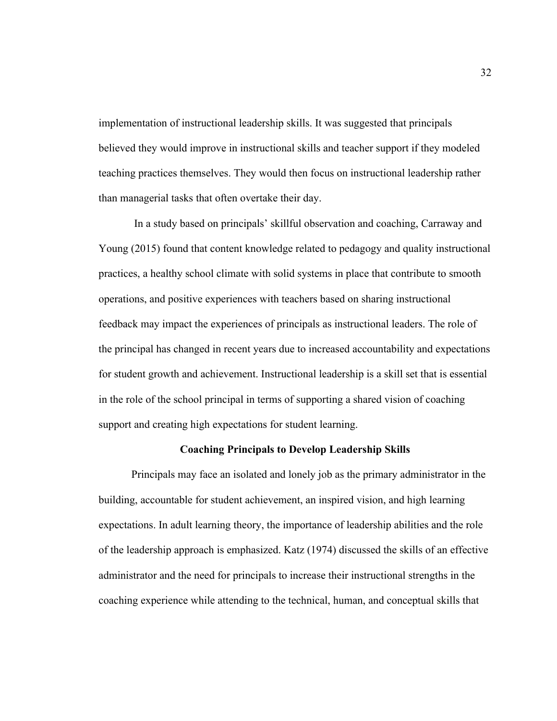implementation of instructional leadership skills. It was suggested that principals believed they would improve in instructional skills and teacher support if they modeled teaching practices themselves. They would then focus on instructional leadership rather than managerial tasks that often overtake their day.

In a study based on principals' skillful observation and coaching, Carraway and Young (2015) found that content knowledge related to pedagogy and quality instructional practices, a healthy school climate with solid systems in place that contribute to smooth operations, and positive experiences with teachers based on sharing instructional feedback may impact the experiences of principals as instructional leaders. The role of the principal has changed in recent years due to increased accountability and expectations for student growth and achievement. Instructional leadership is a skill set that is essential in the role of the school principal in terms of supporting a shared vision of coaching support and creating high expectations for student learning.

# **Coaching Principals to Develop Leadership Skills**

Principals may face an isolated and lonely job as the primary administrator in the building, accountable for student achievement, an inspired vision, and high learning expectations. In adult learning theory, the importance of leadership abilities and the role of the leadership approach is emphasized. Katz (1974) discussed the skills of an effective administrator and the need for principals to increase their instructional strengths in the coaching experience while attending to the technical, human, and conceptual skills that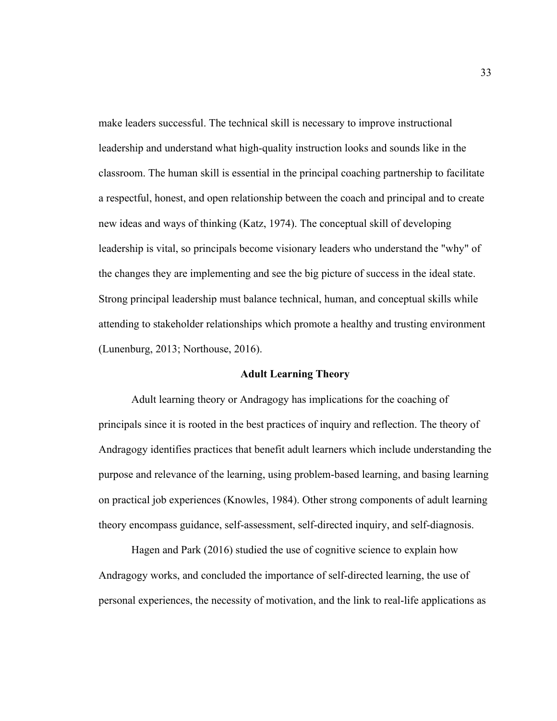make leaders successful. The technical skill is necessary to improve instructional leadership and understand what high-quality instruction looks and sounds like in the classroom. The human skill is essential in the principal coaching partnership to facilitate a respectful, honest, and open relationship between the coach and principal and to create new ideas and ways of thinking (Katz, 1974). The conceptual skill of developing leadership is vital, so principals become visionary leaders who understand the "why" of the changes they are implementing and see the big picture of success in the ideal state. Strong principal leadership must balance technical, human, and conceptual skills while attending to stakeholder relationships which promote a healthy and trusting environment (Lunenburg, 2013; Northouse, 2016).

#### **Adult Learning Theory**

Adult learning theory or Andragogy has implications for the coaching of principals since it is rooted in the best practices of inquiry and reflection. The theory of Andragogy identifies practices that benefit adult learners which include understanding the purpose and relevance of the learning, using problem-based learning, and basing learning on practical job experiences (Knowles, 1984). Other strong components of adult learning theory encompass guidance, self-assessment, self-directed inquiry, and self-diagnosis.

Hagen and Park (2016) studied the use of cognitive science to explain how Andragogy works, and concluded the importance of self-directed learning, the use of personal experiences, the necessity of motivation, and the link to real-life applications as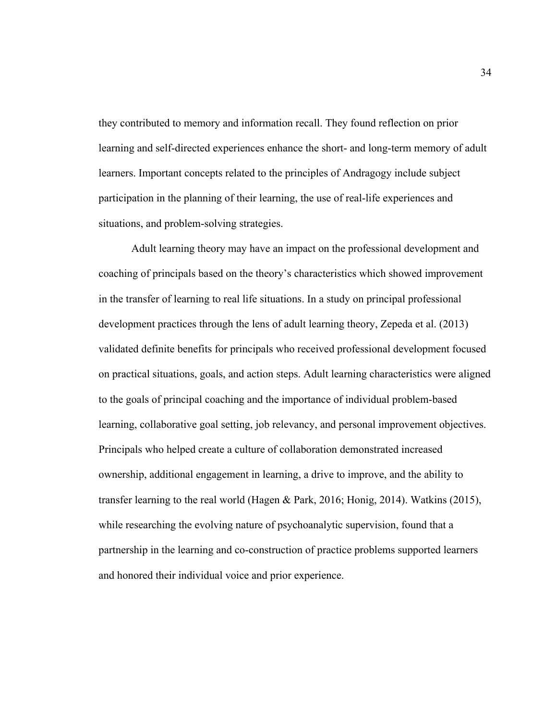they contributed to memory and information recall. They found reflection on prior learning and self-directed experiences enhance the short- and long-term memory of adult learners. Important concepts related to the principles of Andragogy include subject participation in the planning of their learning, the use of real-life experiences and situations, and problem-solving strategies.

Adult learning theory may have an impact on the professional development and coaching of principals based on the theory's characteristics which showed improvement in the transfer of learning to real life situations. In a study on principal professional development practices through the lens of adult learning theory, Zepeda et al. (2013) validated definite benefits for principals who received professional development focused on practical situations, goals, and action steps. Adult learning characteristics were aligned to the goals of principal coaching and the importance of individual problem-based learning, collaborative goal setting, job relevancy, and personal improvement objectives. Principals who helped create a culture of collaboration demonstrated increased ownership, additional engagement in learning, a drive to improve, and the ability to transfer learning to the real world (Hagen & Park, 2016; Honig, 2014). Watkins (2015), while researching the evolving nature of psychoanalytic supervision, found that a partnership in the learning and co-construction of practice problems supported learners and honored their individual voice and prior experience.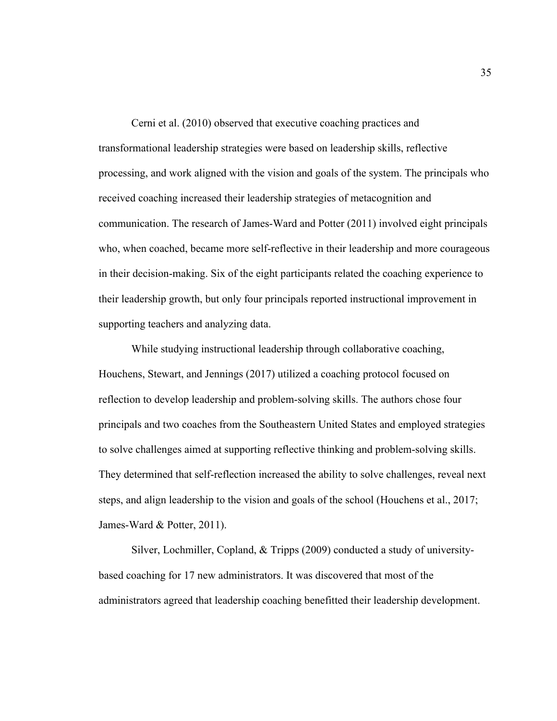Cerni et al. (2010) observed that executive coaching practices and transformational leadership strategies were based on leadership skills, reflective processing, and work aligned with the vision and goals of the system. The principals who received coaching increased their leadership strategies of metacognition and communication. The research of James-Ward and Potter (2011) involved eight principals who, when coached, became more self-reflective in their leadership and more courageous in their decision-making. Six of the eight participants related the coaching experience to their leadership growth, but only four principals reported instructional improvement in supporting teachers and analyzing data.

While studying instructional leadership through collaborative coaching, Houchens, Stewart, and Jennings (2017) utilized a coaching protocol focused on reflection to develop leadership and problem-solving skills. The authors chose four principals and two coaches from the Southeastern United States and employed strategies to solve challenges aimed at supporting reflective thinking and problem-solving skills. They determined that self-reflection increased the ability to solve challenges, reveal next steps, and align leadership to the vision and goals of the school (Houchens et al., 2017; James-Ward & Potter, 2011).

Silver, Lochmiller, Copland, & Tripps (2009) conducted a study of universitybased coaching for 17 new administrators. It was discovered that most of the administrators agreed that leadership coaching benefitted their leadership development.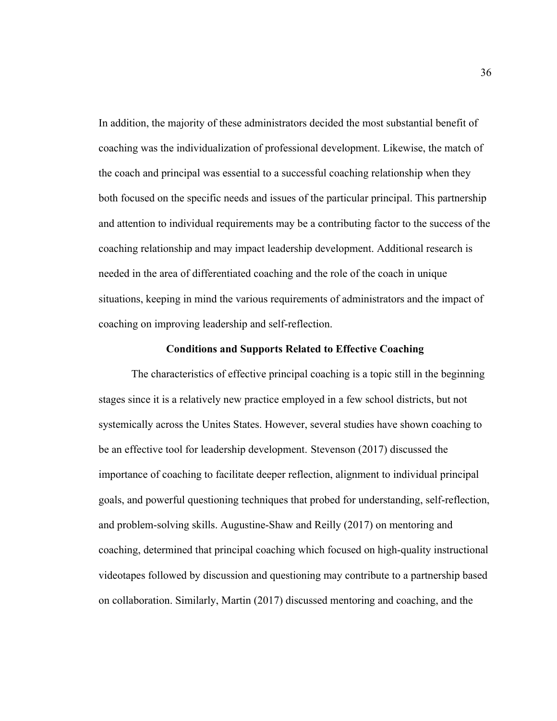In addition, the majority of these administrators decided the most substantial benefit of coaching was the individualization of professional development. Likewise, the match of the coach and principal was essential to a successful coaching relationship when they both focused on the specific needs and issues of the particular principal. This partnership and attention to individual requirements may be a contributing factor to the success of the coaching relationship and may impact leadership development. Additional research is needed in the area of differentiated coaching and the role of the coach in unique situations, keeping in mind the various requirements of administrators and the impact of coaching on improving leadership and self-reflection.

### **Conditions and Supports Related to Effective Coaching**

The characteristics of effective principal coaching is a topic still in the beginning stages since it is a relatively new practice employed in a few school districts, but not systemically across the Unites States. However, several studies have shown coaching to be an effective tool for leadership development. Stevenson (2017) discussed the importance of coaching to facilitate deeper reflection, alignment to individual principal goals, and powerful questioning techniques that probed for understanding, self-reflection, and problem-solving skills. Augustine-Shaw and Reilly (2017) on mentoring and coaching, determined that principal coaching which focused on high-quality instructional videotapes followed by discussion and questioning may contribute to a partnership based on collaboration. Similarly, Martin (2017) discussed mentoring and coaching, and the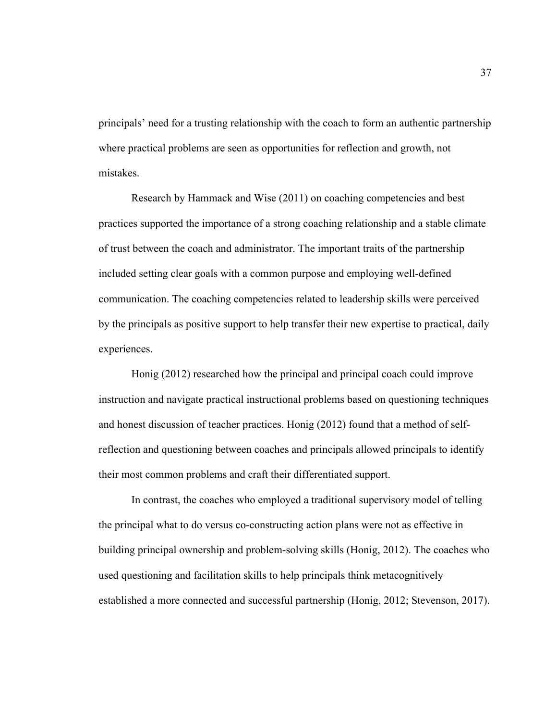principals' need for a trusting relationship with the coach to form an authentic partnership where practical problems are seen as opportunities for reflection and growth, not mistakes.

Research by Hammack and Wise (2011) on coaching competencies and best practices supported the importance of a strong coaching relationship and a stable climate of trust between the coach and administrator. The important traits of the partnership included setting clear goals with a common purpose and employing well-defined communication. The coaching competencies related to leadership skills were perceived by the principals as positive support to help transfer their new expertise to practical, daily experiences.

Honig (2012) researched how the principal and principal coach could improve instruction and navigate practical instructional problems based on questioning techniques and honest discussion of teacher practices. Honig (2012) found that a method of selfreflection and questioning between coaches and principals allowed principals to identify their most common problems and craft their differentiated support.

In contrast, the coaches who employed a traditional supervisory model of telling the principal what to do versus co-constructing action plans were not as effective in building principal ownership and problem-solving skills (Honig, 2012). The coaches who used questioning and facilitation skills to help principals think metacognitively established a more connected and successful partnership (Honig, 2012; Stevenson, 2017).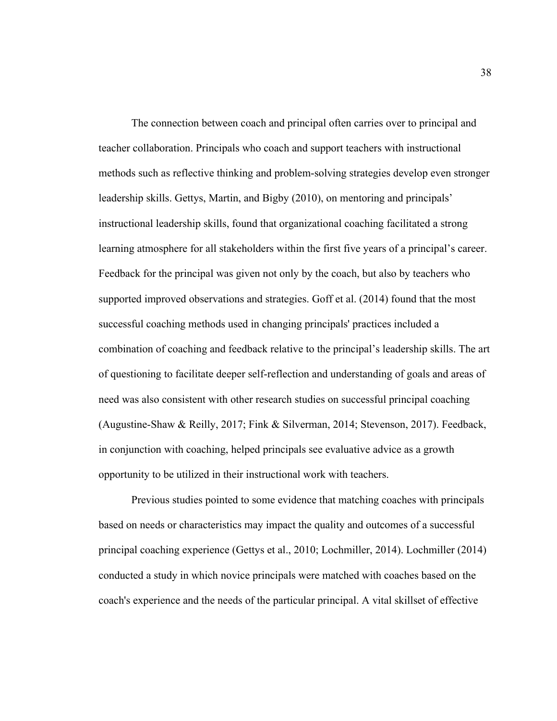The connection between coach and principal often carries over to principal and teacher collaboration. Principals who coach and support teachers with instructional methods such as reflective thinking and problem-solving strategies develop even stronger leadership skills. Gettys, Martin, and Bigby (2010), on mentoring and principals' instructional leadership skills, found that organizational coaching facilitated a strong learning atmosphere for all stakeholders within the first five years of a principal's career. Feedback for the principal was given not only by the coach, but also by teachers who supported improved observations and strategies. Goff et al. (2014) found that the most successful coaching methods used in changing principals' practices included a combination of coaching and feedback relative to the principal's leadership skills. The art of questioning to facilitate deeper self-reflection and understanding of goals and areas of need was also consistent with other research studies on successful principal coaching (Augustine-Shaw & Reilly, 2017; Fink & Silverman, 2014; Stevenson, 2017). Feedback, in conjunction with coaching, helped principals see evaluative advice as a growth opportunity to be utilized in their instructional work with teachers.

Previous studies pointed to some evidence that matching coaches with principals based on needs or characteristics may impact the quality and outcomes of a successful principal coaching experience (Gettys et al., 2010; Lochmiller, 2014). Lochmiller (2014) conducted a study in which novice principals were matched with coaches based on the coach's experience and the needs of the particular principal. A vital skillset of effective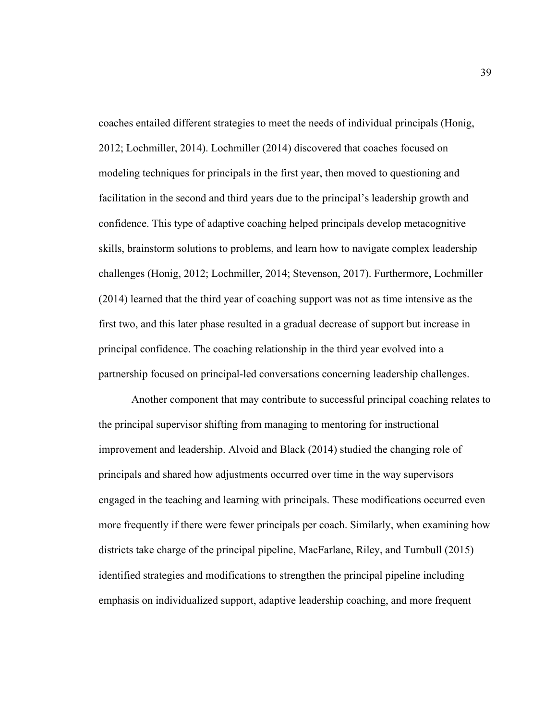coaches entailed different strategies to meet the needs of individual principals (Honig, 2012; Lochmiller, 2014). Lochmiller (2014) discovered that coaches focused on modeling techniques for principals in the first year, then moved to questioning and facilitation in the second and third years due to the principal's leadership growth and confidence. This type of adaptive coaching helped principals develop metacognitive skills, brainstorm solutions to problems, and learn how to navigate complex leadership challenges (Honig, 2012; Lochmiller, 2014; Stevenson, 2017). Furthermore, Lochmiller (2014) learned that the third year of coaching support was not as time intensive as the first two, and this later phase resulted in a gradual decrease of support but increase in principal confidence. The coaching relationship in the third year evolved into a partnership focused on principal-led conversations concerning leadership challenges.

Another component that may contribute to successful principal coaching relates to the principal supervisor shifting from managing to mentoring for instructional improvement and leadership. Alvoid and Black (2014) studied the changing role of principals and shared how adjustments occurred over time in the way supervisors engaged in the teaching and learning with principals. These modifications occurred even more frequently if there were fewer principals per coach. Similarly, when examining how districts take charge of the principal pipeline, MacFarlane, Riley, and Turnbull (2015) identified strategies and modifications to strengthen the principal pipeline including emphasis on individualized support, adaptive leadership coaching, and more frequent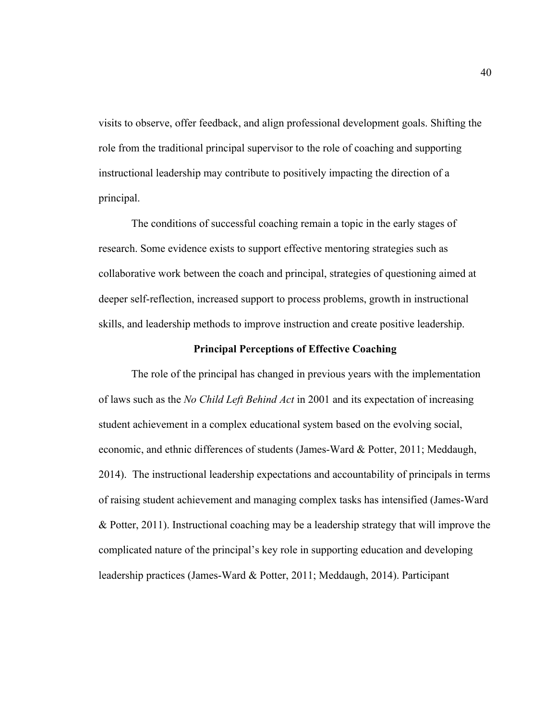visits to observe, offer feedback, and align professional development goals. Shifting the role from the traditional principal supervisor to the role of coaching and supporting instructional leadership may contribute to positively impacting the direction of a principal.

The conditions of successful coaching remain a topic in the early stages of research. Some evidence exists to support effective mentoring strategies such as collaborative work between the coach and principal, strategies of questioning aimed at deeper self-reflection, increased support to process problems, growth in instructional skills, and leadership methods to improve instruction and create positive leadership.

### **Principal Perceptions of Effective Coaching**

The role of the principal has changed in previous years with the implementation of laws such as the *No Child Left Behind Act* in 2001 and its expectation of increasing student achievement in a complex educational system based on the evolving social, economic, and ethnic differences of students (James-Ward & Potter, 2011; Meddaugh, 2014). The instructional leadership expectations and accountability of principals in terms of raising student achievement and managing complex tasks has intensified (James-Ward & Potter, 2011). Instructional coaching may be a leadership strategy that will improve the complicated nature of the principal's key role in supporting education and developing leadership practices (James-Ward & Potter, 2011; Meddaugh, 2014). Participant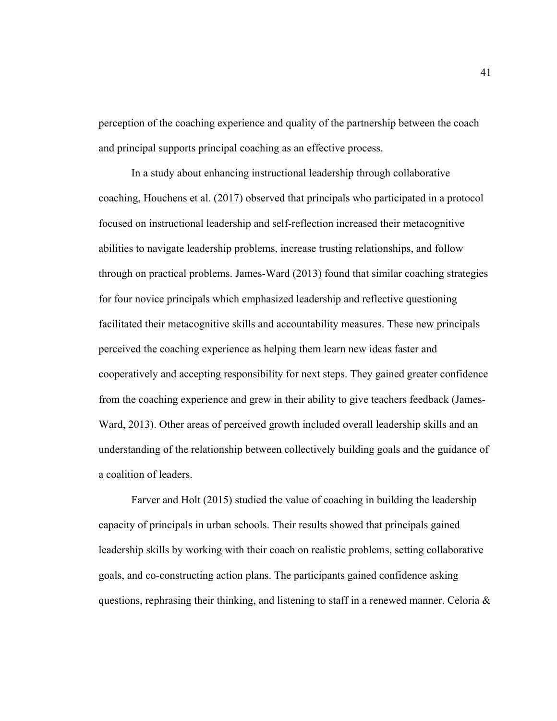perception of the coaching experience and quality of the partnership between the coach and principal supports principal coaching as an effective process.

In a study about enhancing instructional leadership through collaborative coaching, Houchens et al. (2017) observed that principals who participated in a protocol focused on instructional leadership and self-reflection increased their metacognitive abilities to navigate leadership problems, increase trusting relationships, and follow through on practical problems. James-Ward (2013) found that similar coaching strategies for four novice principals which emphasized leadership and reflective questioning facilitated their metacognitive skills and accountability measures. These new principals perceived the coaching experience as helping them learn new ideas faster and cooperatively and accepting responsibility for next steps. They gained greater confidence from the coaching experience and grew in their ability to give teachers feedback (James-Ward, 2013). Other areas of perceived growth included overall leadership skills and an understanding of the relationship between collectively building goals and the guidance of a coalition of leaders.

Farver and Holt (2015) studied the value of coaching in building the leadership capacity of principals in urban schools. Their results showed that principals gained leadership skills by working with their coach on realistic problems, setting collaborative goals, and co-constructing action plans. The participants gained confidence asking questions, rephrasing their thinking, and listening to staff in a renewed manner. Celoria &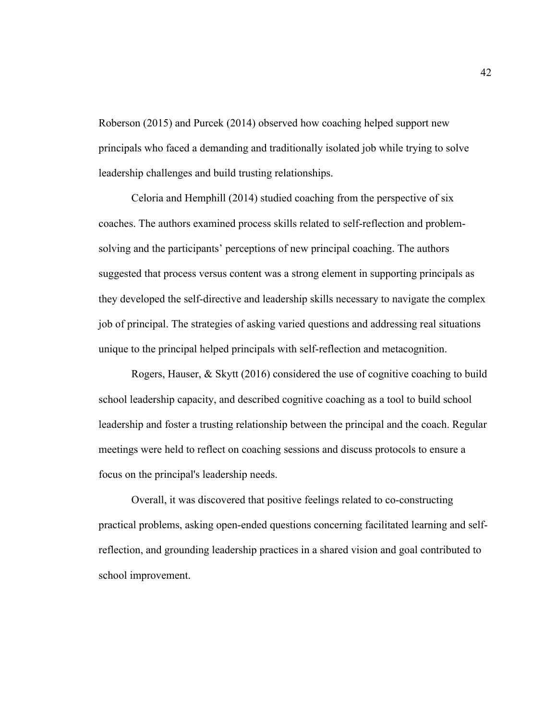Roberson (2015) and Purcek (2014) observed how coaching helped support new principals who faced a demanding and traditionally isolated job while trying to solve leadership challenges and build trusting relationships.

Celoria and Hemphill (2014) studied coaching from the perspective of six coaches. The authors examined process skills related to self-reflection and problemsolving and the participants' perceptions of new principal coaching. The authors suggested that process versus content was a strong element in supporting principals as they developed the self-directive and leadership skills necessary to navigate the complex job of principal. The strategies of asking varied questions and addressing real situations unique to the principal helped principals with self-reflection and metacognition.

Rogers, Hauser, & Skytt (2016) considered the use of cognitive coaching to build school leadership capacity, and described cognitive coaching as a tool to build school leadership and foster a trusting relationship between the principal and the coach. Regular meetings were held to reflect on coaching sessions and discuss protocols to ensure a focus on the principal's leadership needs.

Overall, it was discovered that positive feelings related to co-constructing practical problems, asking open-ended questions concerning facilitated learning and selfreflection, and grounding leadership practices in a shared vision and goal contributed to school improvement.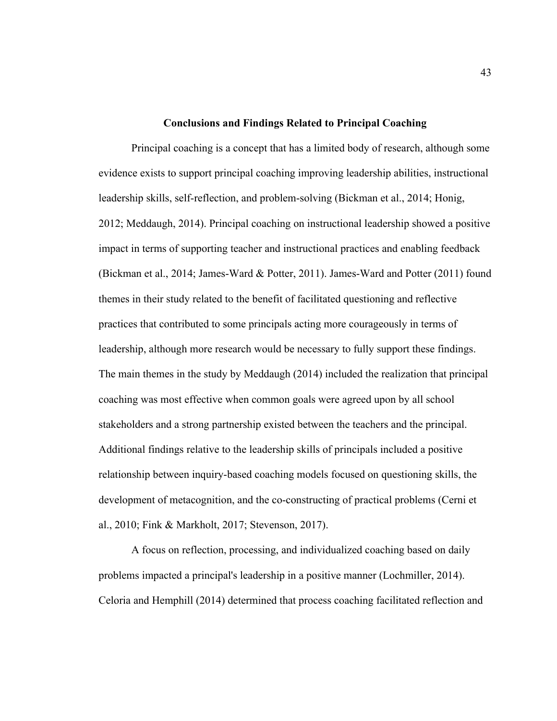### **Conclusions and Findings Related to Principal Coaching**

Principal coaching is a concept that has a limited body of research, although some evidence exists to support principal coaching improving leadership abilities, instructional leadership skills, self-reflection, and problem-solving (Bickman et al., 2014; Honig, 2012; Meddaugh, 2014). Principal coaching on instructional leadership showed a positive impact in terms of supporting teacher and instructional practices and enabling feedback (Bickman et al., 2014; James-Ward & Potter, 2011). James-Ward and Potter (2011) found themes in their study related to the benefit of facilitated questioning and reflective practices that contributed to some principals acting more courageously in terms of leadership, although more research would be necessary to fully support these findings. The main themes in the study by Meddaugh (2014) included the realization that principal coaching was most effective when common goals were agreed upon by all school stakeholders and a strong partnership existed between the teachers and the principal. Additional findings relative to the leadership skills of principals included a positive relationship between inquiry-based coaching models focused on questioning skills, the development of metacognition, and the co-constructing of practical problems (Cerni et al., 2010; Fink & Markholt, 2017; Stevenson, 2017).

A focus on reflection, processing, and individualized coaching based on daily problems impacted a principal's leadership in a positive manner (Lochmiller, 2014). Celoria and Hemphill (2014) determined that process coaching facilitated reflection and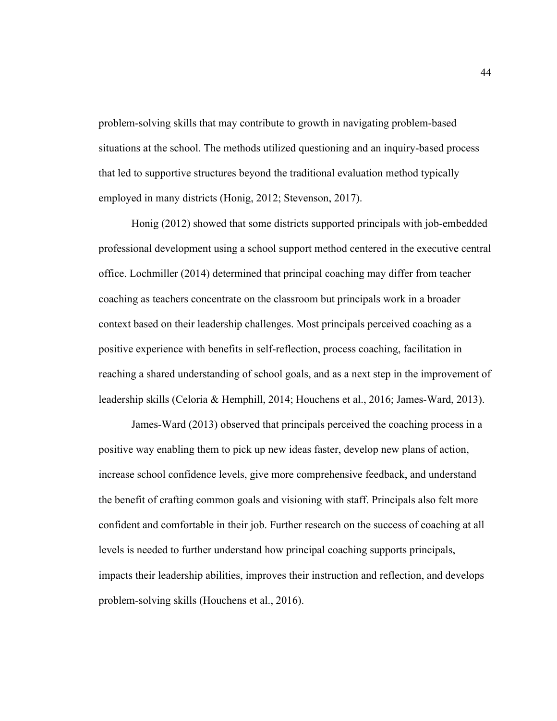problem-solving skills that may contribute to growth in navigating problem-based situations at the school. The methods utilized questioning and an inquiry-based process that led to supportive structures beyond the traditional evaluation method typically employed in many districts (Honig, 2012; Stevenson, 2017).

Honig (2012) showed that some districts supported principals with job-embedded professional development using a school support method centered in the executive central office. Lochmiller (2014) determined that principal coaching may differ from teacher coaching as teachers concentrate on the classroom but principals work in a broader context based on their leadership challenges. Most principals perceived coaching as a positive experience with benefits in self-reflection, process coaching, facilitation in reaching a shared understanding of school goals, and as a next step in the improvement of leadership skills (Celoria & Hemphill, 2014; Houchens et al., 2016; James-Ward, 2013).

James-Ward (2013) observed that principals perceived the coaching process in a positive way enabling them to pick up new ideas faster, develop new plans of action, increase school confidence levels, give more comprehensive feedback, and understand the benefit of crafting common goals and visioning with staff. Principals also felt more confident and comfortable in their job. Further research on the success of coaching at all levels is needed to further understand how principal coaching supports principals, impacts their leadership abilities, improves their instruction and reflection, and develops problem-solving skills (Houchens et al., 2016).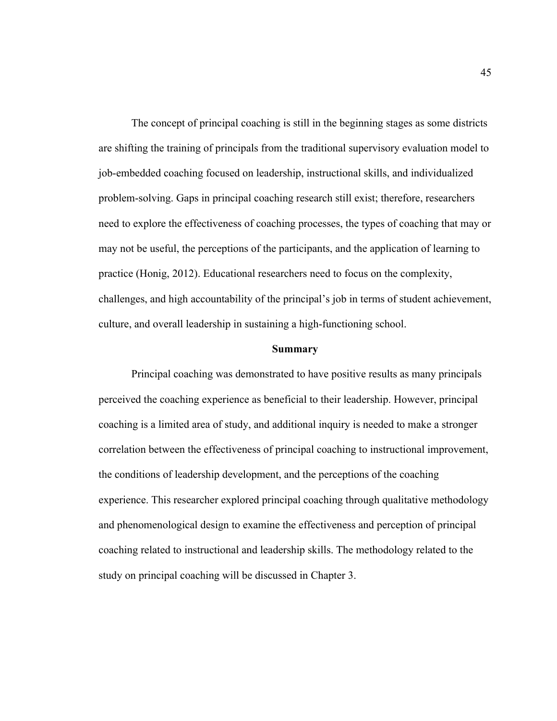The concept of principal coaching is still in the beginning stages as some districts are shifting the training of principals from the traditional supervisory evaluation model to job-embedded coaching focused on leadership, instructional skills, and individualized problem-solving. Gaps in principal coaching research still exist; therefore, researchers need to explore the effectiveness of coaching processes, the types of coaching that may or may not be useful, the perceptions of the participants, and the application of learning to practice (Honig, 2012). Educational researchers need to focus on the complexity, challenges, and high accountability of the principal's job in terms of student achievement, culture, and overall leadership in sustaining a high-functioning school.

### **Summary**

Principal coaching was demonstrated to have positive results as many principals perceived the coaching experience as beneficial to their leadership. However, principal coaching is a limited area of study, and additional inquiry is needed to make a stronger correlation between the effectiveness of principal coaching to instructional improvement, the conditions of leadership development, and the perceptions of the coaching experience. This researcher explored principal coaching through qualitative methodology and phenomenological design to examine the effectiveness and perception of principal coaching related to instructional and leadership skills. The methodology related to the study on principal coaching will be discussed in Chapter 3.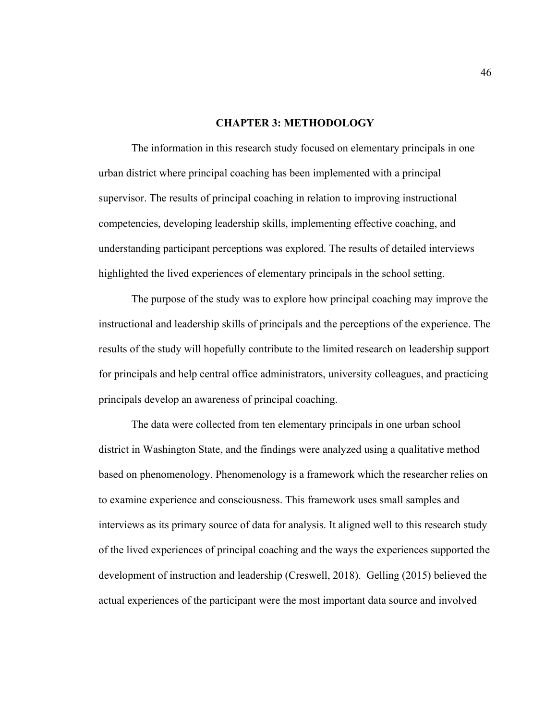## **CHAPTER 3: METHODOLOGY**

The information in this research study focused on elementary principals in one urban district where principal coaching has been implemented with a principal supervisor. The results of principal coaching in relation to improving instructional competencies, developing leadership skills, implementing effective coaching, and understanding participant perceptions was explored. The results of detailed interviews highlighted the lived experiences of elementary principals in the school setting.

The purpose of the study was to explore how principal coaching may improve the instructional and leadership skills of principals and the perceptions of the experience. The results of the study will hopefully contribute to the limited research on leadership support for principals and help central office administrators, university colleagues, and practicing principals develop an awareness of principal coaching.

The data were collected from ten elementary principals in one urban school district in Washington State, and the findings were analyzed using a qualitative method based on phenomenology. Phenomenology is a framework which the researcher relies on to examine experience and consciousness. This framework uses small samples and interviews as its primary source of data for analysis. It aligned well to this research study of the lived experiences of principal coaching and the ways the experiences supported the development of instruction and leadership (Creswell, 2018). Gelling (2015) believed the actual experiences of the participant were the most important data source and involved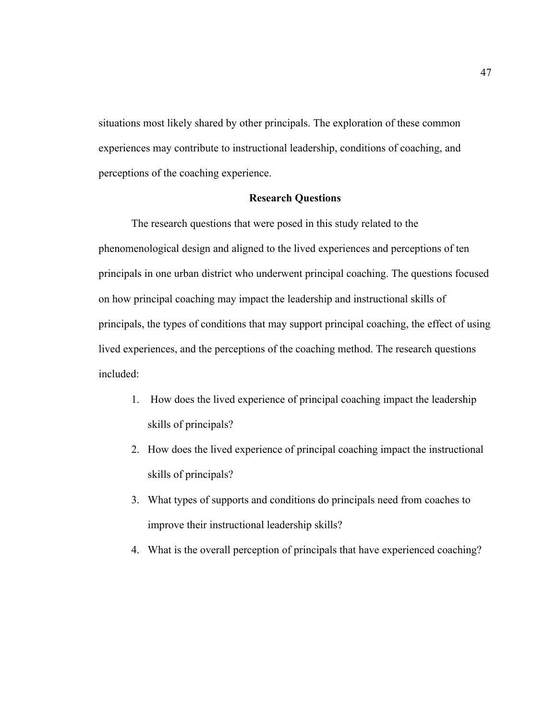situations most likely shared by other principals. The exploration of these common experiences may contribute to instructional leadership, conditions of coaching, and perceptions of the coaching experience.

# **Research Questions**

The research questions that were posed in this study related to the phenomenological design and aligned to the lived experiences and perceptions of ten principals in one urban district who underwent principal coaching. The questions focused on how principal coaching may impact the leadership and instructional skills of principals, the types of conditions that may support principal coaching, the effect of using lived experiences, and the perceptions of the coaching method. The research questions included:

- 1. How does the lived experience of principal coaching impact the leadership skills of principals?
- 2. How does the lived experience of principal coaching impact the instructional skills of principals?
- 3. What types of supports and conditions do principals need from coaches to improve their instructional leadership skills?
- 4. What is the overall perception of principals that have experienced coaching?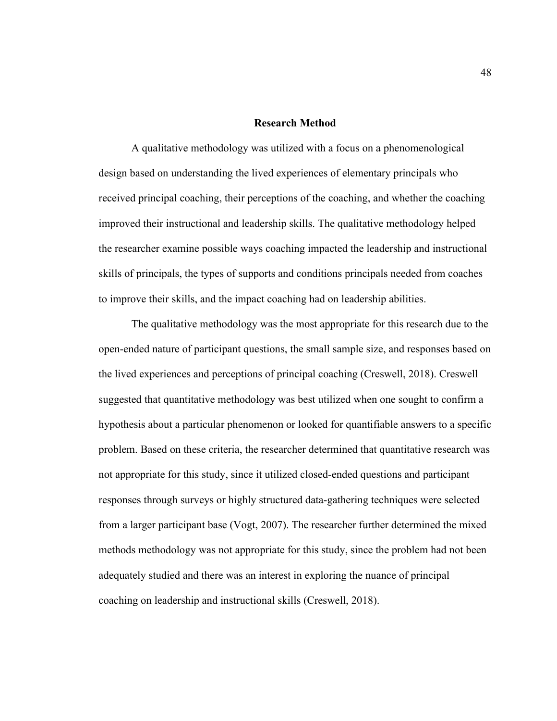## **Research Method**

A qualitative methodology was utilized with a focus on a phenomenological design based on understanding the lived experiences of elementary principals who received principal coaching, their perceptions of the coaching, and whether the coaching improved their instructional and leadership skills. The qualitative methodology helped the researcher examine possible ways coaching impacted the leadership and instructional skills of principals, the types of supports and conditions principals needed from coaches to improve their skills, and the impact coaching had on leadership abilities.

The qualitative methodology was the most appropriate for this research due to the open-ended nature of participant questions, the small sample size, and responses based on the lived experiences and perceptions of principal coaching (Creswell, 2018). Creswell suggested that quantitative methodology was best utilized when one sought to confirm a hypothesis about a particular phenomenon or looked for quantifiable answers to a specific problem. Based on these criteria, the researcher determined that quantitative research was not appropriate for this study, since it utilized closed-ended questions and participant responses through surveys or highly structured data-gathering techniques were selected from a larger participant base (Vogt, 2007). The researcher further determined the mixed methods methodology was not appropriate for this study, since the problem had not been adequately studied and there was an interest in exploring the nuance of principal coaching on leadership and instructional skills (Creswell, 2018).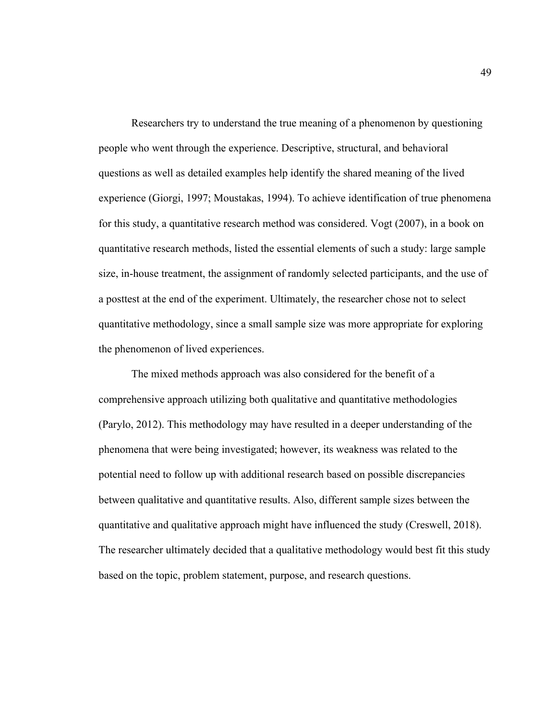Researchers try to understand the true meaning of a phenomenon by questioning people who went through the experience. Descriptive, structural, and behavioral questions as well as detailed examples help identify the shared meaning of the lived experience (Giorgi, 1997; Moustakas, 1994). To achieve identification of true phenomena for this study, a quantitative research method was considered. Vogt (2007), in a book on quantitative research methods, listed the essential elements of such a study: large sample size, in-house treatment, the assignment of randomly selected participants, and the use of a posttest at the end of the experiment. Ultimately, the researcher chose not to select quantitative methodology, since a small sample size was more appropriate for exploring the phenomenon of lived experiences.

The mixed methods approach was also considered for the benefit of a comprehensive approach utilizing both qualitative and quantitative methodologies (Parylo, 2012). This methodology may have resulted in a deeper understanding of the phenomena that were being investigated; however, its weakness was related to the potential need to follow up with additional research based on possible discrepancies between qualitative and quantitative results. Also, different sample sizes between the quantitative and qualitative approach might have influenced the study (Creswell, 2018). The researcher ultimately decided that a qualitative methodology would best fit this study based on the topic, problem statement, purpose, and research questions.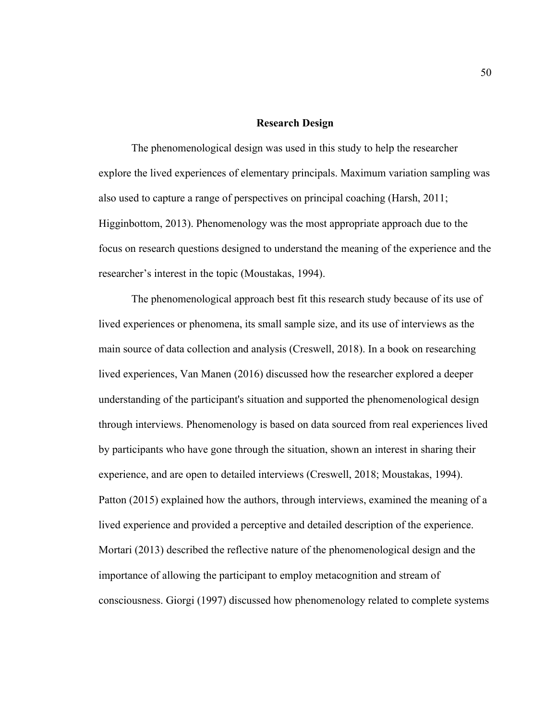## **Research Design**

The phenomenological design was used in this study to help the researcher explore the lived experiences of elementary principals. Maximum variation sampling was also used to capture a range of perspectives on principal coaching (Harsh, 2011; Higginbottom, 2013). Phenomenology was the most appropriate approach due to the focus on research questions designed to understand the meaning of the experience and the researcher's interest in the topic (Moustakas, 1994).

The phenomenological approach best fit this research study because of its use of lived experiences or phenomena, its small sample size, and its use of interviews as the main source of data collection and analysis (Creswell, 2018). In a book on researching lived experiences, Van Manen (2016) discussed how the researcher explored a deeper understanding of the participant's situation and supported the phenomenological design through interviews. Phenomenology is based on data sourced from real experiences lived by participants who have gone through the situation, shown an interest in sharing their experience, and are open to detailed interviews (Creswell, 2018; Moustakas, 1994). Patton (2015) explained how the authors, through interviews, examined the meaning of a lived experience and provided a perceptive and detailed description of the experience. Mortari (2013) described the reflective nature of the phenomenological design and the importance of allowing the participant to employ metacognition and stream of consciousness. Giorgi (1997) discussed how phenomenology related to complete systems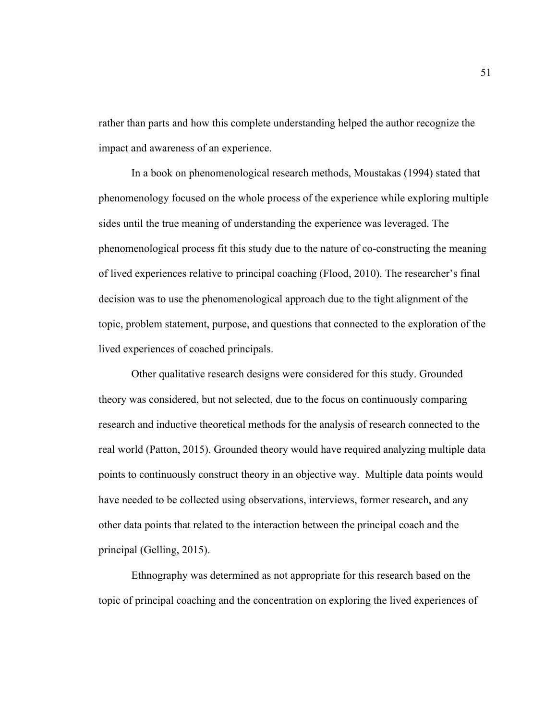rather than parts and how this complete understanding helped the author recognize the impact and awareness of an experience.

In a book on phenomenological research methods, Moustakas (1994) stated that phenomenology focused on the whole process of the experience while exploring multiple sides until the true meaning of understanding the experience was leveraged. The phenomenological process fit this study due to the nature of co-constructing the meaning of lived experiences relative to principal coaching (Flood, 2010). The researcher's final decision was to use the phenomenological approach due to the tight alignment of the topic, problem statement, purpose, and questions that connected to the exploration of the lived experiences of coached principals.

Other qualitative research designs were considered for this study. Grounded theory was considered, but not selected, due to the focus on continuously comparing research and inductive theoretical methods for the analysis of research connected to the real world (Patton, 2015). Grounded theory would have required analyzing multiple data points to continuously construct theory in an objective way. Multiple data points would have needed to be collected using observations, interviews, former research, and any other data points that related to the interaction between the principal coach and the principal (Gelling, 2015).

Ethnography was determined as not appropriate for this research based on the topic of principal coaching and the concentration on exploring the lived experiences of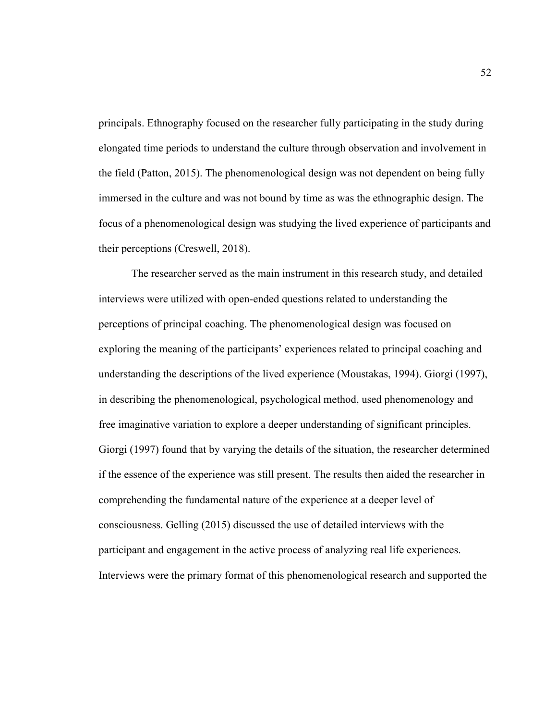principals. Ethnography focused on the researcher fully participating in the study during elongated time periods to understand the culture through observation and involvement in the field (Patton, 2015). The phenomenological design was not dependent on being fully immersed in the culture and was not bound by time as was the ethnographic design. The focus of a phenomenological design was studying the lived experience of participants and their perceptions (Creswell, 2018).

The researcher served as the main instrument in this research study, and detailed interviews were utilized with open-ended questions related to understanding the perceptions of principal coaching. The phenomenological design was focused on exploring the meaning of the participants' experiences related to principal coaching and understanding the descriptions of the lived experience (Moustakas, 1994). Giorgi (1997), in describing the phenomenological, psychological method, used phenomenology and free imaginative variation to explore a deeper understanding of significant principles. Giorgi (1997) found that by varying the details of the situation, the researcher determined if the essence of the experience was still present. The results then aided the researcher in comprehending the fundamental nature of the experience at a deeper level of consciousness. Gelling (2015) discussed the use of detailed interviews with the participant and engagement in the active process of analyzing real life experiences. Interviews were the primary format of this phenomenological research and supported the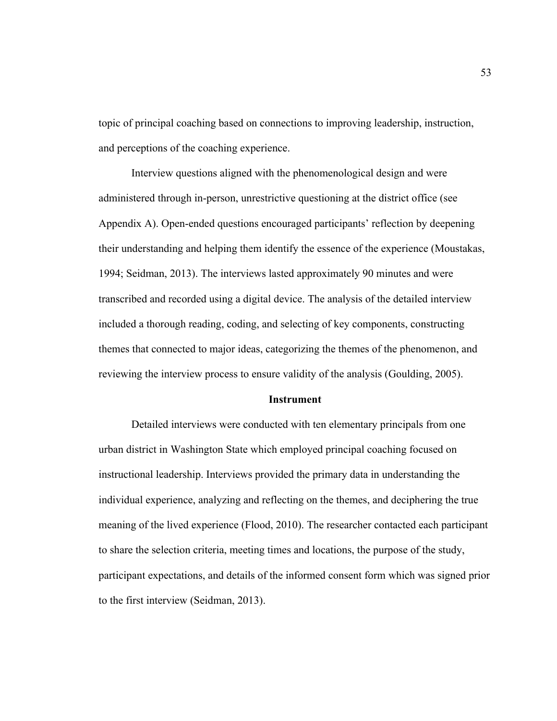topic of principal coaching based on connections to improving leadership, instruction, and perceptions of the coaching experience.

Interview questions aligned with the phenomenological design and were administered through in-person, unrestrictive questioning at the district office (see Appendix A). Open-ended questions encouraged participants' reflection by deepening their understanding and helping them identify the essence of the experience (Moustakas, 1994; Seidman, 2013). The interviews lasted approximately 90 minutes and were transcribed and recorded using a digital device. The analysis of the detailed interview included a thorough reading, coding, and selecting of key components, constructing themes that connected to major ideas, categorizing the themes of the phenomenon, and reviewing the interview process to ensure validity of the analysis (Goulding, 2005).

#### **Instrument**

Detailed interviews were conducted with ten elementary principals from one urban district in Washington State which employed principal coaching focused on instructional leadership. Interviews provided the primary data in understanding the individual experience, analyzing and reflecting on the themes, and deciphering the true meaning of the lived experience (Flood, 2010). The researcher contacted each participant to share the selection criteria, meeting times and locations, the purpose of the study, participant expectations, and details of the informed consent form which was signed prior to the first interview (Seidman, 2013).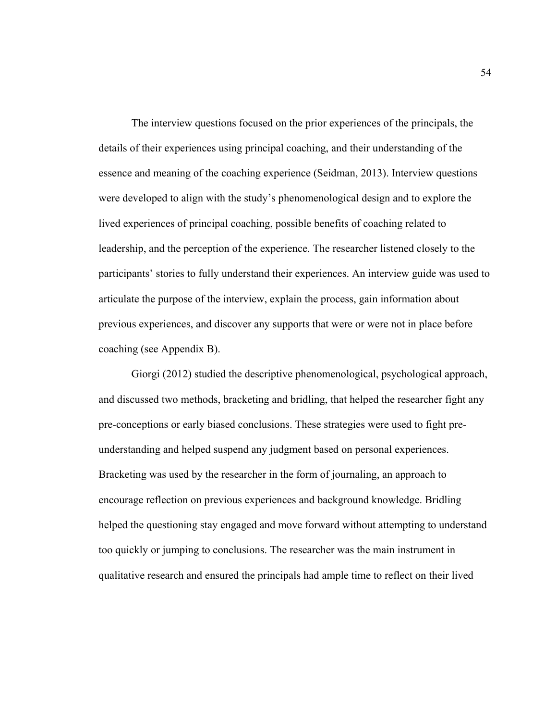The interview questions focused on the prior experiences of the principals, the details of their experiences using principal coaching, and their understanding of the essence and meaning of the coaching experience (Seidman, 2013). Interview questions were developed to align with the study's phenomenological design and to explore the lived experiences of principal coaching, possible benefits of coaching related to leadership, and the perception of the experience. The researcher listened closely to the participants' stories to fully understand their experiences. An interview guide was used to articulate the purpose of the interview, explain the process, gain information about previous experiences, and discover any supports that were or were not in place before coaching (see Appendix B).

Giorgi (2012) studied the descriptive phenomenological, psychological approach, and discussed two methods, bracketing and bridling, that helped the researcher fight any pre-conceptions or early biased conclusions. These strategies were used to fight preunderstanding and helped suspend any judgment based on personal experiences. Bracketing was used by the researcher in the form of journaling, an approach to encourage reflection on previous experiences and background knowledge. Bridling helped the questioning stay engaged and move forward without attempting to understand too quickly or jumping to conclusions. The researcher was the main instrument in qualitative research and ensured the principals had ample time to reflect on their lived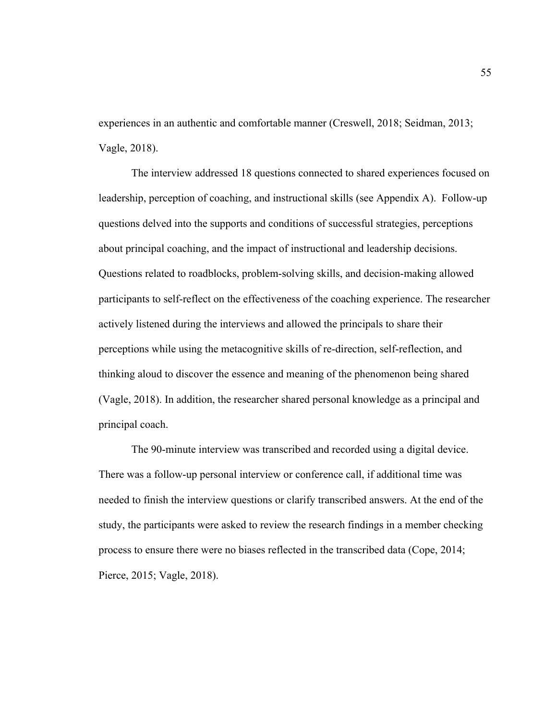experiences in an authentic and comfortable manner (Creswell, 2018; Seidman, 2013; Vagle, 2018).

The interview addressed 18 questions connected to shared experiences focused on leadership, perception of coaching, and instructional skills (see Appendix A). Follow-up questions delved into the supports and conditions of successful strategies, perceptions about principal coaching, and the impact of instructional and leadership decisions. Questions related to roadblocks, problem-solving skills, and decision-making allowed participants to self-reflect on the effectiveness of the coaching experience. The researcher actively listened during the interviews and allowed the principals to share their perceptions while using the metacognitive skills of re-direction, self-reflection, and thinking aloud to discover the essence and meaning of the phenomenon being shared (Vagle, 2018). In addition, the researcher shared personal knowledge as a principal and principal coach.

The 90-minute interview was transcribed and recorded using a digital device. There was a follow-up personal interview or conference call, if additional time was needed to finish the interview questions or clarify transcribed answers. At the end of the study, the participants were asked to review the research findings in a member checking process to ensure there were no biases reflected in the transcribed data (Cope, 2014; Pierce, 2015; Vagle, 2018).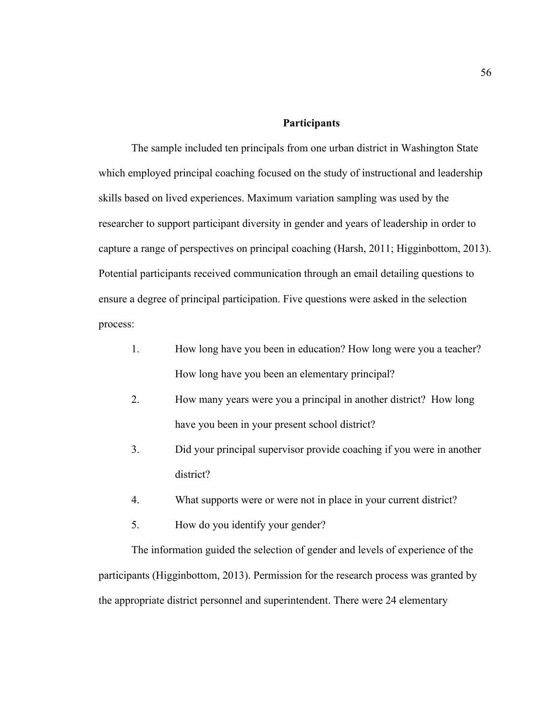## **Participants**

The sample included ten principals from one urban district in Washington State which employed principal coaching focused on the study of instructional and leadership skills based on lived experiences. Maximum variation sampling was used by the researcher to support participant diversity in gender and years of leadership in order to capture a range of perspectives on principal coaching (Harsh, 2011; Higginbottom, 2013). Potential participants received communication through an email detailing questions to ensure a degree of principal participation. Five questions were asked in the selection process:

- 1. How long have you been in education? How long were you a teacher? How long have you been an elementary principal?
- 2. How many years were you a principal in another district? How long have you been in your present school district?
- 3. Did your principal supervisor provide coaching if you were in another district?
- 4. What supports were or were not in place in your current district?
- 5. How do you identify your gender?

The information guided the selection of gender and levels of experience of the participants (Higginbottom, 2013). Permission for the research process was granted by the appropriate district personnel and superintendent. There were 24 elementary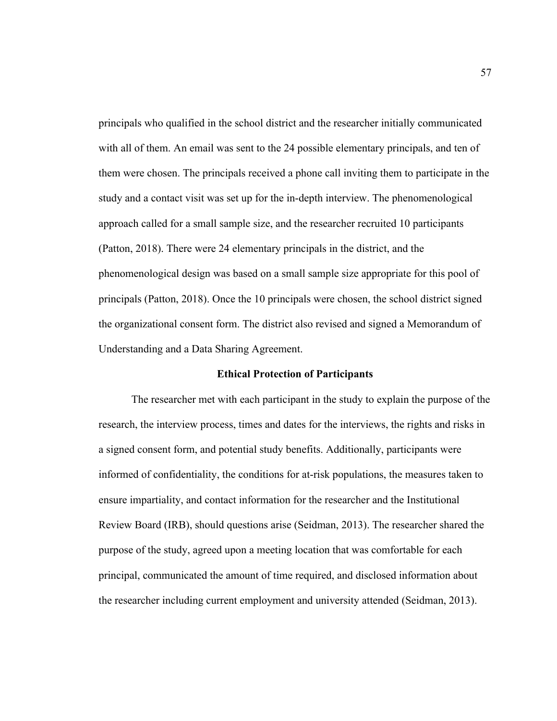principals who qualified in the school district and the researcher initially communicated with all of them. An email was sent to the 24 possible elementary principals, and ten of them were chosen. The principals received a phone call inviting them to participate in the study and a contact visit was set up for the in-depth interview. The phenomenological approach called for a small sample size, and the researcher recruited 10 participants (Patton, 2018). There were 24 elementary principals in the district, and the phenomenological design was based on a small sample size appropriate for this pool of principals (Patton, 2018). Once the 10 principals were chosen, the school district signed the organizational consent form. The district also revised and signed a Memorandum of Understanding and a Data Sharing Agreement.

#### **Ethical Protection of Participants**

The researcher met with each participant in the study to explain the purpose of the research, the interview process, times and dates for the interviews, the rights and risks in a signed consent form, and potential study benefits. Additionally, participants were informed of confidentiality, the conditions for at-risk populations, the measures taken to ensure impartiality, and contact information for the researcher and the Institutional Review Board (IRB), should questions arise (Seidman, 2013). The researcher shared the purpose of the study, agreed upon a meeting location that was comfortable for each principal, communicated the amount of time required, and disclosed information about the researcher including current employment and university attended (Seidman, 2013).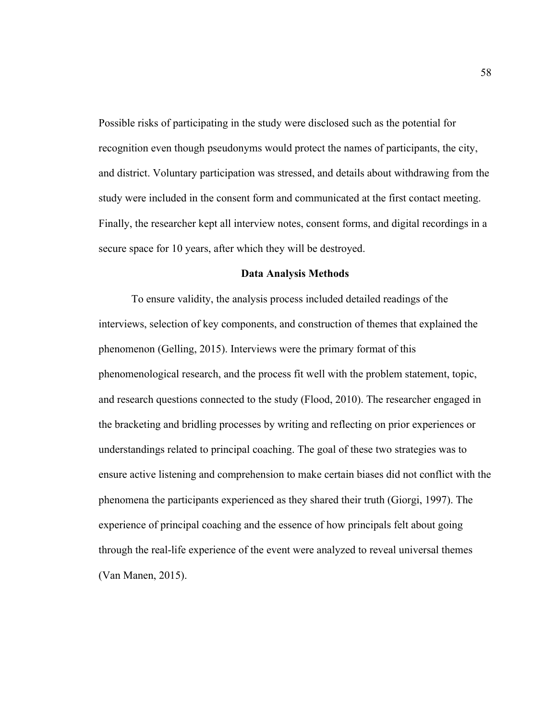Possible risks of participating in the study were disclosed such as the potential for recognition even though pseudonyms would protect the names of participants, the city, and district. Voluntary participation was stressed, and details about withdrawing from the study were included in the consent form and communicated at the first contact meeting. Finally, the researcher kept all interview notes, consent forms, and digital recordings in a secure space for 10 years, after which they will be destroyed.

#### **Data Analysis Methods**

To ensure validity, the analysis process included detailed readings of the interviews, selection of key components, and construction of themes that explained the phenomenon (Gelling, 2015). Interviews were the primary format of this phenomenological research, and the process fit well with the problem statement, topic, and research questions connected to the study (Flood, 2010). The researcher engaged in the bracketing and bridling processes by writing and reflecting on prior experiences or understandings related to principal coaching. The goal of these two strategies was to ensure active listening and comprehension to make certain biases did not conflict with the phenomena the participants experienced as they shared their truth (Giorgi, 1997). The experience of principal coaching and the essence of how principals felt about going through the real-life experience of the event were analyzed to reveal universal themes (Van Manen, 2015).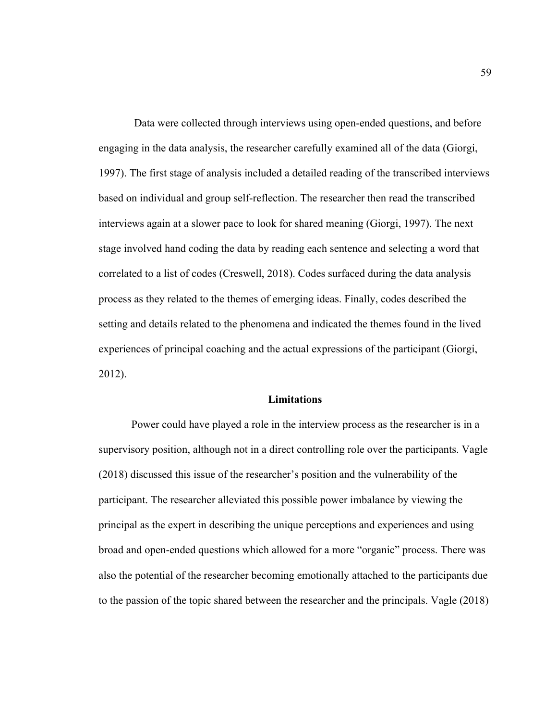Data were collected through interviews using open-ended questions, and before engaging in the data analysis, the researcher carefully examined all of the data (Giorgi, 1997). The first stage of analysis included a detailed reading of the transcribed interviews based on individual and group self-reflection. The researcher then read the transcribed interviews again at a slower pace to look for shared meaning (Giorgi, 1997). The next stage involved hand coding the data by reading each sentence and selecting a word that correlated to a list of codes (Creswell, 2018). Codes surfaced during the data analysis process as they related to the themes of emerging ideas. Finally, codes described the setting and details related to the phenomena and indicated the themes found in the lived experiences of principal coaching and the actual expressions of the participant (Giorgi, 2012).

## **Limitations**

Power could have played a role in the interview process as the researcher is in a supervisory position, although not in a direct controlling role over the participants. Vagle (2018) discussed this issue of the researcher's position and the vulnerability of the participant. The researcher alleviated this possible power imbalance by viewing the principal as the expert in describing the unique perceptions and experiences and using broad and open-ended questions which allowed for a more "organic" process. There was also the potential of the researcher becoming emotionally attached to the participants due to the passion of the topic shared between the researcher and the principals. Vagle (2018)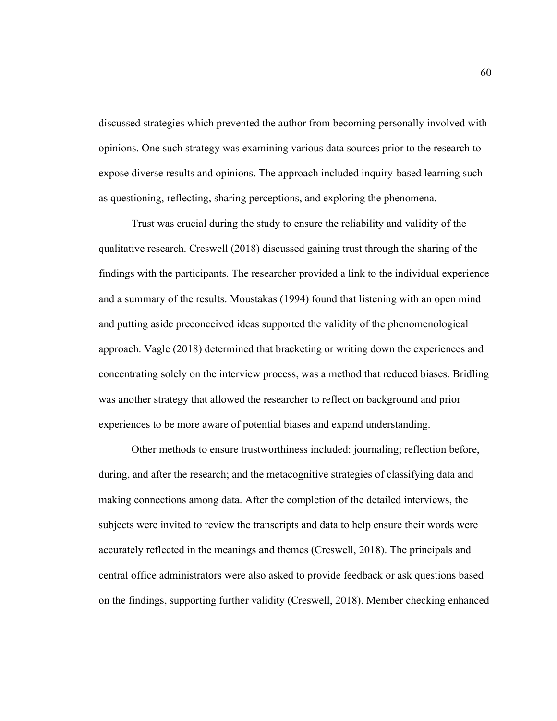discussed strategies which prevented the author from becoming personally involved with opinions. One such strategy was examining various data sources prior to the research to expose diverse results and opinions. The approach included inquiry-based learning such as questioning, reflecting, sharing perceptions, and exploring the phenomena.

Trust was crucial during the study to ensure the reliability and validity of the qualitative research. Creswell (2018) discussed gaining trust through the sharing of the findings with the participants. The researcher provided a link to the individual experience and a summary of the results. Moustakas (1994) found that listening with an open mind and putting aside preconceived ideas supported the validity of the phenomenological approach. Vagle (2018) determined that bracketing or writing down the experiences and concentrating solely on the interview process, was a method that reduced biases. Bridling was another strategy that allowed the researcher to reflect on background and prior experiences to be more aware of potential biases and expand understanding.

Other methods to ensure trustworthiness included: journaling; reflection before, during, and after the research; and the metacognitive strategies of classifying data and making connections among data. After the completion of the detailed interviews, the subjects were invited to review the transcripts and data to help ensure their words were accurately reflected in the meanings and themes (Creswell, 2018). The principals and central office administrators were also asked to provide feedback or ask questions based on the findings, supporting further validity (Creswell, 2018). Member checking enhanced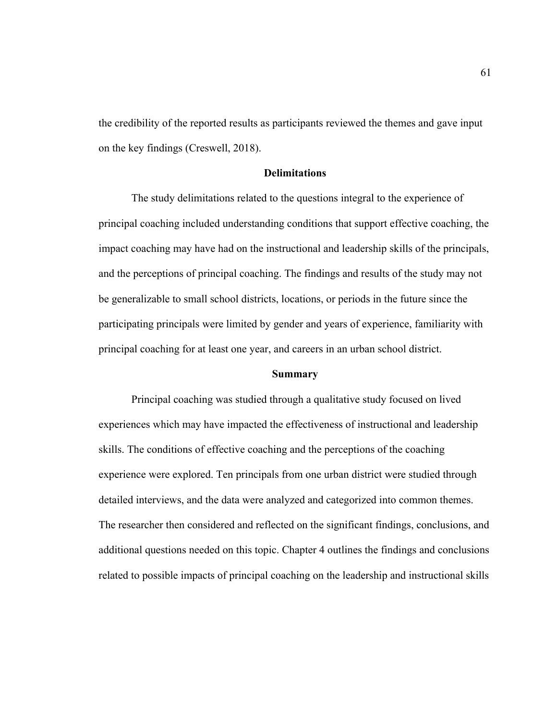the credibility of the reported results as participants reviewed the themes and gave input on the key findings (Creswell, 2018).

# **Delimitations**

The study delimitations related to the questions integral to the experience of principal coaching included understanding conditions that support effective coaching, the impact coaching may have had on the instructional and leadership skills of the principals, and the perceptions of principal coaching. The findings and results of the study may not be generalizable to small school districts, locations, or periods in the future since the participating principals were limited by gender and years of experience, familiarity with principal coaching for at least one year, and careers in an urban school district.

#### **Summary**

Principal coaching was studied through a qualitative study focused on lived experiences which may have impacted the effectiveness of instructional and leadership skills. The conditions of effective coaching and the perceptions of the coaching experience were explored. Ten principals from one urban district were studied through detailed interviews, and the data were analyzed and categorized into common themes. The researcher then considered and reflected on the significant findings, conclusions, and additional questions needed on this topic. Chapter 4 outlines the findings and conclusions related to possible impacts of principal coaching on the leadership and instructional skills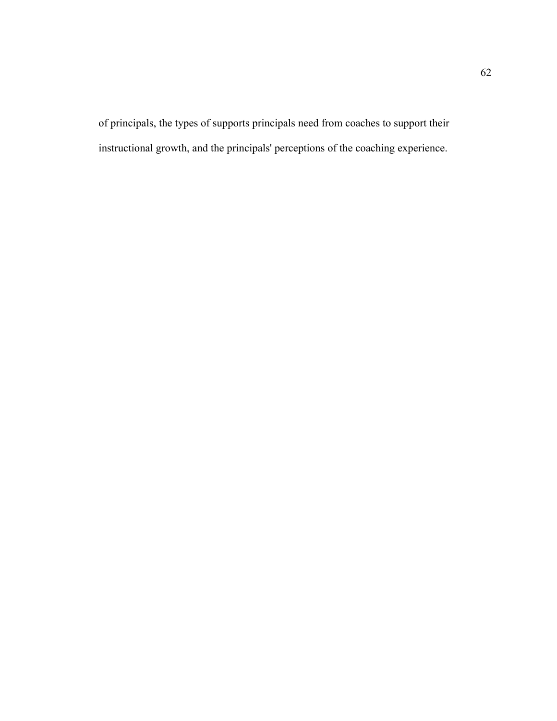of principals, the types of supports principals need from coaches to support their instructional growth, and the principals' perceptions of the coaching experience.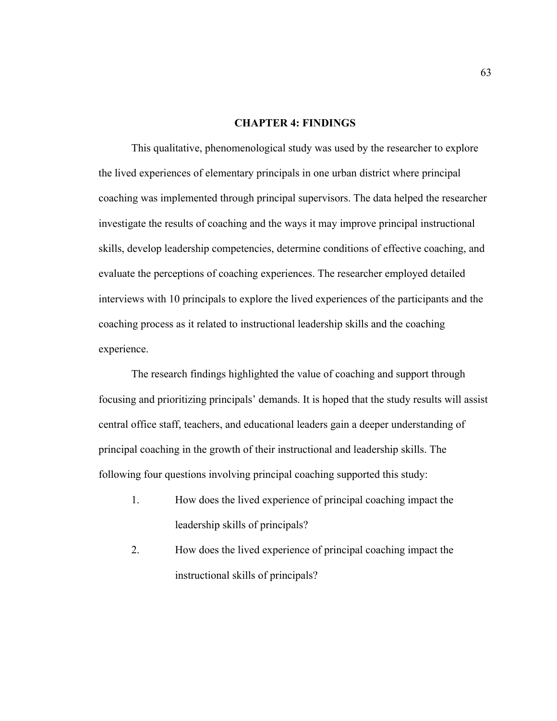## **CHAPTER 4: FINDINGS**

This qualitative, phenomenological study was used by the researcher to explore the lived experiences of elementary principals in one urban district where principal coaching was implemented through principal supervisors. The data helped the researcher investigate the results of coaching and the ways it may improve principal instructional skills, develop leadership competencies, determine conditions of effective coaching, and evaluate the perceptions of coaching experiences. The researcher employed detailed interviews with 10 principals to explore the lived experiences of the participants and the coaching process as it related to instructional leadership skills and the coaching experience.

The research findings highlighted the value of coaching and support through focusing and prioritizing principals' demands. It is hoped that the study results will assist central office staff, teachers, and educational leaders gain a deeper understanding of principal coaching in the growth of their instructional and leadership skills. The following four questions involving principal coaching supported this study:

- 1. How does the lived experience of principal coaching impact the leadership skills of principals?
- 2. How does the lived experience of principal coaching impact the instructional skills of principals?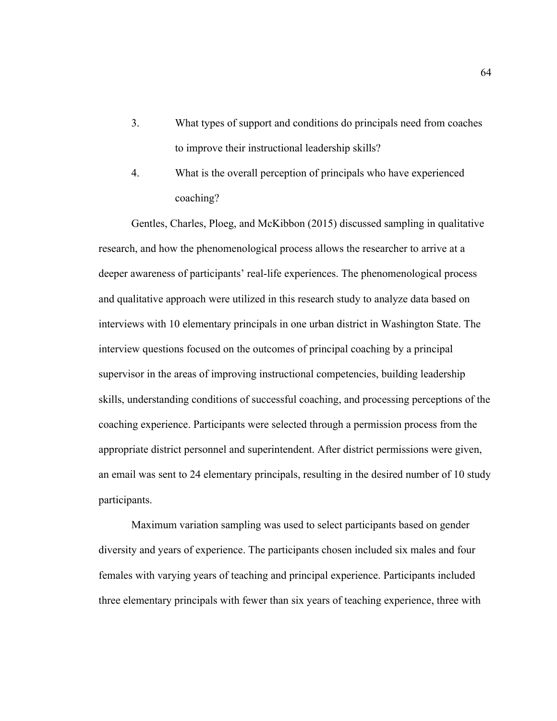- 3. What types of support and conditions do principals need from coaches to improve their instructional leadership skills?
- 4. What is the overall perception of principals who have experienced coaching?

Gentles, Charles, Ploeg, and McKibbon (2015) discussed sampling in qualitative research, and how the phenomenological process allows the researcher to arrive at a deeper awareness of participants' real-life experiences. The phenomenological process and qualitative approach were utilized in this research study to analyze data based on interviews with 10 elementary principals in one urban district in Washington State. The interview questions focused on the outcomes of principal coaching by a principal supervisor in the areas of improving instructional competencies, building leadership skills, understanding conditions of successful coaching, and processing perceptions of the coaching experience. Participants were selected through a permission process from the appropriate district personnel and superintendent. After district permissions were given, an email was sent to 24 elementary principals, resulting in the desired number of 10 study participants.

Maximum variation sampling was used to select participants based on gender diversity and years of experience. The participants chosen included six males and four females with varying years of teaching and principal experience. Participants included three elementary principals with fewer than six years of teaching experience, three with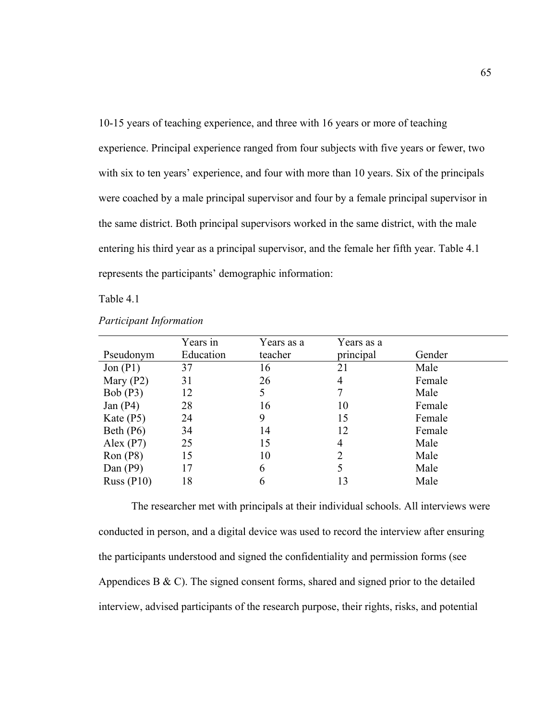10-15 years of teaching experience, and three with 16 years or more of teaching experience. Principal experience ranged from four subjects with five years or fewer, two with six to ten years' experience, and four with more than 10 years. Six of the principals were coached by a male principal supervisor and four by a female principal supervisor in the same district. Both principal supervisors worked in the same district, with the male entering his third year as a principal supervisor, and the female her fifth year. Table 4.1 represents the participants' demographic information:

Table 4.1

|              | Years in  | Years as a | Years as a |        |
|--------------|-----------|------------|------------|--------|
| Pseudonym    | Education | teacher    | principal  | Gender |
| Jon $(P1)$   | 37        | 16         | 21         | Male   |
| Mary $(P2)$  | 31        | 26         | 4          | Female |
| Bob(P3)      | 12        | 5          |            | Male   |
| Jan $(P4)$   | 28        | 16         | 10         | Female |
| Kate $(P5)$  | 24        | 9          | 15         | Female |
| Beth $(P6)$  | 34        | 14         | 12         | Female |
| Alex $(P7)$  | 25        | 15         | 4          | Male   |
| Ron(P8)      | 15        | 10         | 2          | Male   |
| Dan $(P9)$   | 17        | 6          |            | Male   |
| Russ $(P10)$ | 18        | 6          |            | Male   |

*Participant Information*

The researcher met with principals at their individual schools. All interviews were conducted in person, and a digital device was used to record the interview after ensuring the participants understood and signed the confidentiality and permission forms (see Appendices B  $\&$  C). The signed consent forms, shared and signed prior to the detailed interview, advised participants of the research purpose, their rights, risks, and potential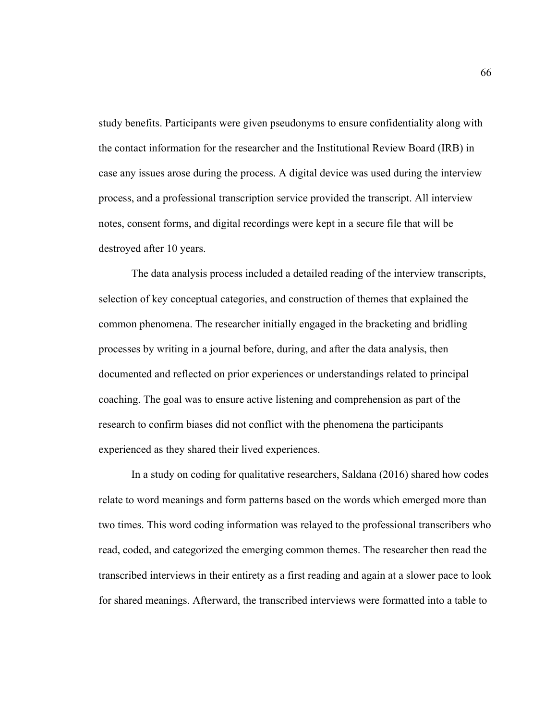study benefits. Participants were given pseudonyms to ensure confidentiality along with the contact information for the researcher and the Institutional Review Board (IRB) in case any issues arose during the process. A digital device was used during the interview process, and a professional transcription service provided the transcript. All interview notes, consent forms, and digital recordings were kept in a secure file that will be destroyed after 10 years.

The data analysis process included a detailed reading of the interview transcripts, selection of key conceptual categories, and construction of themes that explained the common phenomena. The researcher initially engaged in the bracketing and bridling processes by writing in a journal before, during, and after the data analysis, then documented and reflected on prior experiences or understandings related to principal coaching. The goal was to ensure active listening and comprehension as part of the research to confirm biases did not conflict with the phenomena the participants experienced as they shared their lived experiences.

In a study on coding for qualitative researchers, Saldana (2016) shared how codes relate to word meanings and form patterns based on the words which emerged more than two times. This word coding information was relayed to the professional transcribers who read, coded, and categorized the emerging common themes. The researcher then read the transcribed interviews in their entirety as a first reading and again at a slower pace to look for shared meanings. Afterward, the transcribed interviews were formatted into a table to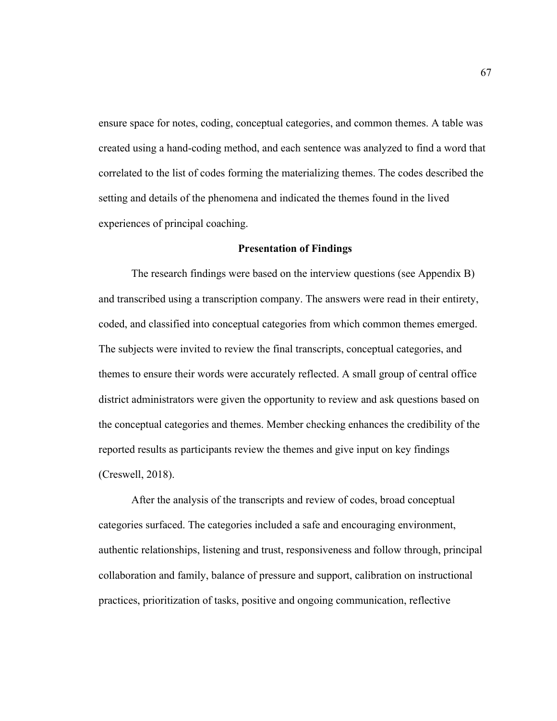ensure space for notes, coding, conceptual categories, and common themes. A table was created using a hand-coding method, and each sentence was analyzed to find a word that correlated to the list of codes forming the materializing themes. The codes described the setting and details of the phenomena and indicated the themes found in the lived experiences of principal coaching.

#### **Presentation of Findings**

The research findings were based on the interview questions (see Appendix B) and transcribed using a transcription company. The answers were read in their entirety, coded, and classified into conceptual categories from which common themes emerged. The subjects were invited to review the final transcripts, conceptual categories, and themes to ensure their words were accurately reflected. A small group of central office district administrators were given the opportunity to review and ask questions based on the conceptual categories and themes. Member checking enhances the credibility of the reported results as participants review the themes and give input on key findings (Creswell, 2018).

After the analysis of the transcripts and review of codes, broad conceptual categories surfaced. The categories included a safe and encouraging environment, authentic relationships, listening and trust, responsiveness and follow through, principal collaboration and family, balance of pressure and support, calibration on instructional practices, prioritization of tasks, positive and ongoing communication, reflective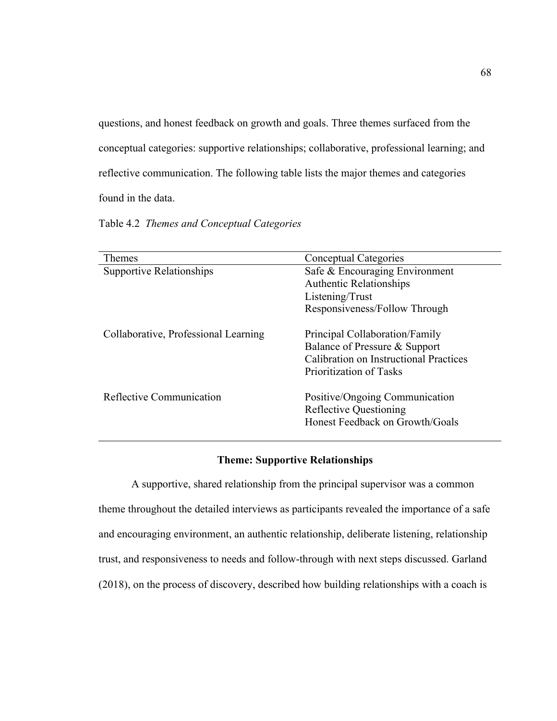questions, and honest feedback on growth and goals. Three themes surfaced from the conceptual categories: supportive relationships; collaborative, professional learning; and reflective communication. The following table lists the major themes and categories found in the data.

Table 4.2 *Themes and Conceptual Categories*

| Themes                               | <b>Conceptual Categories</b>                                                                       |  |  |
|--------------------------------------|----------------------------------------------------------------------------------------------------|--|--|
| Supportive Relationships             | Safe & Encouraging Environment                                                                     |  |  |
|                                      | <b>Authentic Relationships</b>                                                                     |  |  |
|                                      | Listening/Trust                                                                                    |  |  |
|                                      | Responsiveness/Follow Through                                                                      |  |  |
| Collaborative, Professional Learning | Principal Collaboration/Family                                                                     |  |  |
|                                      | Balance of Pressure & Support                                                                      |  |  |
|                                      | Calibration on Instructional Practices                                                             |  |  |
|                                      | Prioritization of Tasks                                                                            |  |  |
| Reflective Communication             | Positive/Ongoing Communication<br><b>Reflective Questioning</b><br>Honest Feedback on Growth/Goals |  |  |

# **Theme: Supportive Relationships**

A supportive, shared relationship from the principal supervisor was a common theme throughout the detailed interviews as participants revealed the importance of a safe and encouraging environment, an authentic relationship, deliberate listening, relationship trust, and responsiveness to needs and follow-through with next steps discussed. Garland (2018), on the process of discovery, described how building relationships with a coach is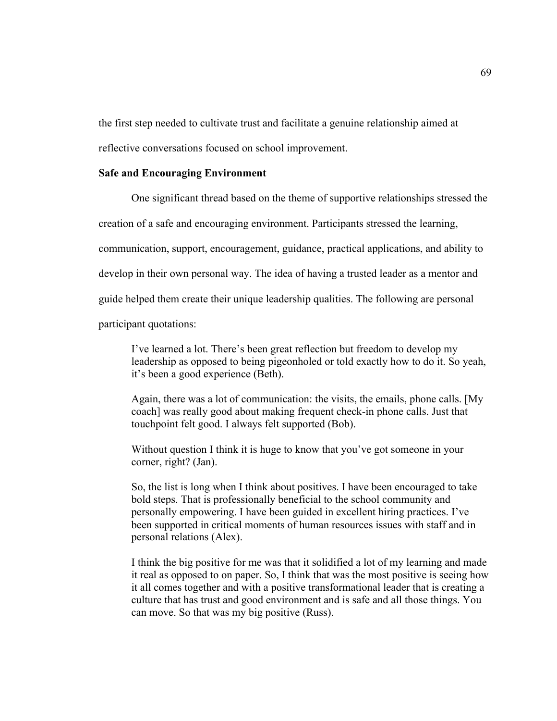the first step needed to cultivate trust and facilitate a genuine relationship aimed at

reflective conversations focused on school improvement.

## **Safe and Encouraging Environment**

One significant thread based on the theme of supportive relationships stressed the creation of a safe and encouraging environment. Participants stressed the learning, communication, support, encouragement, guidance, practical applications, and ability to develop in their own personal way. The idea of having a trusted leader as a mentor and guide helped them create their unique leadership qualities. The following are personal participant quotations:

I've learned a lot. There's been great reflection but freedom to develop my leadership as opposed to being pigeonholed or told exactly how to do it. So yeah, it's been a good experience (Beth).

Again, there was a lot of communication: the visits, the emails, phone calls. [My coach] was really good about making frequent check-in phone calls. Just that touchpoint felt good. I always felt supported (Bob).

Without question I think it is huge to know that you've got someone in your corner, right? (Jan).

So, the list is long when I think about positives. I have been encouraged to take bold steps. That is professionally beneficial to the school community and personally empowering. I have been guided in excellent hiring practices. I've been supported in critical moments of human resources issues with staff and in personal relations (Alex).

I think the big positive for me was that it solidified a lot of my learning and made it real as opposed to on paper. So, I think that was the most positive is seeing how it all comes together and with a positive transformational leader that is creating a culture that has trust and good environment and is safe and all those things. You can move. So that was my big positive (Russ).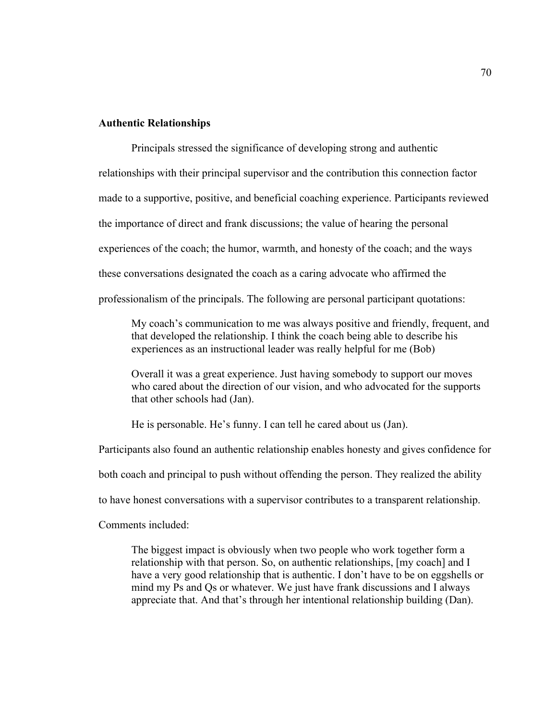#### **Authentic Relationships**

Principals stressed the significance of developing strong and authentic relationships with their principal supervisor and the contribution this connection factor made to a supportive, positive, and beneficial coaching experience. Participants reviewed the importance of direct and frank discussions; the value of hearing the personal experiences of the coach; the humor, warmth, and honesty of the coach; and the ways these conversations designated the coach as a caring advocate who affirmed the professionalism of the principals. The following are personal participant quotations:

My coach's communication to me was always positive and friendly, frequent, and that developed the relationship. I think the coach being able to describe his experiences as an instructional leader was really helpful for me (Bob)

Overall it was a great experience. Just having somebody to support our moves who cared about the direction of our vision, and who advocated for the supports that other schools had (Jan).

He is personable. He's funny. I can tell he cared about us (Jan).

Participants also found an authentic relationship enables honesty and gives confidence for both coach and principal to push without offending the person. They realized the ability to have honest conversations with a supervisor contributes to a transparent relationship. Comments included:

The biggest impact is obviously when two people who work together form a relationship with that person. So, on authentic relationships, [my coach] and I have a very good relationship that is authentic. I don't have to be on eggshells or mind my Ps and Qs or whatever. We just have frank discussions and I always appreciate that. And that's through her intentional relationship building (Dan).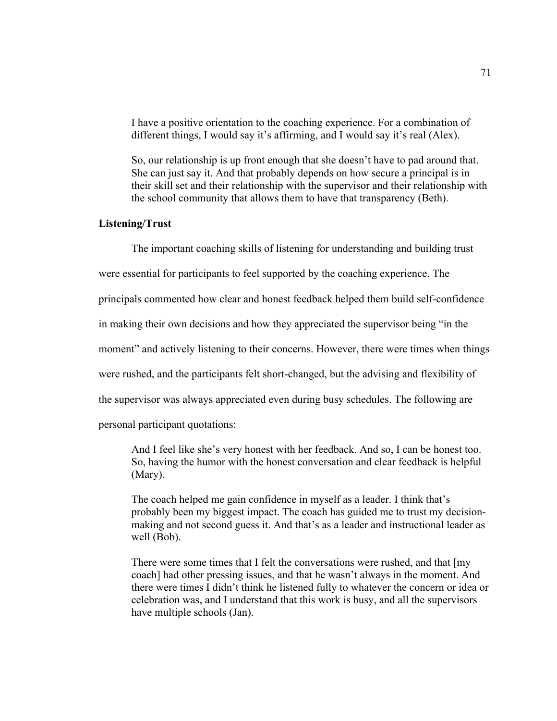I have a positive orientation to the coaching experience. For a combination of different things, I would say it's affirming, and I would say it's real (Alex).

So, our relationship is up front enough that she doesn't have to pad around that. She can just say it. And that probably depends on how secure a principal is in their skill set and their relationship with the supervisor and their relationship with the school community that allows them to have that transparency (Beth).

# **Listening/Trust**

The important coaching skills of listening for understanding and building trust were essential for participants to feel supported by the coaching experience. The principals commented how clear and honest feedback helped them build self-confidence in making their own decisions and how they appreciated the supervisor being "in the moment" and actively listening to their concerns. However, there were times when things were rushed, and the participants felt short-changed, but the advising and flexibility of the supervisor was always appreciated even during busy schedules. The following are personal participant quotations:

And I feel like she's very honest with her feedback. And so, I can be honest too. So, having the humor with the honest conversation and clear feedback is helpful (Mary).

The coach helped me gain confidence in myself as a leader. I think that's probably been my biggest impact. The coach has guided me to trust my decisionmaking and not second guess it. And that's as a leader and instructional leader as well (Bob).

There were some times that I felt the conversations were rushed, and that [my coach] had other pressing issues, and that he wasn't always in the moment. And there were times I didn't think he listened fully to whatever the concern or idea or celebration was, and I understand that this work is busy, and all the supervisors have multiple schools (Jan).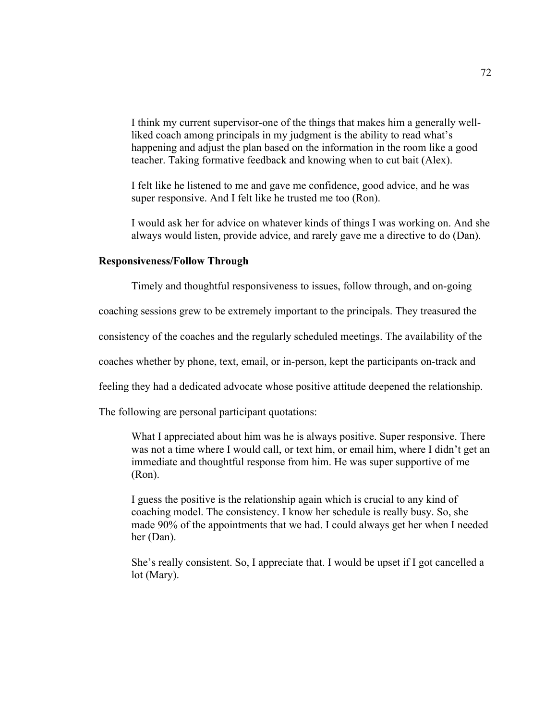I think my current supervisor-one of the things that makes him a generally wellliked coach among principals in my judgment is the ability to read what's happening and adjust the plan based on the information in the room like a good teacher. Taking formative feedback and knowing when to cut bait (Alex).

I felt like he listened to me and gave me confidence, good advice, and he was super responsive. And I felt like he trusted me too (Ron).

I would ask her for advice on whatever kinds of things I was working on. And she always would listen, provide advice, and rarely gave me a directive to do (Dan).

#### **Responsiveness/Follow Through**

Timely and thoughtful responsiveness to issues, follow through, and on-going

coaching sessions grew to be extremely important to the principals. They treasured the

consistency of the coaches and the regularly scheduled meetings. The availability of the

coaches whether by phone, text, email, or in-person, kept the participants on-track and

feeling they had a dedicated advocate whose positive attitude deepened the relationship.

The following are personal participant quotations:

What I appreciated about him was he is always positive. Super responsive. There was not a time where I would call, or text him, or email him, where I didn't get an immediate and thoughtful response from him. He was super supportive of me (Ron).

I guess the positive is the relationship again which is crucial to any kind of coaching model. The consistency. I know her schedule is really busy. So, she made 90% of the appointments that we had. I could always get her when I needed her (Dan).

She's really consistent. So, I appreciate that. I would be upset if I got cancelled a lot (Mary).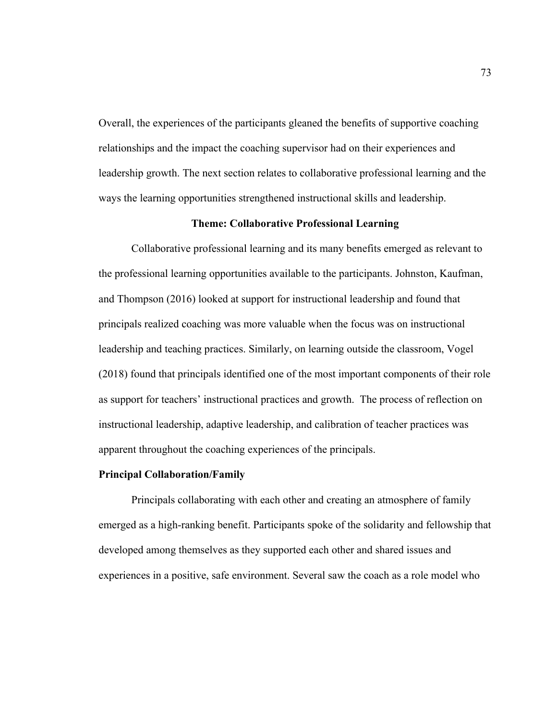Overall, the experiences of the participants gleaned the benefits of supportive coaching relationships and the impact the coaching supervisor had on their experiences and leadership growth. The next section relates to collaborative professional learning and the ways the learning opportunities strengthened instructional skills and leadership.

#### **Theme: Collaborative Professional Learning**

Collaborative professional learning and its many benefits emerged as relevant to the professional learning opportunities available to the participants. Johnston, Kaufman, and Thompson (2016) looked at support for instructional leadership and found that principals realized coaching was more valuable when the focus was on instructional leadership and teaching practices. Similarly, on learning outside the classroom, Vogel (2018) found that principals identified one of the most important components of their role as support for teachers' instructional practices and growth. The process of reflection on instructional leadership, adaptive leadership, and calibration of teacher practices was apparent throughout the coaching experiences of the principals.

#### **Principal Collaboration/Family**

Principals collaborating with each other and creating an atmosphere of family emerged as a high-ranking benefit. Participants spoke of the solidarity and fellowship that developed among themselves as they supported each other and shared issues and experiences in a positive, safe environment. Several saw the coach as a role model who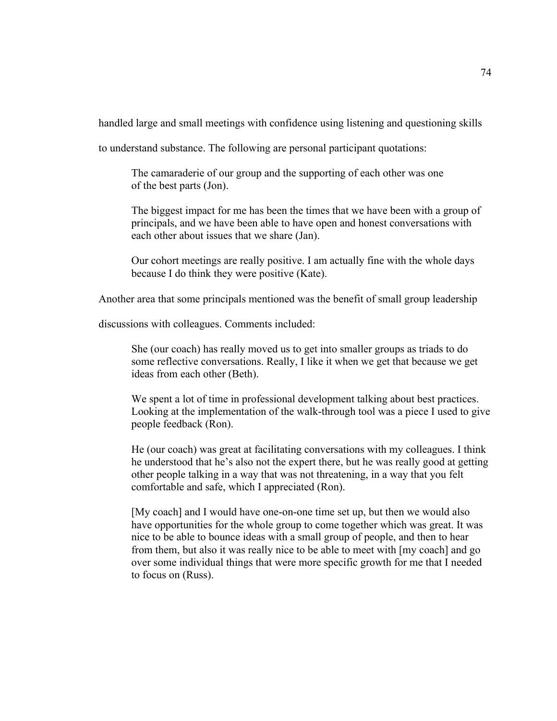handled large and small meetings with confidence using listening and questioning skills

to understand substance. The following are personal participant quotations:

The camaraderie of our group and the supporting of each other was one of the best parts (Jon).

The biggest impact for me has been the times that we have been with a group of principals, and we have been able to have open and honest conversations with each other about issues that we share (Jan).

Our cohort meetings are really positive. I am actually fine with the whole days because I do think they were positive (Kate).

Another area that some principals mentioned was the benefit of small group leadership

discussions with colleagues. Comments included:

She (our coach) has really moved us to get into smaller groups as triads to do some reflective conversations. Really, I like it when we get that because we get ideas from each other (Beth).

We spent a lot of time in professional development talking about best practices. Looking at the implementation of the walk-through tool was a piece I used to give people feedback (Ron).

He (our coach) was great at facilitating conversations with my colleagues. I think he understood that he's also not the expert there, but he was really good at getting other people talking in a way that was not threatening, in a way that you felt comfortable and safe, which I appreciated (Ron).

[My coach] and I would have one-on-one time set up, but then we would also have opportunities for the whole group to come together which was great. It was nice to be able to bounce ideas with a small group of people, and then to hear from them, but also it was really nice to be able to meet with [my coach] and go over some individual things that were more specific growth for me that I needed to focus on (Russ).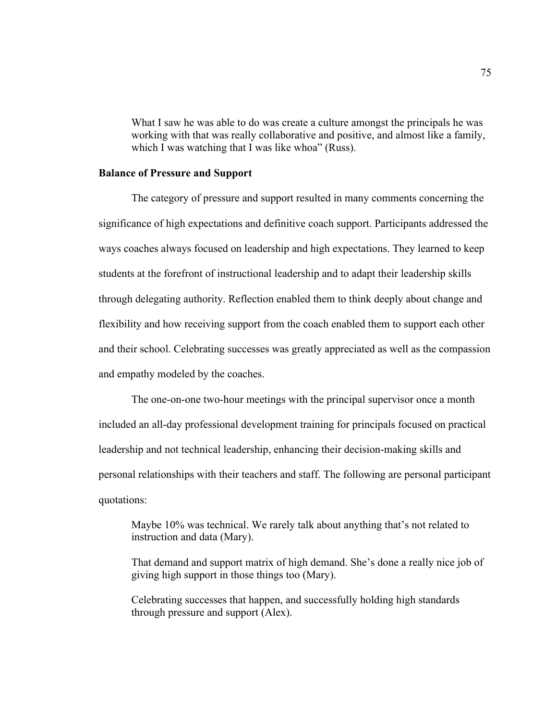What I saw he was able to do was create a culture amongst the principals he was working with that was really collaborative and positive, and almost like a family, which I was watching that I was like whoa" (Russ).

#### **Balance of Pressure and Support**

The category of pressure and support resulted in many comments concerning the significance of high expectations and definitive coach support. Participants addressed the ways coaches always focused on leadership and high expectations. They learned to keep students at the forefront of instructional leadership and to adapt their leadership skills through delegating authority. Reflection enabled them to think deeply about change and flexibility and how receiving support from the coach enabled them to support each other and their school. Celebrating successes was greatly appreciated as well as the compassion and empathy modeled by the coaches.

The one-on-one two-hour meetings with the principal supervisor once a month included an all-day professional development training for principals focused on practical leadership and not technical leadership, enhancing their decision-making skills and personal relationships with their teachers and staff. The following are personal participant quotations:

Maybe 10% was technical. We rarely talk about anything that's not related to instruction and data (Mary).

That demand and support matrix of high demand. She's done a really nice job of giving high support in those things too (Mary).

Celebrating successes that happen, and successfully holding high standards through pressure and support (Alex).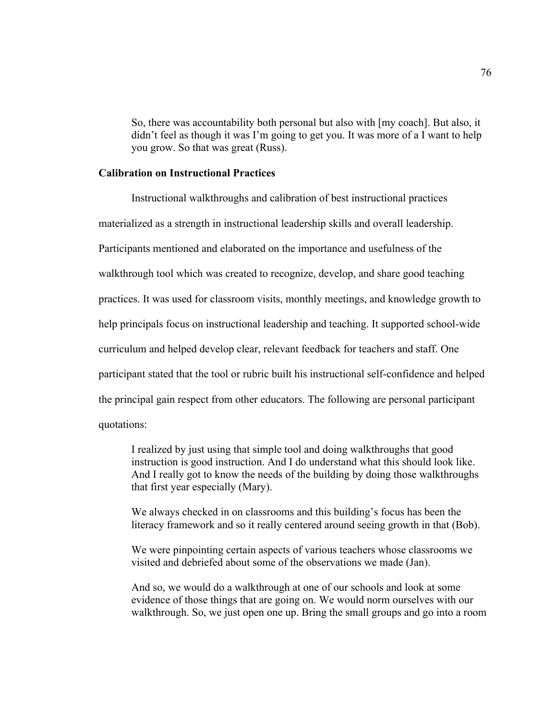So, there was accountability both personal but also with [my coach]. But also, it didn't feel as though it was I'm going to get you. It was more of a I want to help you grow. So that was great (Russ).

#### **Calibration on Instructional Practices**

Instructional walkthroughs and calibration of best instructional practices materialized as a strength in instructional leadership skills and overall leadership. Participants mentioned and elaborated on the importance and usefulness of the walkthrough tool which was created to recognize, develop, and share good teaching practices. It was used for classroom visits, monthly meetings, and knowledge growth to help principals focus on instructional leadership and teaching. It supported school-wide curriculum and helped develop clear, relevant feedback for teachers and staff. One participant stated that the tool or rubric built his instructional self-confidence and helped the principal gain respect from other educators. The following are personal participant quotations:

I realized by just using that simple tool and doing walkthroughs that good instruction is good instruction. And I do understand what this should look like. And I really got to know the needs of the building by doing those walkthroughs that first year especially (Mary).

We always checked in on classrooms and this building's focus has been the literacy framework and so it really centered around seeing growth in that (Bob).

We were pinpointing certain aspects of various teachers whose classrooms we visited and debriefed about some of the observations we made (Jan).

And so, we would do a walkthrough at one of our schools and look at some evidence of those things that are going on. We would norm ourselves with our walkthrough. So, we just open one up. Bring the small groups and go into a room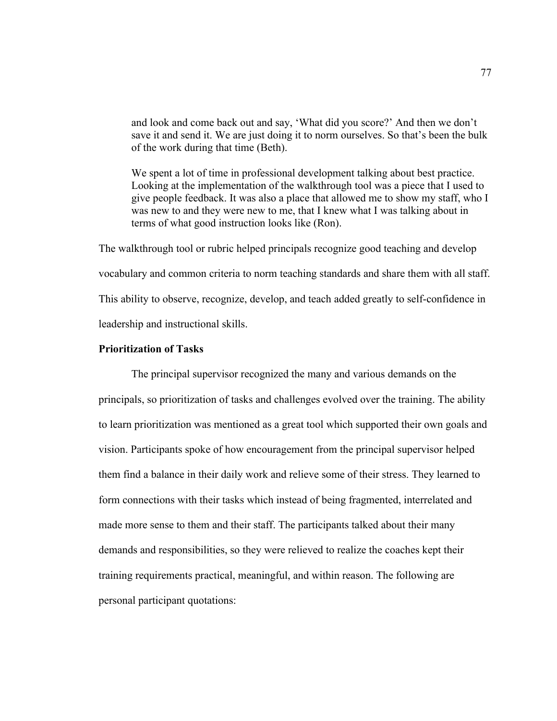and look and come back out and say, 'What did you score?' And then we don't save it and send it. We are just doing it to norm ourselves. So that's been the bulk of the work during that time (Beth).

We spent a lot of time in professional development talking about best practice. Looking at the implementation of the walkthrough tool was a piece that I used to give people feedback. It was also a place that allowed me to show my staff, who I was new to and they were new to me, that I knew what I was talking about in terms of what good instruction looks like (Ron).

The walkthrough tool or rubric helped principals recognize good teaching and develop vocabulary and common criteria to norm teaching standards and share them with all staff. This ability to observe, recognize, develop, and teach added greatly to self-confidence in leadership and instructional skills.

## **Prioritization of Tasks**

The principal supervisor recognized the many and various demands on the principals, so prioritization of tasks and challenges evolved over the training. The ability to learn prioritization was mentioned as a great tool which supported their own goals and vision. Participants spoke of how encouragement from the principal supervisor helped them find a balance in their daily work and relieve some of their stress. They learned to form connections with their tasks which instead of being fragmented, interrelated and made more sense to them and their staff. The participants talked about their many demands and responsibilities, so they were relieved to realize the coaches kept their training requirements practical, meaningful, and within reason. The following are personal participant quotations: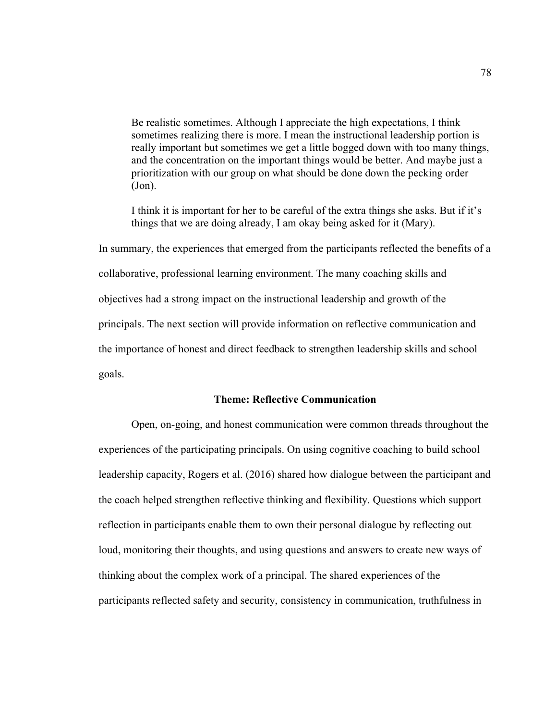Be realistic sometimes. Although I appreciate the high expectations, I think sometimes realizing there is more. I mean the instructional leadership portion is really important but sometimes we get a little bogged down with too many things, and the concentration on the important things would be better. And maybe just a prioritization with our group on what should be done down the pecking order (Jon).

I think it is important for her to be careful of the extra things she asks. But if it's things that we are doing already, I am okay being asked for it (Mary).

In summary, the experiences that emerged from the participants reflected the benefits of a collaborative, professional learning environment. The many coaching skills and objectives had a strong impact on the instructional leadership and growth of the principals. The next section will provide information on reflective communication and the importance of honest and direct feedback to strengthen leadership skills and school goals.

#### **Theme: Reflective Communication**

Open, on-going, and honest communication were common threads throughout the experiences of the participating principals. On using cognitive coaching to build school leadership capacity, Rogers et al. (2016) shared how dialogue between the participant and the coach helped strengthen reflective thinking and flexibility. Questions which support reflection in participants enable them to own their personal dialogue by reflecting out loud, monitoring their thoughts, and using questions and answers to create new ways of thinking about the complex work of a principal. The shared experiences of the participants reflected safety and security, consistency in communication, truthfulness in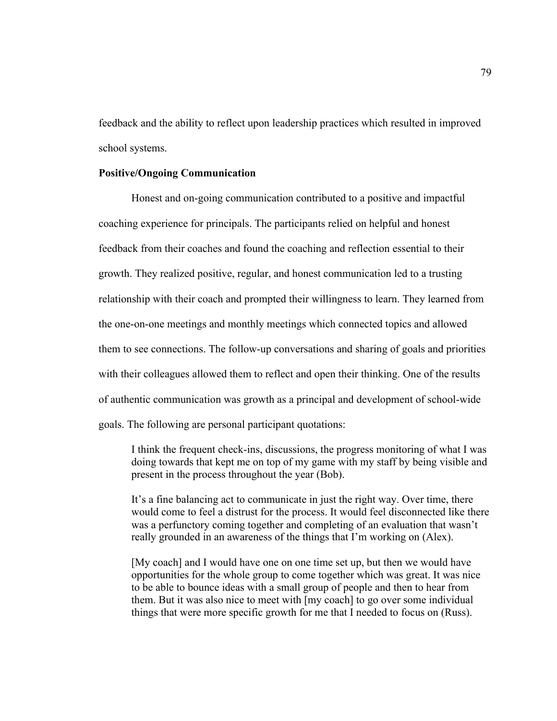feedback and the ability to reflect upon leadership practices which resulted in improved school systems.

#### **Positive/Ongoing Communication**

Honest and on-going communication contributed to a positive and impactful coaching experience for principals. The participants relied on helpful and honest feedback from their coaches and found the coaching and reflection essential to their growth. They realized positive, regular, and honest communication led to a trusting relationship with their coach and prompted their willingness to learn. They learned from the one-on-one meetings and monthly meetings which connected topics and allowed them to see connections. The follow-up conversations and sharing of goals and priorities with their colleagues allowed them to reflect and open their thinking. One of the results of authentic communication was growth as a principal and development of school-wide goals. The following are personal participant quotations:

I think the frequent check-ins, discussions, the progress monitoring of what I was doing towards that kept me on top of my game with my staff by being visible and present in the process throughout the year (Bob).

It's a fine balancing act to communicate in just the right way. Over time, there would come to feel a distrust for the process. It would feel disconnected like there was a perfunctory coming together and completing of an evaluation that wasn't really grounded in an awareness of the things that I'm working on (Alex).

[My coach] and I would have one on one time set up, but then we would have opportunities for the whole group to come together which was great. It was nice to be able to bounce ideas with a small group of people and then to hear from them. But it was also nice to meet with [my coach] to go over some individual things that were more specific growth for me that I needed to focus on (Russ).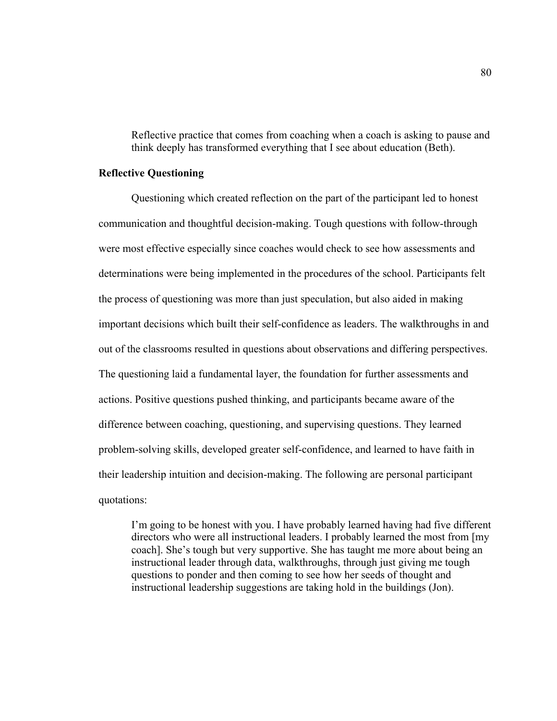Reflective practice that comes from coaching when a coach is asking to pause and think deeply has transformed everything that I see about education (Beth).

#### **Reflective Questioning**

Questioning which created reflection on the part of the participant led to honest communication and thoughtful decision-making. Tough questions with follow-through were most effective especially since coaches would check to see how assessments and determinations were being implemented in the procedures of the school. Participants felt the process of questioning was more than just speculation, but also aided in making important decisions which built their self-confidence as leaders. The walkthroughs in and out of the classrooms resulted in questions about observations and differing perspectives. The questioning laid a fundamental layer, the foundation for further assessments and actions. Positive questions pushed thinking, and participants became aware of the difference between coaching, questioning, and supervising questions. They learned problem-solving skills, developed greater self-confidence, and learned to have faith in their leadership intuition and decision-making. The following are personal participant quotations:

I'm going to be honest with you. I have probably learned having had five different directors who were all instructional leaders. I probably learned the most from [my coach]. She's tough but very supportive. She has taught me more about being an instructional leader through data, walkthroughs, through just giving me tough questions to ponder and then coming to see how her seeds of thought and instructional leadership suggestions are taking hold in the buildings (Jon).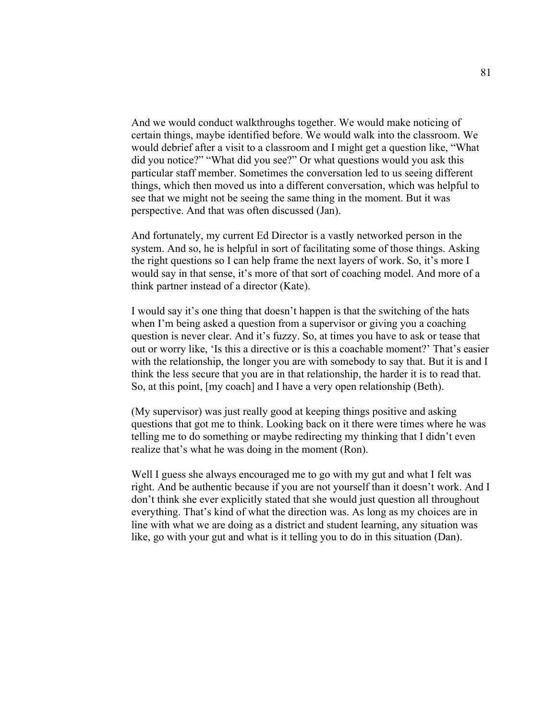And we would conduct walkthroughs together. We would make noticing of certain things, maybe identified before. We would walk into the classroom. We would debrief after a visit to a classroom and I might get a question like, "What did you notice?" "What did you see?" Or what questions would you ask this particular staff member. Sometimes the conversation led to us seeing different things, which then moved us into a different conversation, which was helpful to see that we might not be seeing the same thing in the moment. But it was perspective. And that was often discussed (Jan).

And fortunately, my current Ed Director is a vastly networked person in the system. And so, he is helpful in sort of facilitating some of those things. Asking the right questions so I can help frame the next layers of work. So, it's more I would say in that sense, it's more of that sort of coaching model. And more of a think partner instead of a director (Kate).

I would say it's one thing that doesn't happen is that the switching of the hats when I'm being asked a question from a supervisor or giving you a coaching question is never clear. And it's fuzzy. So, at times you have to ask or tease that out or worry like, 'Is this a directive or is this a coachable moment?' That's easier with the relationship, the longer you are with somebody to say that. But it is and I think the less secure that you are in that relationship, the harder it is to read that. So, at this point, [my coach] and I have a very open relationship (Beth).

(My supervisor) was just really good at keeping things positive and asking questions that got me to think. Looking back on it there were times where he was telling me to do something or maybe redirecting my thinking that I didn't even realize that's what he was doing in the moment (Ron).

Well I guess she always encouraged me to go with my gut and what I felt was right. And be authentic because if you are not yourself than it doesn't work. And I don't think she ever explicitly stated that she would just question all throughout everything. That's kind of what the direction was. As long as my choices are in line with what we are doing as a district and student learning, any situation was like, go with your gut and what is it telling you to do in this situation (Dan).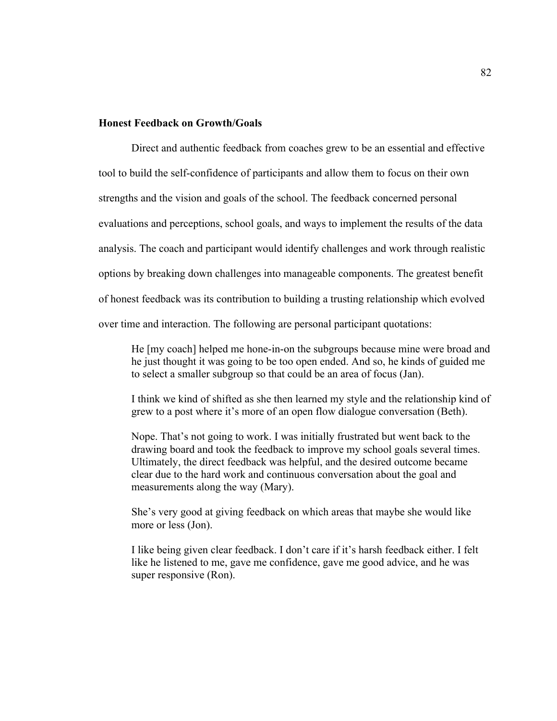## **Honest Feedback on Growth/Goals**

Direct and authentic feedback from coaches grew to be an essential and effective tool to build the self-confidence of participants and allow them to focus on their own strengths and the vision and goals of the school. The feedback concerned personal evaluations and perceptions, school goals, and ways to implement the results of the data analysis. The coach and participant would identify challenges and work through realistic options by breaking down challenges into manageable components. The greatest benefit of honest feedback was its contribution to building a trusting relationship which evolved over time and interaction. The following are personal participant quotations:

He [my coach] helped me hone-in-on the subgroups because mine were broad and he just thought it was going to be too open ended. And so, he kinds of guided me to select a smaller subgroup so that could be an area of focus (Jan).

I think we kind of shifted as she then learned my style and the relationship kind of grew to a post where it's more of an open flow dialogue conversation (Beth).

Nope. That's not going to work. I was initially frustrated but went back to the drawing board and took the feedback to improve my school goals several times. Ultimately, the direct feedback was helpful, and the desired outcome became clear due to the hard work and continuous conversation about the goal and measurements along the way (Mary).

She's very good at giving feedback on which areas that maybe she would like more or less (Jon).

I like being given clear feedback. I don't care if it's harsh feedback either. I felt like he listened to me, gave me confidence, gave me good advice, and he was super responsive (Ron).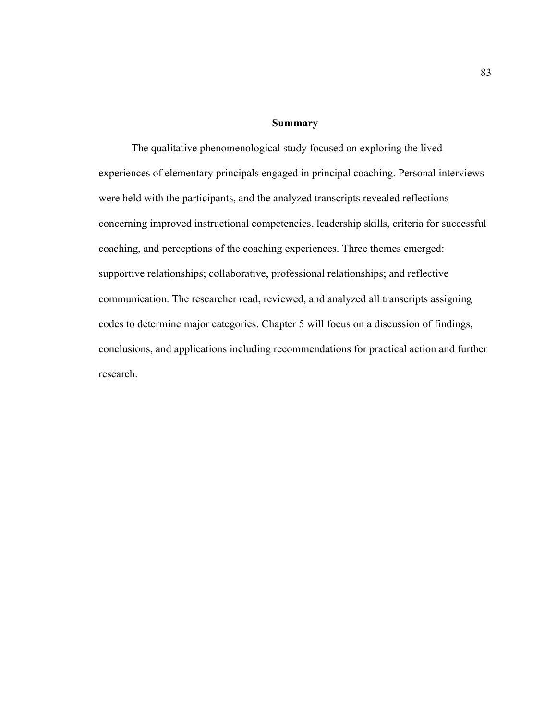#### **Summary**

The qualitative phenomenological study focused on exploring the lived experiences of elementary principals engaged in principal coaching. Personal interviews were held with the participants, and the analyzed transcripts revealed reflections concerning improved instructional competencies, leadership skills, criteria for successful coaching, and perceptions of the coaching experiences. Three themes emerged: supportive relationships; collaborative, professional relationships; and reflective communication. The researcher read, reviewed, and analyzed all transcripts assigning codes to determine major categories. Chapter 5 will focus on a discussion of findings, conclusions, and applications including recommendations for practical action and further research.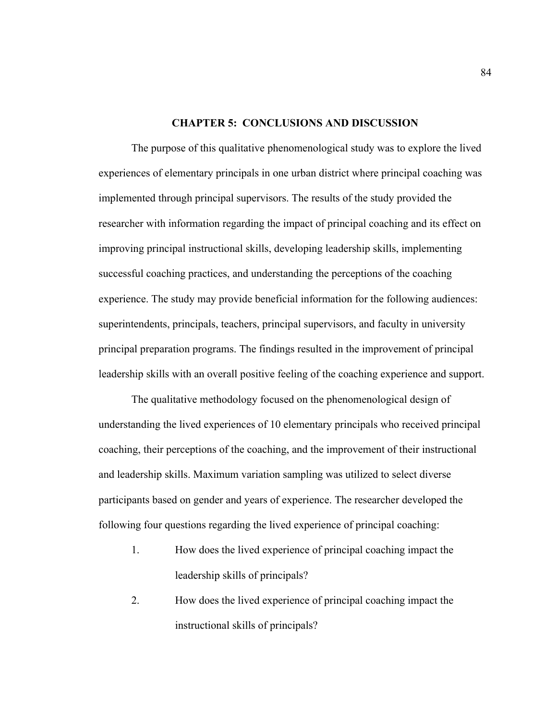#### **CHAPTER 5: CONCLUSIONS AND DISCUSSION**

The purpose of this qualitative phenomenological study was to explore the lived experiences of elementary principals in one urban district where principal coaching was implemented through principal supervisors. The results of the study provided the researcher with information regarding the impact of principal coaching and its effect on improving principal instructional skills, developing leadership skills, implementing successful coaching practices, and understanding the perceptions of the coaching experience. The study may provide beneficial information for the following audiences: superintendents, principals, teachers, principal supervisors, and faculty in university principal preparation programs. The findings resulted in the improvement of principal leadership skills with an overall positive feeling of the coaching experience and support.

The qualitative methodology focused on the phenomenological design of understanding the lived experiences of 10 elementary principals who received principal coaching, their perceptions of the coaching, and the improvement of their instructional and leadership skills. Maximum variation sampling was utilized to select diverse participants based on gender and years of experience. The researcher developed the following four questions regarding the lived experience of principal coaching:

- 1. How does the lived experience of principal coaching impact the leadership skills of principals?
- 2. How does the lived experience of principal coaching impact the instructional skills of principals?

84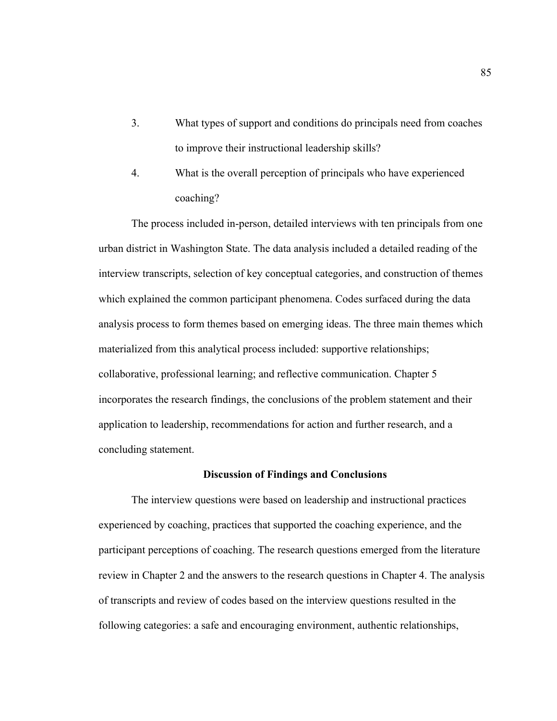- 3. What types of support and conditions do principals need from coaches to improve their instructional leadership skills?
- 4. What is the overall perception of principals who have experienced coaching?

The process included in-person, detailed interviews with ten principals from one urban district in Washington State. The data analysis included a detailed reading of the interview transcripts, selection of key conceptual categories, and construction of themes which explained the common participant phenomena. Codes surfaced during the data analysis process to form themes based on emerging ideas. The three main themes which materialized from this analytical process included: supportive relationships; collaborative, professional learning; and reflective communication. Chapter 5 incorporates the research findings, the conclusions of the problem statement and their application to leadership, recommendations for action and further research, and a concluding statement.

#### **Discussion of Findings and Conclusions**

The interview questions were based on leadership and instructional practices experienced by coaching, practices that supported the coaching experience, and the participant perceptions of coaching. The research questions emerged from the literature review in Chapter 2 and the answers to the research questions in Chapter 4. The analysis of transcripts and review of codes based on the interview questions resulted in the following categories: a safe and encouraging environment, authentic relationships,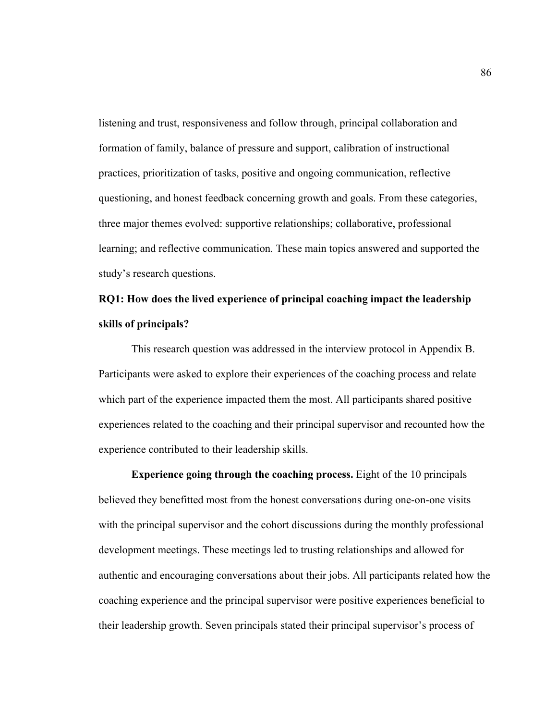listening and trust, responsiveness and follow through, principal collaboration and formation of family, balance of pressure and support, calibration of instructional practices, prioritization of tasks, positive and ongoing communication, reflective questioning, and honest feedback concerning growth and goals. From these categories, three major themes evolved: supportive relationships; collaborative, professional learning; and reflective communication. These main topics answered and supported the study's research questions.

# **RQ1: How does the lived experience of principal coaching impact the leadership skills of principals?**

This research question was addressed in the interview protocol in Appendix B. Participants were asked to explore their experiences of the coaching process and relate which part of the experience impacted them the most. All participants shared positive experiences related to the coaching and their principal supervisor and recounted how the experience contributed to their leadership skills.

**Experience going through the coaching process.** Eight of the 10 principals believed they benefitted most from the honest conversations during one-on-one visits with the principal supervisor and the cohort discussions during the monthly professional development meetings. These meetings led to trusting relationships and allowed for authentic and encouraging conversations about their jobs. All participants related how the coaching experience and the principal supervisor were positive experiences beneficial to their leadership growth. Seven principals stated their principal supervisor's process of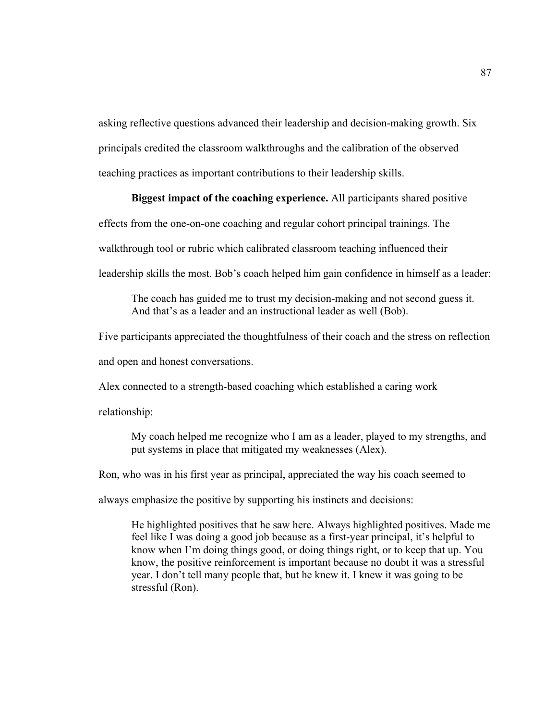asking reflective questions advanced their leadership and decision-making growth. Six principals credited the classroom walkthroughs and the calibration of the observed teaching practices as important contributions to their leadership skills.

# **Biggest impact of the coaching experience.** All participants shared positive

effects from the one-on-one coaching and regular cohort principal trainings. The

walkthrough tool or rubric which calibrated classroom teaching influenced their

leadership skills the most. Bob's coach helped him gain confidence in himself as a leader:

The coach has guided me to trust my decision-making and not second guess it. And that's as a leader and an instructional leader as well (Bob).

Five participants appreciated the thoughtfulness of their coach and the stress on reflection and open and honest conversations.

Alex connected to a strength-based coaching which established a caring work

relationship:

My coach helped me recognize who I am as a leader, played to my strengths, and put systems in place that mitigated my weaknesses (Alex).

Ron, who was in his first year as principal, appreciated the way his coach seemed to

always emphasize the positive by supporting his instincts and decisions:

He highlighted positives that he saw here. Always highlighted positives. Made me feel like I was doing a good job because as a first-year principal, it's helpful to know when I'm doing things good, or doing things right, or to keep that up. You know, the positive reinforcement is important because no doubt it was a stressful year. I don't tell many people that, but he knew it. I knew it was going to be stressful (Ron).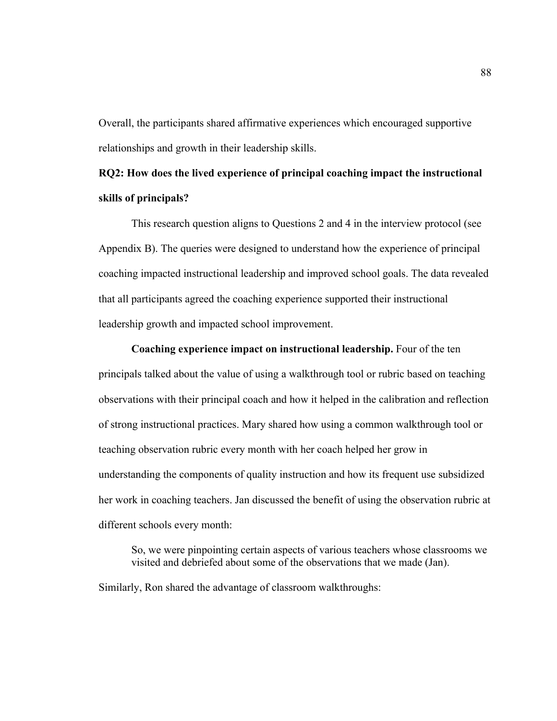Overall, the participants shared affirmative experiences which encouraged supportive relationships and growth in their leadership skills.

# **RQ2: How does the lived experience of principal coaching impact the instructional skills of principals?**

This research question aligns to Questions 2 and 4 in the interview protocol (see Appendix B). The queries were designed to understand how the experience of principal coaching impacted instructional leadership and improved school goals. The data revealed that all participants agreed the coaching experience supported their instructional leadership growth and impacted school improvement.

**Coaching experience impact on instructional leadership.** Four of the ten principals talked about the value of using a walkthrough tool or rubric based on teaching observations with their principal coach and how it helped in the calibration and reflection of strong instructional practices. Mary shared how using a common walkthrough tool or teaching observation rubric every month with her coach helped her grow in understanding the components of quality instruction and how its frequent use subsidized her work in coaching teachers. Jan discussed the benefit of using the observation rubric at different schools every month:

So, we were pinpointing certain aspects of various teachers whose classrooms we visited and debriefed about some of the observations that we made (Jan).

Similarly, Ron shared the advantage of classroom walkthroughs: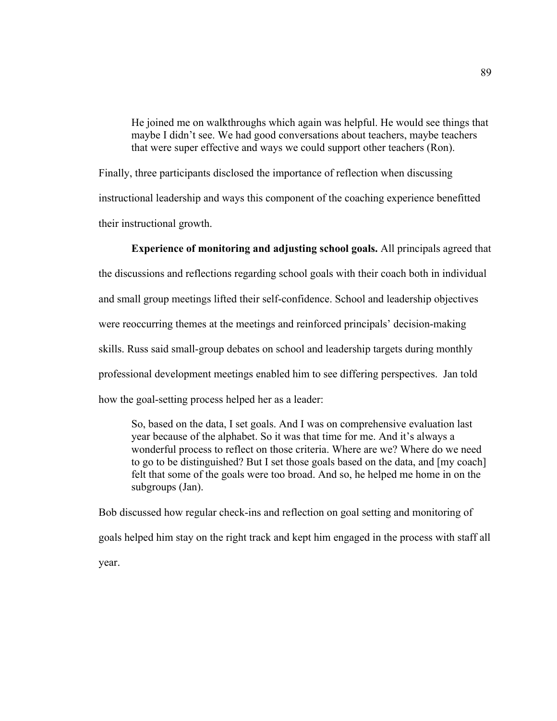He joined me on walkthroughs which again was helpful. He would see things that maybe I didn't see. We had good conversations about teachers, maybe teachers that were super effective and ways we could support other teachers (Ron).

Finally, three participants disclosed the importance of reflection when discussing instructional leadership and ways this component of the coaching experience benefitted their instructional growth.

# **Experience of monitoring and adjusting school goals.** All principals agreed that

the discussions and reflections regarding school goals with their coach both in individual and small group meetings lifted their self-confidence. School and leadership objectives were reoccurring themes at the meetings and reinforced principals' decision-making skills. Russ said small-group debates on school and leadership targets during monthly professional development meetings enabled him to see differing perspectives. Jan told how the goal-setting process helped her as a leader:

So, based on the data, I set goals. And I was on comprehensive evaluation last year because of the alphabet. So it was that time for me. And it's always a wonderful process to reflect on those criteria. Where are we? Where do we need to go to be distinguished? But I set those goals based on the data, and [my coach] felt that some of the goals were too broad. And so, he helped me home in on the subgroups (Jan).

Bob discussed how regular check-ins and reflection on goal setting and monitoring of goals helped him stay on the right track and kept him engaged in the process with staff all year.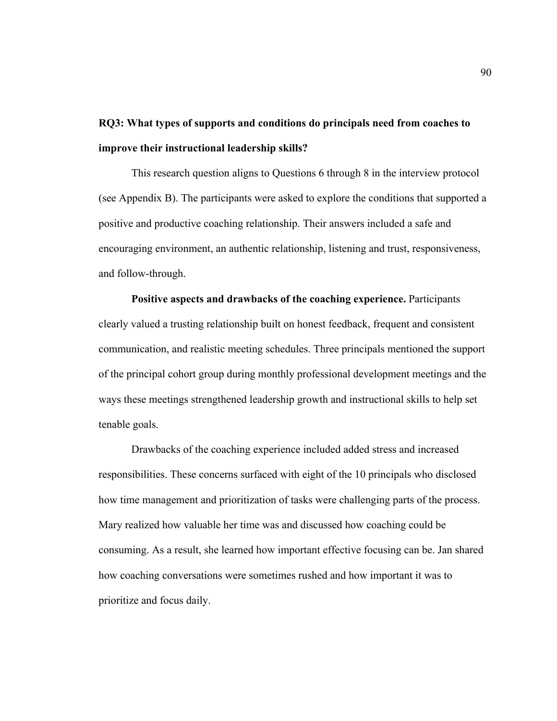# **RQ3: What types of supports and conditions do principals need from coaches to improve their instructional leadership skills?**

This research question aligns to Questions 6 through 8 in the interview protocol (see Appendix B). The participants were asked to explore the conditions that supported a positive and productive coaching relationship. Their answers included a safe and encouraging environment, an authentic relationship, listening and trust, responsiveness, and follow-through.

**Positive aspects and drawbacks of the coaching experience.** Participants clearly valued a trusting relationship built on honest feedback, frequent and consistent communication, and realistic meeting schedules. Three principals mentioned the support of the principal cohort group during monthly professional development meetings and the ways these meetings strengthened leadership growth and instructional skills to help set tenable goals.

Drawbacks of the coaching experience included added stress and increased responsibilities. These concerns surfaced with eight of the 10 principals who disclosed how time management and prioritization of tasks were challenging parts of the process. Mary realized how valuable her time was and discussed how coaching could be consuming. As a result, she learned how important effective focusing can be. Jan shared how coaching conversations were sometimes rushed and how important it was to prioritize and focus daily.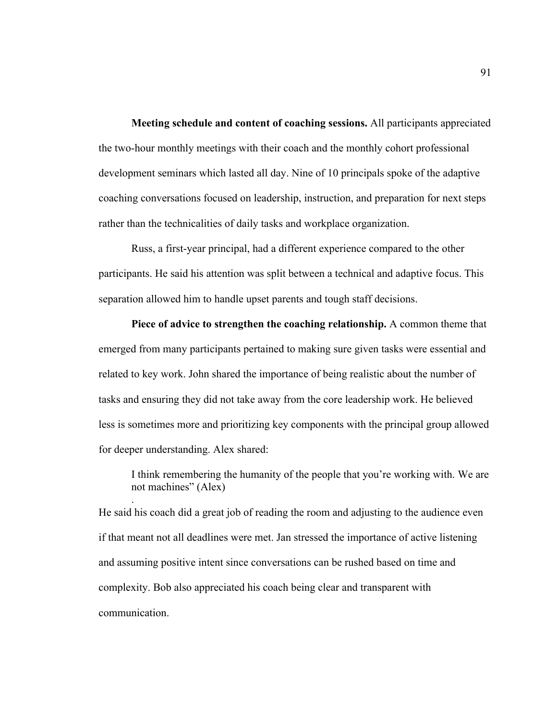**Meeting schedule and content of coaching sessions.** All participants appreciated the two-hour monthly meetings with their coach and the monthly cohort professional development seminars which lasted all day. Nine of 10 principals spoke of the adaptive coaching conversations focused on leadership, instruction, and preparation for next steps rather than the technicalities of daily tasks and workplace organization.

Russ, a first-year principal, had a different experience compared to the other participants. He said his attention was split between a technical and adaptive focus. This separation allowed him to handle upset parents and tough staff decisions.

**Piece of advice to strengthen the coaching relationship.** A common theme that emerged from many participants pertained to making sure given tasks were essential and related to key work. John shared the importance of being realistic about the number of tasks and ensuring they did not take away from the core leadership work. He believed less is sometimes more and prioritizing key components with the principal group allowed for deeper understanding. Alex shared:

I think remembering the humanity of the people that you're working with. We are not machines" (Alex)

He said his coach did a great job of reading the room and adjusting to the audience even if that meant not all deadlines were met. Jan stressed the importance of active listening and assuming positive intent since conversations can be rushed based on time and complexity. Bob also appreciated his coach being clear and transparent with communication.

.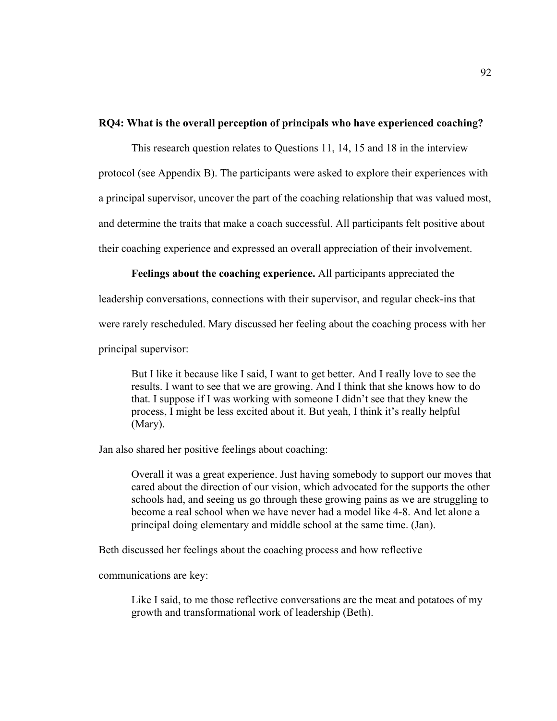# **RQ4: What is the overall perception of principals who have experienced coaching?**

This research question relates to Questions 11, 14, 15 and 18 in the interview protocol (see Appendix B). The participants were asked to explore their experiences with a principal supervisor, uncover the part of the coaching relationship that was valued most, and determine the traits that make a coach successful. All participants felt positive about their coaching experience and expressed an overall appreciation of their involvement.

**Feelings about the coaching experience.** All participants appreciated the

leadership conversations, connections with their supervisor, and regular check-ins that

were rarely rescheduled. Mary discussed her feeling about the coaching process with her

principal supervisor:

But I like it because like I said, I want to get better. And I really love to see the results. I want to see that we are growing. And I think that she knows how to do that. I suppose if I was working with someone I didn't see that they knew the process, I might be less excited about it. But yeah, I think it's really helpful (Mary).

Jan also shared her positive feelings about coaching:

Overall it was a great experience. Just having somebody to support our moves that cared about the direction of our vision, which advocated for the supports the other schools had, and seeing us go through these growing pains as we are struggling to become a real school when we have never had a model like 4-8. And let alone a principal doing elementary and middle school at the same time. (Jan).

Beth discussed her feelings about the coaching process and how reflective

communications are key:

Like I said, to me those reflective conversations are the meat and potatoes of my growth and transformational work of leadership (Beth).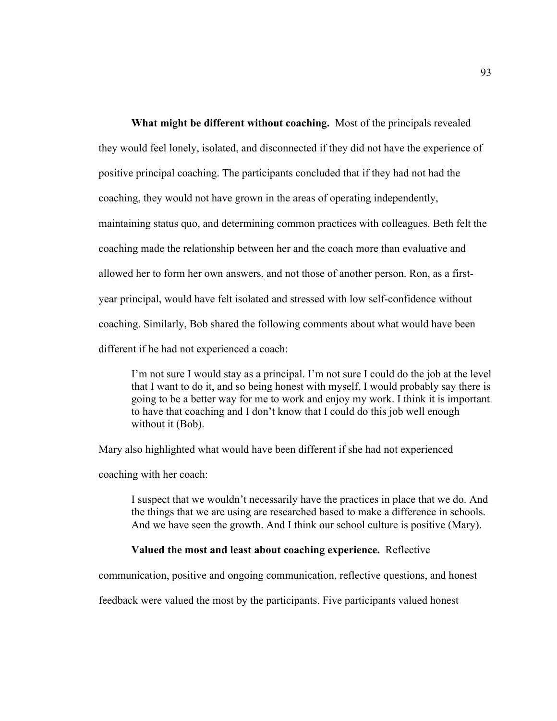**What might be different without coaching.** Most of the principals revealed they would feel lonely, isolated, and disconnected if they did not have the experience of positive principal coaching. The participants concluded that if they had not had the coaching, they would not have grown in the areas of operating independently, maintaining status quo, and determining common practices with colleagues. Beth felt the coaching made the relationship between her and the coach more than evaluative and allowed her to form her own answers, and not those of another person. Ron, as a firstyear principal, would have felt isolated and stressed with low self-confidence without coaching. Similarly, Bob shared the following comments about what would have been different if he had not experienced a coach:

I'm not sure I would stay as a principal. I'm not sure I could do the job at the level that I want to do it, and so being honest with myself, I would probably say there is going to be a better way for me to work and enjoy my work. I think it is important to have that coaching and I don't know that I could do this job well enough without it (Bob).

Mary also highlighted what would have been different if she had not experienced

coaching with her coach:

I suspect that we wouldn't necessarily have the practices in place that we do. And the things that we are using are researched based to make a difference in schools. And we have seen the growth. And I think our school culture is positive (Mary).

# **Valued the most and least about coaching experience.** Reflective

communication, positive and ongoing communication, reflective questions, and honest

feedback were valued the most by the participants. Five participants valued honest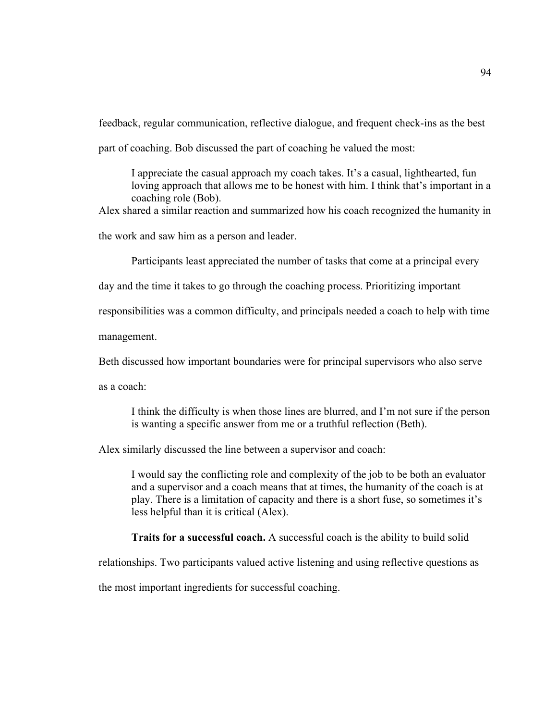feedback, regular communication, reflective dialogue, and frequent check-ins as the best part of coaching. Bob discussed the part of coaching he valued the most:

I appreciate the casual approach my coach takes. It's a casual, lighthearted, fun loving approach that allows me to be honest with him. I think that's important in a coaching role (Bob).

Alex shared a similar reaction and summarized how his coach recognized the humanity in

the work and saw him as a person and leader.

Participants least appreciated the number of tasks that come at a principal every

day and the time it takes to go through the coaching process. Prioritizing important

responsibilities was a common difficulty, and principals needed a coach to help with time

management.

Beth discussed how important boundaries were for principal supervisors who also serve

as a coach:

I think the difficulty is when those lines are blurred, and I'm not sure if the person is wanting a specific answer from me or a truthful reflection (Beth).

Alex similarly discussed the line between a supervisor and coach:

I would say the conflicting role and complexity of the job to be both an evaluator and a supervisor and a coach means that at times, the humanity of the coach is at play. There is a limitation of capacity and there is a short fuse, so sometimes it's less helpful than it is critical (Alex).

**Traits for a successful coach.** A successful coach is the ability to build solid

relationships. Two participants valued active listening and using reflective questions as

the most important ingredients for successful coaching.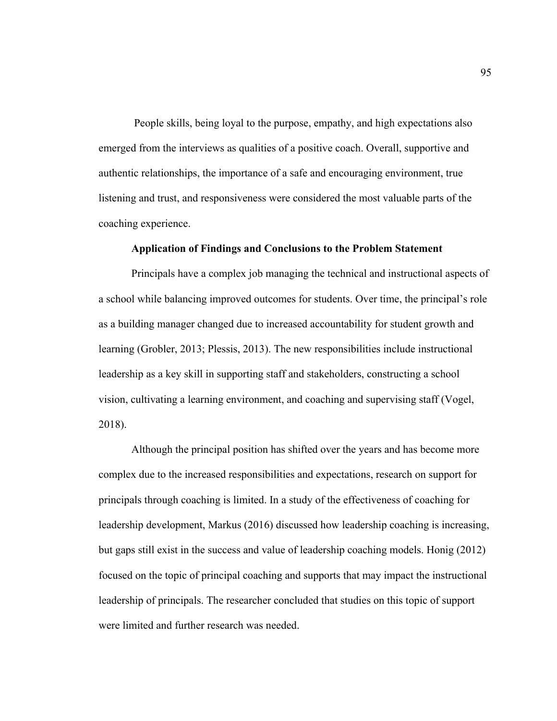People skills, being loyal to the purpose, empathy, and high expectations also emerged from the interviews as qualities of a positive coach. Overall, supportive and authentic relationships, the importance of a safe and encouraging environment, true listening and trust, and responsiveness were considered the most valuable parts of the coaching experience.

#### **Application of Findings and Conclusions to the Problem Statement**

Principals have a complex job managing the technical and instructional aspects of a school while balancing improved outcomes for students. Over time, the principal's role as a building manager changed due to increased accountability for student growth and learning (Grobler, 2013; Plessis, 2013). The new responsibilities include instructional leadership as a key skill in supporting staff and stakeholders, constructing a school vision, cultivating a learning environment, and coaching and supervising staff (Vogel, 2018).

Although the principal position has shifted over the years and has become more complex due to the increased responsibilities and expectations, research on support for principals through coaching is limited. In a study of the effectiveness of coaching for leadership development, Markus (2016) discussed how leadership coaching is increasing, but gaps still exist in the success and value of leadership coaching models. Honig (2012) focused on the topic of principal coaching and supports that may impact the instructional leadership of principals. The researcher concluded that studies on this topic of support were limited and further research was needed.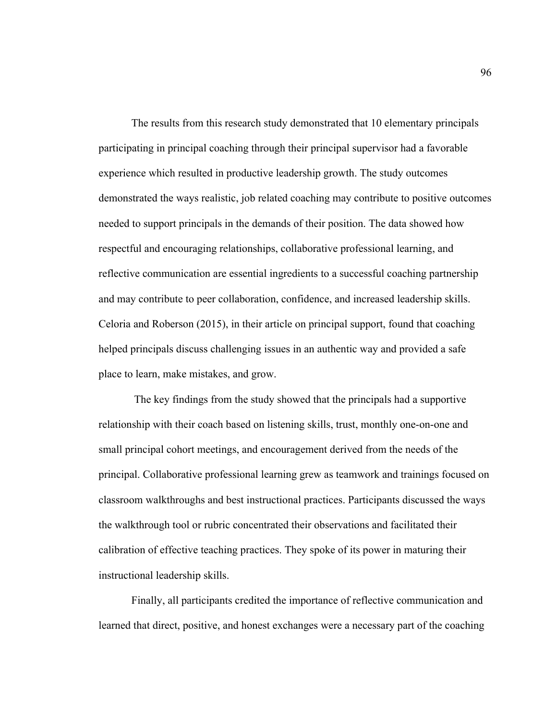The results from this research study demonstrated that 10 elementary principals participating in principal coaching through their principal supervisor had a favorable experience which resulted in productive leadership growth. The study outcomes demonstrated the ways realistic, job related coaching may contribute to positive outcomes needed to support principals in the demands of their position. The data showed how respectful and encouraging relationships, collaborative professional learning, and reflective communication are essential ingredients to a successful coaching partnership and may contribute to peer collaboration, confidence, and increased leadership skills. Celoria and Roberson (2015), in their article on principal support, found that coaching helped principals discuss challenging issues in an authentic way and provided a safe place to learn, make mistakes, and grow.

The key findings from the study showed that the principals had a supportive relationship with their coach based on listening skills, trust, monthly one-on-one and small principal cohort meetings, and encouragement derived from the needs of the principal. Collaborative professional learning grew as teamwork and trainings focused on classroom walkthroughs and best instructional practices. Participants discussed the ways the walkthrough tool or rubric concentrated their observations and facilitated their calibration of effective teaching practices. They spoke of its power in maturing their instructional leadership skills.

Finally, all participants credited the importance of reflective communication and learned that direct, positive, and honest exchanges were a necessary part of the coaching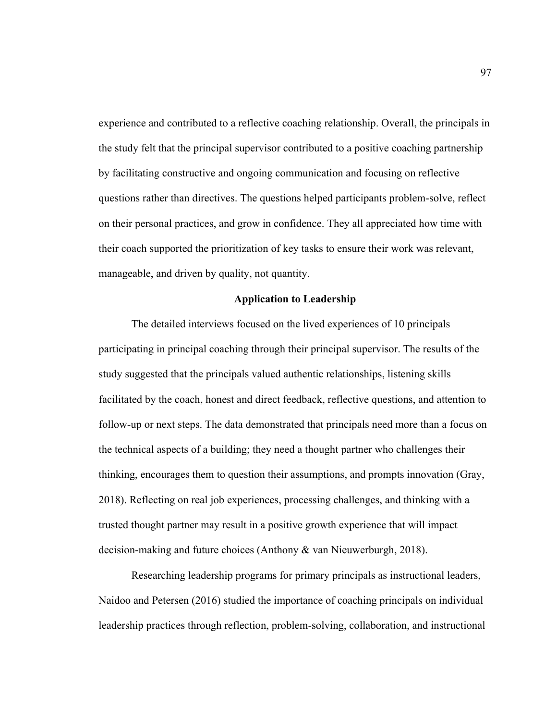experience and contributed to a reflective coaching relationship. Overall, the principals in the study felt that the principal supervisor contributed to a positive coaching partnership by facilitating constructive and ongoing communication and focusing on reflective questions rather than directives. The questions helped participants problem-solve, reflect on their personal practices, and grow in confidence. They all appreciated how time with their coach supported the prioritization of key tasks to ensure their work was relevant, manageable, and driven by quality, not quantity.

#### **Application to Leadership**

The detailed interviews focused on the lived experiences of 10 principals participating in principal coaching through their principal supervisor. The results of the study suggested that the principals valued authentic relationships, listening skills facilitated by the coach, honest and direct feedback, reflective questions, and attention to follow-up or next steps. The data demonstrated that principals need more than a focus on the technical aspects of a building; they need a thought partner who challenges their thinking, encourages them to question their assumptions, and prompts innovation (Gray, 2018). Reflecting on real job experiences, processing challenges, and thinking with a trusted thought partner may result in a positive growth experience that will impact decision-making and future choices (Anthony & van Nieuwerburgh, 2018).

Researching leadership programs for primary principals as instructional leaders, Naidoo and Petersen (2016) studied the importance of coaching principals on individual leadership practices through reflection, problem-solving, collaboration, and instructional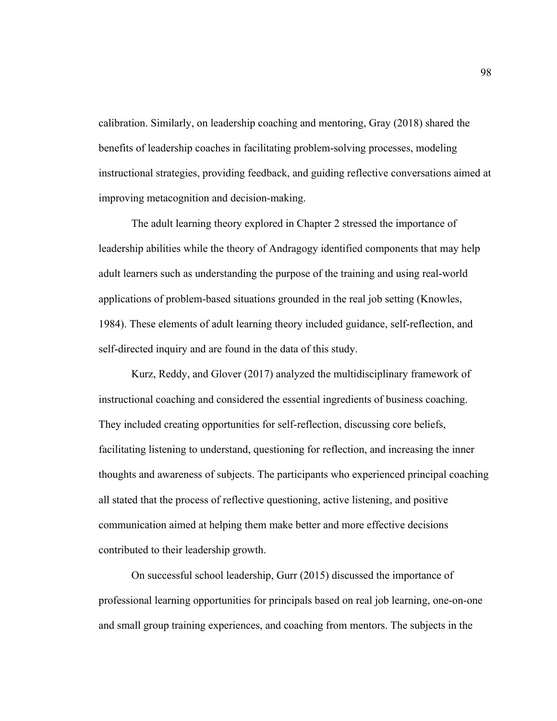calibration. Similarly, on leadership coaching and mentoring, Gray (2018) shared the benefits of leadership coaches in facilitating problem-solving processes, modeling instructional strategies, providing feedback, and guiding reflective conversations aimed at improving metacognition and decision-making.

The adult learning theory explored in Chapter 2 stressed the importance of leadership abilities while the theory of Andragogy identified components that may help adult learners such as understanding the purpose of the training and using real-world applications of problem-based situations grounded in the real job setting (Knowles, 1984). These elements of adult learning theory included guidance, self-reflection, and self-directed inquiry and are found in the data of this study.

Kurz, Reddy, and Glover (2017) analyzed the multidisciplinary framework of instructional coaching and considered the essential ingredients of business coaching. They included creating opportunities for self-reflection, discussing core beliefs, facilitating listening to understand, questioning for reflection, and increasing the inner thoughts and awareness of subjects. The participants who experienced principal coaching all stated that the process of reflective questioning, active listening, and positive communication aimed at helping them make better and more effective decisions contributed to their leadership growth.

On successful school leadership, Gurr (2015) discussed the importance of professional learning opportunities for principals based on real job learning, one-on-one and small group training experiences, and coaching from mentors. The subjects in the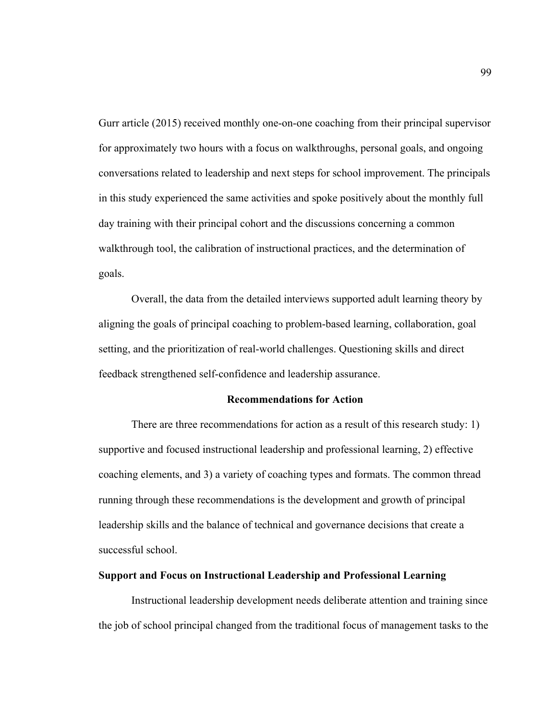Gurr article (2015) received monthly one-on-one coaching from their principal supervisor for approximately two hours with a focus on walkthroughs, personal goals, and ongoing conversations related to leadership and next steps for school improvement. The principals in this study experienced the same activities and spoke positively about the monthly full day training with their principal cohort and the discussions concerning a common walkthrough tool, the calibration of instructional practices, and the determination of goals.

Overall, the data from the detailed interviews supported adult learning theory by aligning the goals of principal coaching to problem-based learning, collaboration, goal setting, and the prioritization of real-world challenges. Questioning skills and direct feedback strengthened self-confidence and leadership assurance.

#### **Recommendations for Action**

There are three recommendations for action as a result of this research study: 1) supportive and focused instructional leadership and professional learning, 2) effective coaching elements, and 3) a variety of coaching types and formats. The common thread running through these recommendations is the development and growth of principal leadership skills and the balance of technical and governance decisions that create a successful school.

### **Support and Focus on Instructional Leadership and Professional Learning**

Instructional leadership development needs deliberate attention and training since the job of school principal changed from the traditional focus of management tasks to the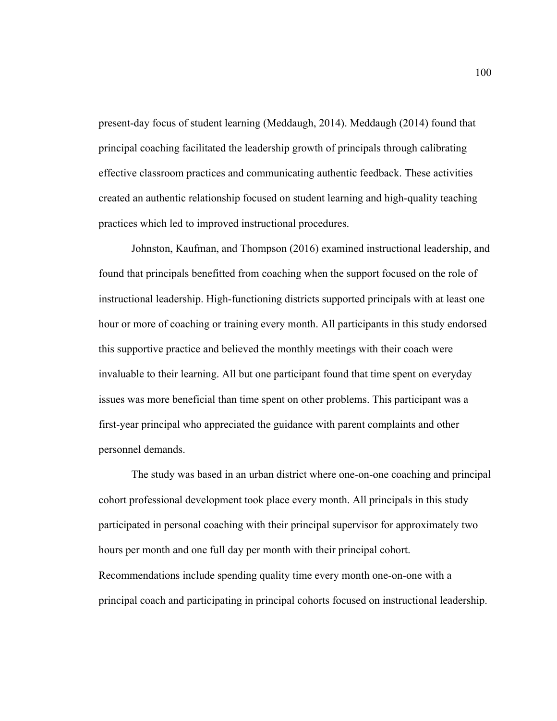present-day focus of student learning (Meddaugh, 2014). Meddaugh (2014) found that principal coaching facilitated the leadership growth of principals through calibrating effective classroom practices and communicating authentic feedback. These activities created an authentic relationship focused on student learning and high-quality teaching practices which led to improved instructional procedures.

Johnston, Kaufman, and Thompson (2016) examined instructional leadership, and found that principals benefitted from coaching when the support focused on the role of instructional leadership. High-functioning districts supported principals with at least one hour or more of coaching or training every month. All participants in this study endorsed this supportive practice and believed the monthly meetings with their coach were invaluable to their learning. All but one participant found that time spent on everyday issues was more beneficial than time spent on other problems. This participant was a first-year principal who appreciated the guidance with parent complaints and other personnel demands.

The study was based in an urban district where one-on-one coaching and principal cohort professional development took place every month. All principals in this study participated in personal coaching with their principal supervisor for approximately two hours per month and one full day per month with their principal cohort. Recommendations include spending quality time every month one-on-one with a principal coach and participating in principal cohorts focused on instructional leadership.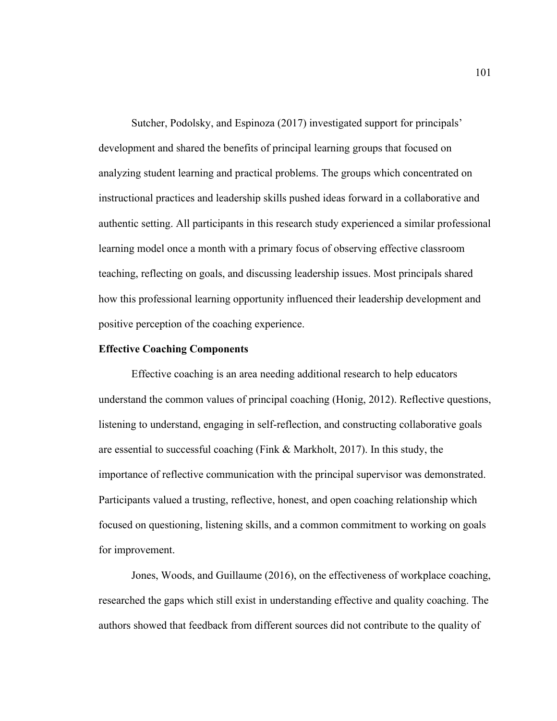Sutcher, Podolsky, and Espinoza (2017) investigated support for principals' development and shared the benefits of principal learning groups that focused on analyzing student learning and practical problems. The groups which concentrated on instructional practices and leadership skills pushed ideas forward in a collaborative and authentic setting. All participants in this research study experienced a similar professional learning model once a month with a primary focus of observing effective classroom teaching, reflecting on goals, and discussing leadership issues. Most principals shared how this professional learning opportunity influenced their leadership development and positive perception of the coaching experience.

#### **Effective Coaching Components**

Effective coaching is an area needing additional research to help educators understand the common values of principal coaching (Honig, 2012). Reflective questions, listening to understand, engaging in self-reflection, and constructing collaborative goals are essential to successful coaching (Fink & Markholt, 2017). In this study, the importance of reflective communication with the principal supervisor was demonstrated. Participants valued a trusting, reflective, honest, and open coaching relationship which focused on questioning, listening skills, and a common commitment to working on goals for improvement.

Jones, Woods, and Guillaume (2016), on the effectiveness of workplace coaching, researched the gaps which still exist in understanding effective and quality coaching. The authors showed that feedback from different sources did not contribute to the quality of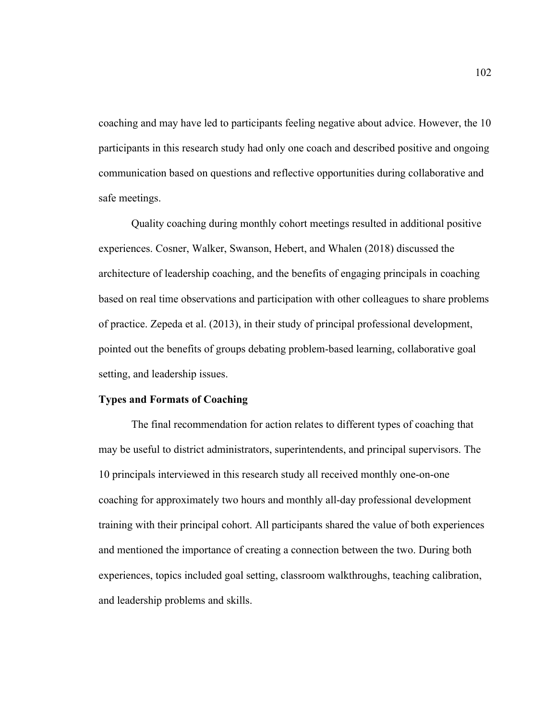coaching and may have led to participants feeling negative about advice. However, the 10 participants in this research study had only one coach and described positive and ongoing communication based on questions and reflective opportunities during collaborative and safe meetings.

Quality coaching during monthly cohort meetings resulted in additional positive experiences. Cosner, Walker, Swanson, Hebert, and Whalen (2018) discussed the architecture of leadership coaching, and the benefits of engaging principals in coaching based on real time observations and participation with other colleagues to share problems of practice. Zepeda et al. (2013), in their study of principal professional development, pointed out the benefits of groups debating problem-based learning, collaborative goal setting, and leadership issues.

#### **Types and Formats of Coaching**

The final recommendation for action relates to different types of coaching that may be useful to district administrators, superintendents, and principal supervisors. The 10 principals interviewed in this research study all received monthly one-on-one coaching for approximately two hours and monthly all-day professional development training with their principal cohort. All participants shared the value of both experiences and mentioned the importance of creating a connection between the two. During both experiences, topics included goal setting, classroom walkthroughs, teaching calibration, and leadership problems and skills.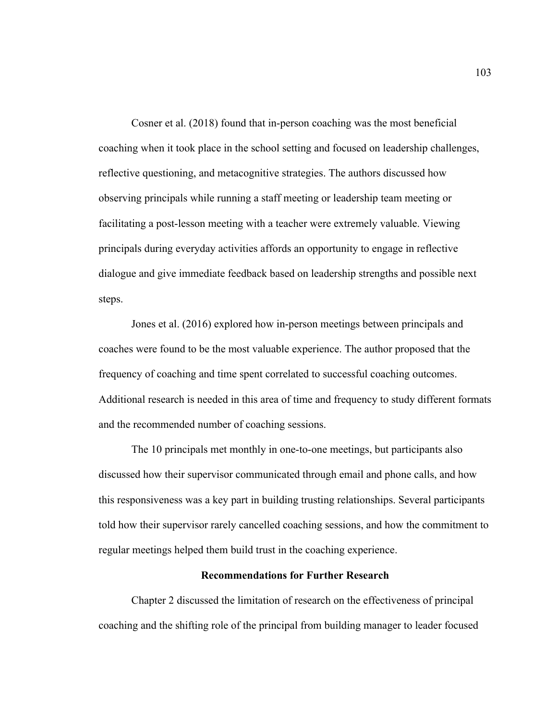Cosner et al. (2018) found that in-person coaching was the most beneficial coaching when it took place in the school setting and focused on leadership challenges, reflective questioning, and metacognitive strategies. The authors discussed how observing principals while running a staff meeting or leadership team meeting or facilitating a post-lesson meeting with a teacher were extremely valuable. Viewing principals during everyday activities affords an opportunity to engage in reflective dialogue and give immediate feedback based on leadership strengths and possible next steps.

Jones et al. (2016) explored how in-person meetings between principals and coaches were found to be the most valuable experience. The author proposed that the frequency of coaching and time spent correlated to successful coaching outcomes. Additional research is needed in this area of time and frequency to study different formats and the recommended number of coaching sessions.

The 10 principals met monthly in one-to-one meetings, but participants also discussed how their supervisor communicated through email and phone calls, and how this responsiveness was a key part in building trusting relationships. Several participants told how their supervisor rarely cancelled coaching sessions, and how the commitment to regular meetings helped them build trust in the coaching experience.

#### **Recommendations for Further Research**

Chapter 2 discussed the limitation of research on the effectiveness of principal coaching and the shifting role of the principal from building manager to leader focused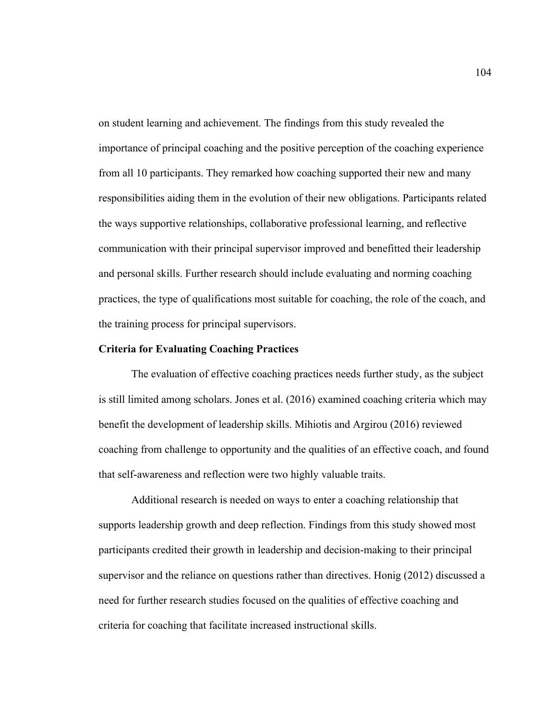on student learning and achievement. The findings from this study revealed the importance of principal coaching and the positive perception of the coaching experience from all 10 participants. They remarked how coaching supported their new and many responsibilities aiding them in the evolution of their new obligations. Participants related the ways supportive relationships, collaborative professional learning, and reflective communication with their principal supervisor improved and benefitted their leadership and personal skills. Further research should include evaluating and norming coaching practices, the type of qualifications most suitable for coaching, the role of the coach, and the training process for principal supervisors.

#### **Criteria for Evaluating Coaching Practices**

The evaluation of effective coaching practices needs further study, as the subject is still limited among scholars. Jones et al. (2016) examined coaching criteria which may benefit the development of leadership skills. Mihiotis and Argirou (2016) reviewed coaching from challenge to opportunity and the qualities of an effective coach, and found that self-awareness and reflection were two highly valuable traits.

Additional research is needed on ways to enter a coaching relationship that supports leadership growth and deep reflection. Findings from this study showed most participants credited their growth in leadership and decision-making to their principal supervisor and the reliance on questions rather than directives. Honig (2012) discussed a need for further research studies focused on the qualities of effective coaching and criteria for coaching that facilitate increased instructional skills.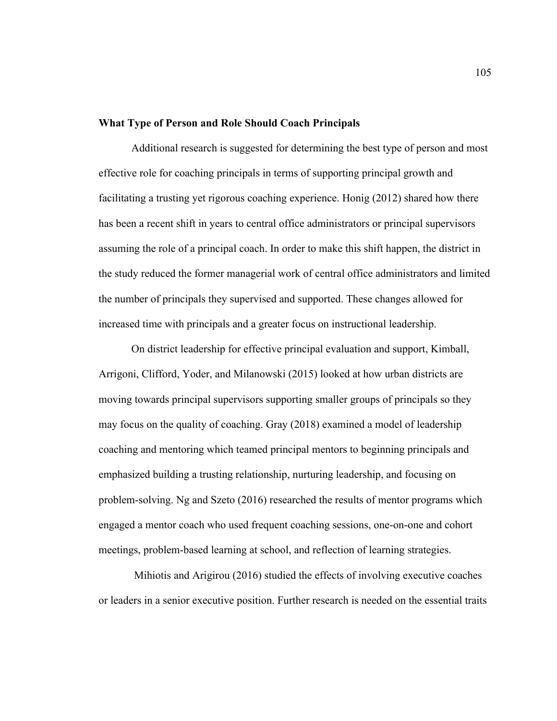#### **What Type of Person and Role Should Coach Principals**

Additional research is suggested for determining the best type of person and most effective role for coaching principals in terms of supporting principal growth and facilitating a trusting yet rigorous coaching experience. Honig (2012) shared how there has been a recent shift in years to central office administrators or principal supervisors assuming the role of a principal coach. In order to make this shift happen, the district in the study reduced the former managerial work of central office administrators and limited the number of principals they supervised and supported. These changes allowed for increased time with principals and a greater focus on instructional leadership.

On district leadership for effective principal evaluation and support, Kimball, Arrigoni, Clifford, Yoder, and Milanowski (2015) looked at how urban districts are moving towards principal supervisors supporting smaller groups of principals so they may focus on the quality of coaching. Gray (2018) examined a model of leadership coaching and mentoring which teamed principal mentors to beginning principals and emphasized building a trusting relationship, nurturing leadership, and focusing on problem-solving. Ng and Szeto (2016) researched the results of mentor programs which engaged a mentor coach who used frequent coaching sessions, one-on-one and cohort meetings, problem-based learning at school, and reflection of learning strategies.

Mihiotis and Arigirou (2016) studied the effects of involving executive coaches or leaders in a senior executive position. Further research is needed on the essential traits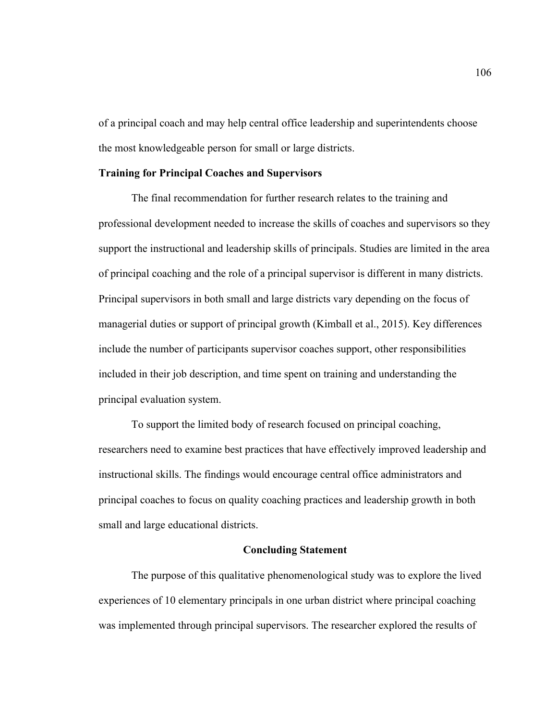of a principal coach and may help central office leadership and superintendents choose the most knowledgeable person for small or large districts.

### **Training for Principal Coaches and Supervisors**

The final recommendation for further research relates to the training and professional development needed to increase the skills of coaches and supervisors so they support the instructional and leadership skills of principals. Studies are limited in the area of principal coaching and the role of a principal supervisor is different in many districts. Principal supervisors in both small and large districts vary depending on the focus of managerial duties or support of principal growth (Kimball et al., 2015). Key differences include the number of participants supervisor coaches support, other responsibilities included in their job description, and time spent on training and understanding the principal evaluation system.

To support the limited body of research focused on principal coaching, researchers need to examine best practices that have effectively improved leadership and instructional skills. The findings would encourage central office administrators and principal coaches to focus on quality coaching practices and leadership growth in both small and large educational districts.

### **Concluding Statement**

The purpose of this qualitative phenomenological study was to explore the lived experiences of 10 elementary principals in one urban district where principal coaching was implemented through principal supervisors. The researcher explored the results of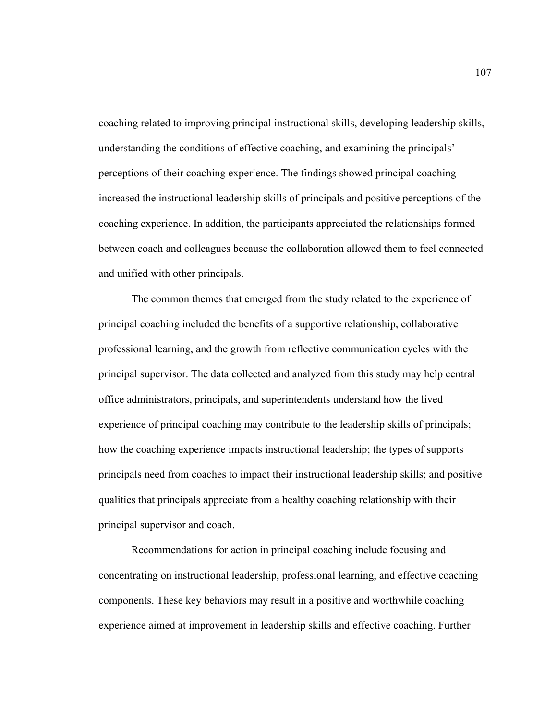coaching related to improving principal instructional skills, developing leadership skills, understanding the conditions of effective coaching, and examining the principals' perceptions of their coaching experience. The findings showed principal coaching increased the instructional leadership skills of principals and positive perceptions of the coaching experience. In addition, the participants appreciated the relationships formed between coach and colleagues because the collaboration allowed them to feel connected and unified with other principals.

The common themes that emerged from the study related to the experience of principal coaching included the benefits of a supportive relationship, collaborative professional learning, and the growth from reflective communication cycles with the principal supervisor. The data collected and analyzed from this study may help central office administrators, principals, and superintendents understand how the lived experience of principal coaching may contribute to the leadership skills of principals; how the coaching experience impacts instructional leadership; the types of supports principals need from coaches to impact their instructional leadership skills; and positive qualities that principals appreciate from a healthy coaching relationship with their principal supervisor and coach.

Recommendations for action in principal coaching include focusing and concentrating on instructional leadership, professional learning, and effective coaching components. These key behaviors may result in a positive and worthwhile coaching experience aimed at improvement in leadership skills and effective coaching. Further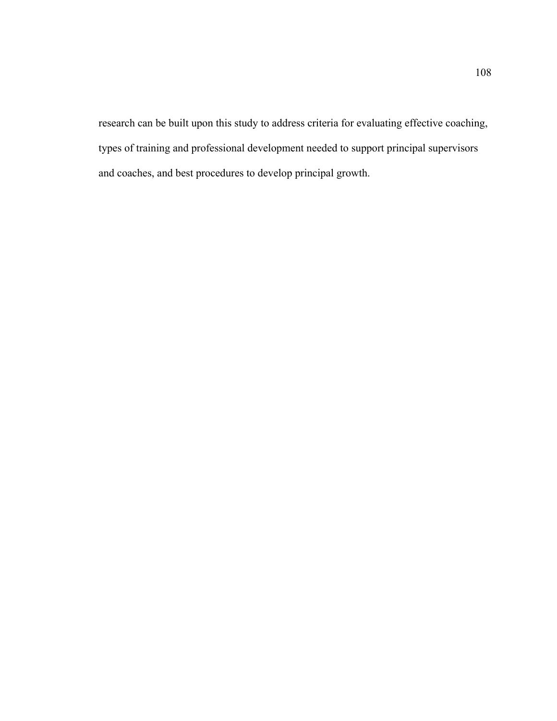research can be built upon this study to address criteria for evaluating effective coaching, types of training and professional development needed to support principal supervisors and coaches, and best procedures to develop principal growth.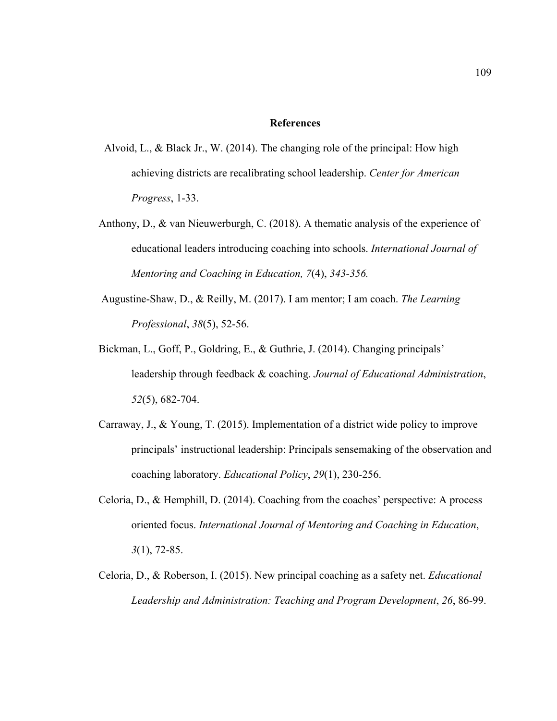#### **References**

- Alvoid, L., & Black Jr., W. (2014). The changing role of the principal: How high achieving districts are recalibrating school leadership. *Center for American Progress*, 1-33.
- Anthony, D., & van Nieuwerburgh, C. (2018). A thematic analysis of the experience of educational leaders introducing coaching into schools. *International Journal of Mentoring and Coaching in Education, 7*(4), *343-356.*
- Augustine-Shaw, D., & Reilly, M. (2017). I am mentor; I am coach. *The Learning Professional*, *38*(5), 52-56.
- Bickman, L., Goff, P., Goldring, E., & Guthrie, J. (2014). Changing principals' leadership through feedback & coaching. *Journal of Educational Administration*, *52*(5), 682-704.
- Carraway, J., & Young, T. (2015). Implementation of a district wide policy to improve principals' instructional leadership: Principals sensemaking of the observation and coaching laboratory. *Educational Policy*, *29*(1), 230-256.
- Celoria, D., & Hemphill, D. (2014). Coaching from the coaches' perspective: A process oriented focus. *International Journal of Mentoring and Coaching in Education*, *3*(1), 72-85.
- Celoria, D., & Roberson, I. (2015). New principal coaching as a safety net. *Educational Leadership and Administration: Teaching and Program Development*, *26*, 86-99.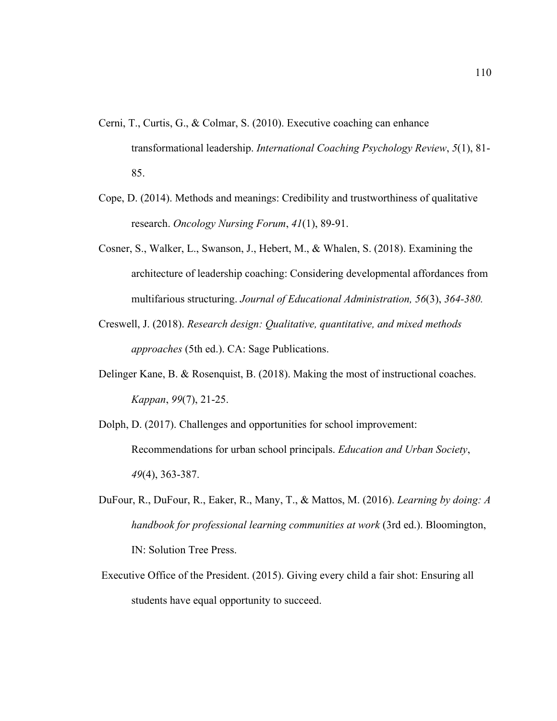- Cerni, T., Curtis, G., & Colmar, S. (2010). Executive coaching can enhance transformational leadership. *International Coaching Psychology Review*, *5*(1), 81- 85.
- Cope, D. (2014). Methods and meanings: Credibility and trustworthiness of qualitative research. *Oncology Nursing Forum*, *41*(1), 89-91.
- Cosner, S., Walker, L., Swanson, J., Hebert, M., & Whalen, S. (2018). Examining the architecture of leadership coaching: Considering developmental affordances from multifarious structuring. *Journal of Educational Administration, 56*(3), *364-380.*
- Creswell, J. (2018). *Research design: Qualitative, quantitative, and mixed methods approaches* (5th ed.). CA: Sage Publications.
- Delinger Kane, B. & Rosenquist, B. (2018). Making the most of instructional coaches. *Kappan*, *99*(7), 21-25.
- Dolph, D. (2017). Challenges and opportunities for school improvement: Recommendations for urban school principals. *Education and Urban Society*, *49*(4), 363-387.
- DuFour, R., DuFour, R., Eaker, R., Many, T., & Mattos, M. (2016). *Learning by doing: A handbook for professional learning communities at work* (3rd ed.). Bloomington, IN: Solution Tree Press.
- Executive Office of the President. (2015). Giving every child a fair shot: Ensuring all students have equal opportunity to succeed.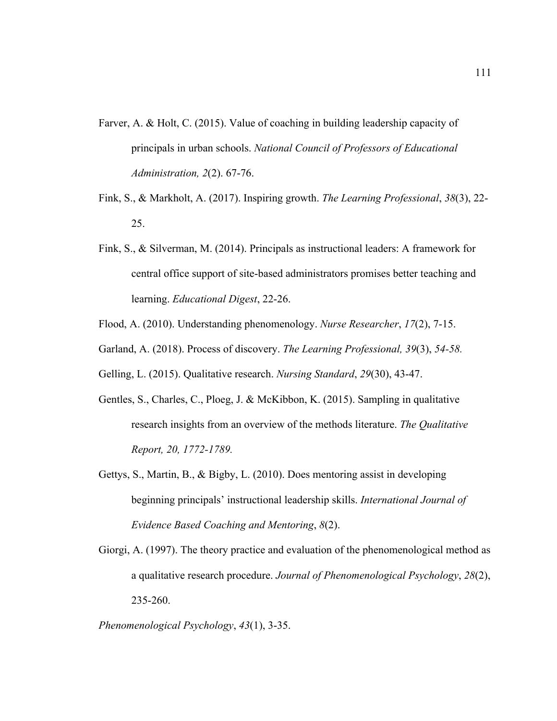- Farver, A. & Holt, C. (2015). Value of coaching in building leadership capacity of principals in urban schools. *National Council of Professors of Educational Administration, 2*(2). 67-76.
- Fink, S., & Markholt, A. (2017). Inspiring growth. *The Learning Professional*, *38*(3), 22- 25.
- Fink, S., & Silverman, M. (2014). Principals as instructional leaders: A framework for central office support of site-based administrators promises better teaching and learning. *Educational Digest*, 22-26.
- Flood, A. (2010). Understanding phenomenology. *Nurse Researcher*, *17*(2), 7-15.
- Garland, A. (2018). Process of discovery. *The Learning Professional, 39*(3), *54-58.*
- Gelling, L. (2015). Qualitative research. *Nursing Standard*, *29*(30), 43-47.
- Gentles, S., Charles, C., Ploeg, J. & McKibbon, K. (2015). Sampling in qualitative research insights from an overview of the methods literature. *The Qualitative Report, 20, 1772-1789.*
- Gettys, S., Martin, B., & Bigby, L. (2010). Does mentoring assist in developing beginning principals' instructional leadership skills. *International Journal of Evidence Based Coaching and Mentoring*, *8*(2).
- Giorgi, A. (1997). The theory practice and evaluation of the phenomenological method as a qualitative research procedure. *Journal of Phenomenological Psychology*, *28*(2), 235-260.

*Phenomenological Psychology*, *43*(1), 3-35.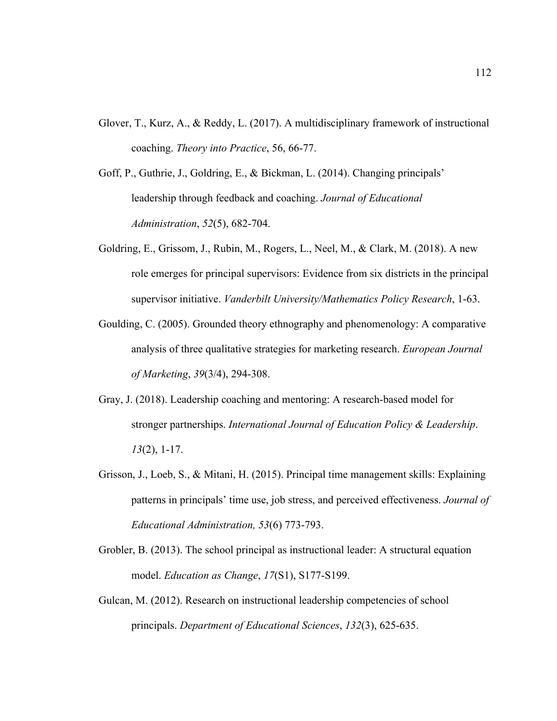- Glover, T., Kurz, A., & Reddy, L. (2017). A multidisciplinary framework of instructional coaching. *Theory into Practice*, 56, 66-77.
- Goff, P., Guthrie, J., Goldring, E., & Bickman, L. (2014). Changing principals' leadership through feedback and coaching. *Journal of Educational Administration*, *52*(5), 682-704.
- Goldring, E., Grissom, J., Rubin, M., Rogers, L., Neel, M., & Clark, M. (2018). A new role emerges for principal supervisors: Evidence from six districts in the principal supervisor initiative. *Vanderbilt University/Mathematics Policy Research*, 1-63.
- Goulding, C. (2005). Grounded theory ethnography and phenomenology: A comparative analysis of three qualitative strategies for marketing research. *European Journal of Marketing*, *39*(3/4), 294-308.
- Gray, J. (2018). Leadership coaching and mentoring: A research-based model for stronger partnerships. *International Journal of Education Policy & Leadership*. *13*(2), 1-17.
- Grisson, J., Loeb, S., & Mitani, H. (2015). Principal time management skills: Explaining patterns in principals' time use, job stress, and perceived effectiveness. *Journal of Educational Administration, 53*(6) 773-793.
- Grobler, B. (2013). The school principal as instructional leader: A structural equation model. *Education as Change*, *17*(S1), S177-S199.
- Gulcan, M. (2012). Research on instructional leadership competencies of school principals. *Department of Educational Sciences*, *132*(3), 625-635.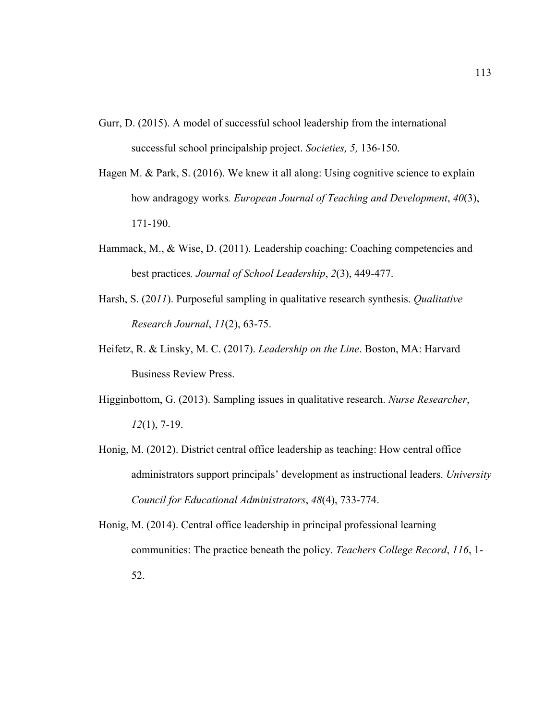- Gurr, D. (2015). A model of successful school leadership from the international successful school principalship project. *Societies, 5,* 136-150.
- Hagen M. & Park, S. (2016). We knew it all along: Using cognitive science to explain how andragogy works*. European Journal of Teaching and Development*, *40*(3), 171-190.
- Hammack, M., & Wise, D. (2011). Leadership coaching: Coaching competencies and best practices*. Journal of School Leadership*, *2*(3), 449-477.
- Harsh, S. (20*11*). Purposeful sampling in qualitative research synthesis. *Qualitative Research Journal*, *11*(2), 63-75.
- Heifetz, R. & Linsky, M. C. (2017). *Leadership on the Line*. Boston, MA: Harvard Business Review Press.
- Higginbottom, G. (2013). Sampling issues in qualitative research. *Nurse Researcher*, *12*(1), 7-19.
- Honig, M. (2012). District central office leadership as teaching: How central office administrators support principals' development as instructional leaders. *University Council for Educational Administrators*, *48*(4), 733-774.
- Honig, M. (2014). Central office leadership in principal professional learning communities: The practice beneath the policy. *Teachers College Record*, *116*, 1- 52.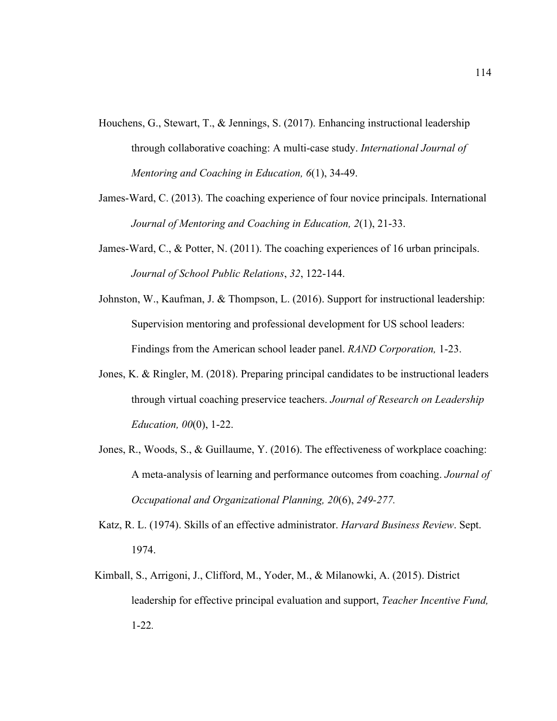- Houchens, G., Stewart, T., & Jennings, S. (2017). Enhancing instructional leadership through collaborative coaching: A multi-case study. *International Journal of Mentoring and Coaching in Education, 6*(1), 34-49.
- James-Ward, C. (2013). The coaching experience of four novice principals. International *Journal of Mentoring and Coaching in Education, 2*(1), 21-33.
- James-Ward, C., & Potter, N. (2011). The coaching experiences of 16 urban principals. *Journal of School Public Relations*, *32*, 122-144.
- Johnston, W., Kaufman, J. & Thompson, L. (2016). Support for instructional leadership: Supervision mentoring and professional development for US school leaders: Findings from the American school leader panel. *RAND Corporation,* 1-23.
- Jones, K. & Ringler, M. (2018). Preparing principal candidates to be instructional leaders through virtual coaching preservice teachers. *Journal of Research on Leadership Education, 00*(0), 1-22.
- Jones, R., Woods, S., & Guillaume, Y. (2016). The effectiveness of workplace coaching: A meta-analysis of learning and performance outcomes from coaching. *Journal of Occupational and Organizational Planning, 20*(6), *249-277.*
- Katz, R. L. (1974). Skills of an effective administrator. *Harvard Business Review*. Sept. 1974.
- Kimball, S., Arrigoni, J., Clifford, M., Yoder, M., & Milanowki, A. (2015). District leadership for effective principal evaluation and support, *Teacher Incentive Fund,*  1-22*.*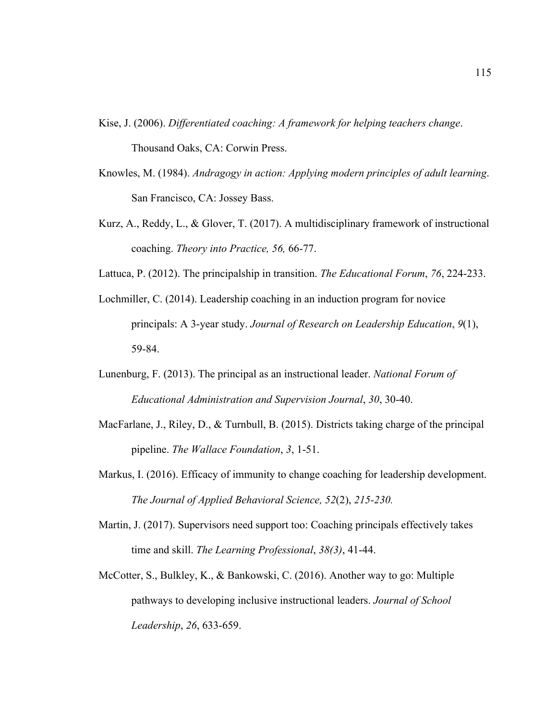- Kise, J. (2006). *Differentiated coaching: A framework for helping teachers change*. Thousand Oaks, CA: Corwin Press.
- Knowles, M. (1984). *Andragogy in action: Applying modern principles of adult learning*. San Francisco, CA: Jossey Bass.
- Kurz, A., Reddy, L., & Glover, T. (2017). A multidisciplinary framework of instructional coaching. *Theory into Practice, 56,* 66-77.
- Lattuca, P. (2012). The principalship in transition. *The Educational Forum*, *76*, 224-233.
- Lochmiller, C. (2014). Leadership coaching in an induction program for novice principals: A 3-year study. *Journal of Research on Leadership Education*, *9*(1), 59-84.
- Lunenburg, F. (2013). The principal as an instructional leader. *National Forum of Educational Administration and Supervision Journal*, *30*, 30-40.
- MacFarlane, J., Riley, D., & Turnbull, B. (2015). Districts taking charge of the principal pipeline. *The Wallace Foundation*, *3*, 1-51.
- Markus, I. (2016). Efficacy of immunity to change coaching for leadership development. *The Journal of Applied Behavioral Science, 52*(2), *215-230.*
- Martin, J. (2017). Supervisors need support too: Coaching principals effectively takes time and skill. *The Learning Professional*, *38(3)*, 41-44.
- McCotter, S., Bulkley, K., & Bankowski, C. (2016). Another way to go: Multiple pathways to developing inclusive instructional leaders. *Journal of School Leadership*, *26*, 633-659.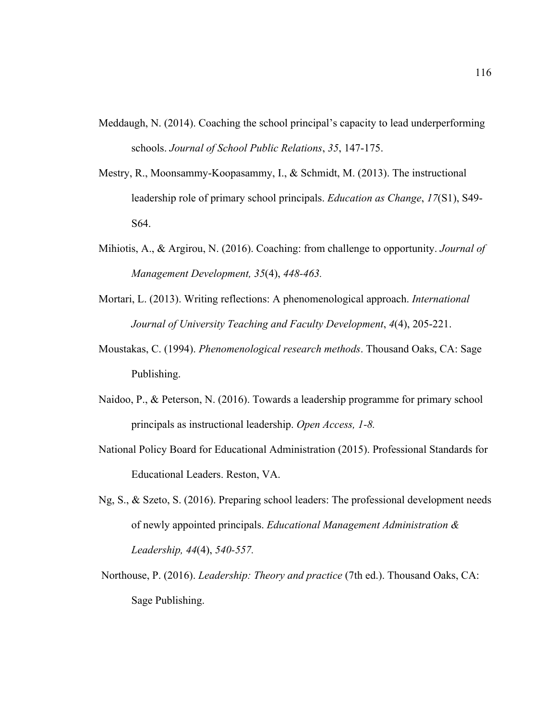- Meddaugh, N. (2014). Coaching the school principal's capacity to lead underperforming schools. *Journal of School Public Relations*, *35*, 147-175.
- Mestry, R., Moonsammy-Koopasammy, I., & Schmidt, M. (2013). The instructional leadership role of primary school principals. *Education as Change*, *17*(S1), S49- S64.
- Mihiotis, A., & Argirou, N. (2016). Coaching: from challenge to opportunity. *Journal of Management Development, 35*(4), *448-463.*
- Mortari, L. (2013). Writing reflections: A phenomenological approach. *International Journal of University Teaching and Faculty Development*, *4*(4), 205-221.
- Moustakas, C. (1994). *Phenomenological research methods*. Thousand Oaks, CA: Sage Publishing.
- Naidoo, P., & Peterson, N. (2016). Towards a leadership programme for primary school principals as instructional leadership. *Open Access, 1-8.*
- National Policy Board for Educational Administration (2015). Professional Standards for Educational Leaders. Reston, VA.
- Ng, S., & Szeto, S. (2016). Preparing school leaders: The professional development needs of newly appointed principals. *Educational Management Administration & Leadership, 44*(4), *540-557.*
- Northouse, P. (2016). *Leadership: Theory and practice* (7th ed.). Thousand Oaks, CA: Sage Publishing.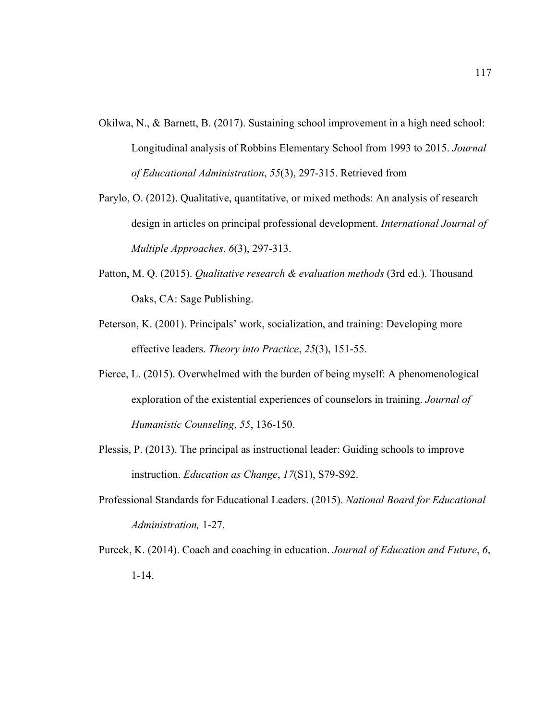- Okilwa, N., & Barnett, B. (2017). Sustaining school improvement in a high need school: Longitudinal analysis of Robbins Elementary School from 1993 to 2015. *Journal of Educational Administration*, *55*(3), 297-315. Retrieved from
- Parylo, O. (2012). Qualitative, quantitative, or mixed methods: An analysis of research design in articles on principal professional development. *International Journal of Multiple Approaches*, *6*(3), 297-313.
- Patton, M. Q. (2015). *Qualitative research & evaluation methods* (3rd ed.). Thousand Oaks, CA: Sage Publishing.
- Peterson, K. (2001). Principals' work, socialization, and training: Developing more effective leaders. *Theory into Practice*, *25*(3), 151-55.
- Pierce, L. (2015). Overwhelmed with the burden of being myself: A phenomenological exploration of the existential experiences of counselors in training. *Journal of Humanistic Counseling*, *55*, 136-150.
- Plessis, P. (2013). The principal as instructional leader: Guiding schools to improve instruction. *Education as Change*, *17*(S1), S79-S92.
- Professional Standards for Educational Leaders. (2015). *National Board for Educational Administration,* 1-27.
- Purcek, K. (2014). Coach and coaching in education. *Journal of Education and Future*, *6*, 1-14.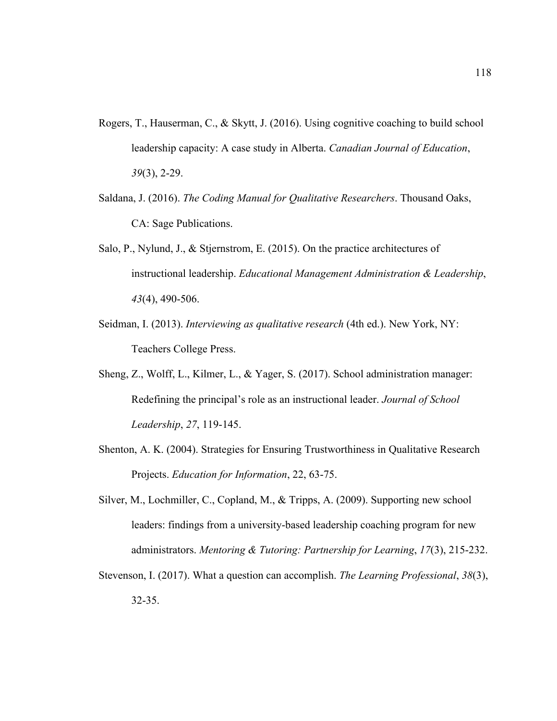- Rogers, T., Hauserman, C., & Skytt, J. (2016). Using cognitive coaching to build school leadership capacity: A case study in Alberta. *Canadian Journal of Education*, *39*(3), 2-29.
- Saldana, J. (2016). *The Coding Manual for Qualitative Researchers*. Thousand Oaks, CA: Sage Publications.
- Salo, P., Nylund, J., & Stjernstrom, E. (2015). On the practice architectures of instructional leadership. *Educational Management Administration & Leadership*, *43*(4), 490-506.
- Seidman, I. (2013). *Interviewing as qualitative research* (4th ed.). New York, NY: Teachers College Press.
- Sheng, Z., Wolff, L., Kilmer, L., & Yager, S. (2017). School administration manager: Redefining the principal's role as an instructional leader. *Journal of School Leadership*, *27*, 119-145.
- Shenton, A. K. (2004). Strategies for Ensuring Trustworthiness in Qualitative Research Projects. *Education for Information*, 22, 63-75.
- Silver, M., Lochmiller, C., Copland, M., & Tripps, A. (2009). Supporting new school leaders: findings from a university-based leadership coaching program for new administrators. *Mentoring & Tutoring: Partnership for Learning*, *17*(3), 215-232.
- Stevenson, I. (2017). What a question can accomplish. *The Learning Professional*, *38*(3), 32-35.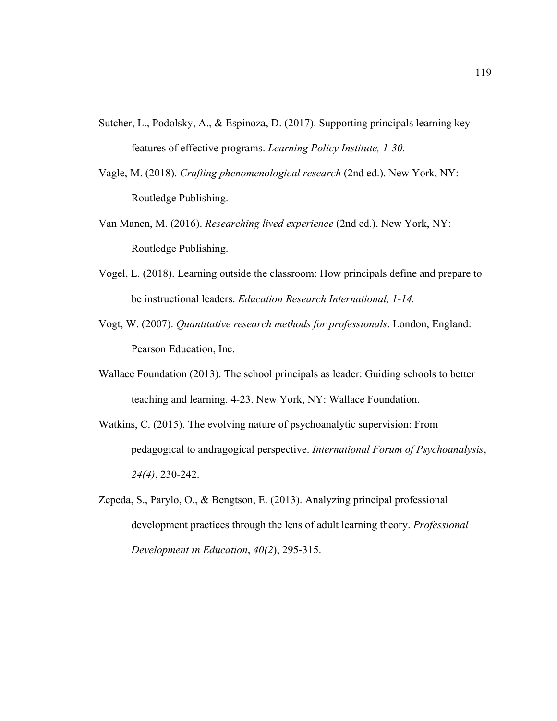- Sutcher, L., Podolsky, A., & Espinoza, D. (2017). Supporting principals learning key features of effective programs. *Learning Policy Institute, 1-30.*
- Vagle, M. (2018). *Crafting phenomenological research* (2nd ed.). New York, NY: Routledge Publishing.
- Van Manen, M. (2016). *Researching lived experience* (2nd ed.). New York, NY: Routledge Publishing.
- Vogel, L. (2018). Learning outside the classroom: How principals define and prepare to be instructional leaders. *Education Research International, 1-14.*
- Vogt, W. (2007). *Quantitative research methods for professionals*. London, England: Pearson Education, Inc.
- Wallace Foundation (2013). The school principals as leader: Guiding schools to better teaching and learning. 4-23. New York, NY: Wallace Foundation.
- Watkins, C. (2015). The evolving nature of psychoanalytic supervision: From pedagogical to andragogical perspective. *International Forum of Psychoanalysis*, *24(4)*, 230-242.
- Zepeda, S., Parylo, O., & Bengtson, E. (2013). Analyzing principal professional development practices through the lens of adult learning theory. *Professional Development in Education*, *40(2*), 295-315.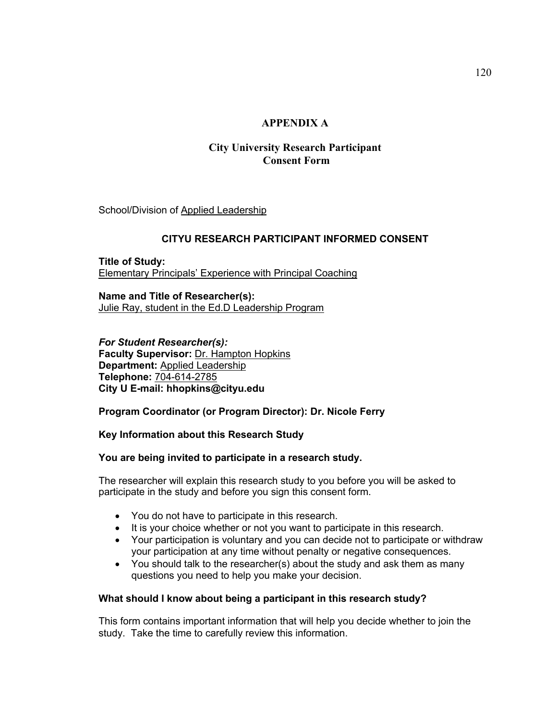# **APPENDIX A**

# **City University Research Participant Consent Form**

School/Division of Applied Leadership

### **CITYU RESEARCH PARTICIPANT INFORMED CONSENT**

**Title of Study:**  Elementary Principals' Experience with Principal Coaching

**Name and Title of Researcher(s):**  Julie Ray, student in the Ed.D Leadership Program

*For Student Researcher(s):* **Faculty Supervisor:** Dr. Hampton Hopkins **Department:** Applied Leadership **Telephone:** 704-614-2785 **City U E-mail: hhopkins@cityu.edu**

## **Program Coordinator (or Program Director): Dr. Nicole Ferry**

#### **Key Information about this Research Study**

#### **You are being invited to participate in a research study.**

The researcher will explain this research study to you before you will be asked to participate in the study and before you sign this consent form.

- You do not have to participate in this research.
- It is your choice whether or not you want to participate in this research.
- Your participation is voluntary and you can decide not to participate or withdraw your participation at any time without penalty or negative consequences.
- You should talk to the researcher(s) about the study and ask them as many questions you need to help you make your decision.

## **What should I know about being a participant in this research study?**

This form contains important information that will help you decide whether to join the study. Take the time to carefully review this information.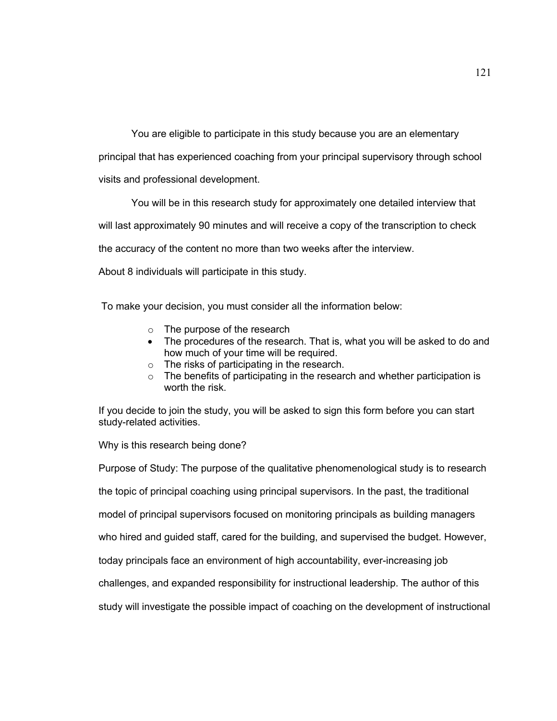You are eligible to participate in this study because you are an elementary

principal that has experienced coaching from your principal supervisory through school

visits and professional development.

You will be in this research study for approximately one detailed interview that

will last approximately 90 minutes and will receive a copy of the transcription to check

the accuracy of the content no more than two weeks after the interview.

About 8 individuals will participate in this study.

To make your decision, you must consider all the information below:

- o The purpose of the research
- The procedures of the research. That is, what you will be asked to do and how much of your time will be required.
- o The risks of participating in the research.
- o The benefits of participating in the research and whether participation is worth the risk.

If you decide to join the study, you will be asked to sign this form before you can start study-related activities.

Why is this research being done?

Purpose of Study: The purpose of the qualitative phenomenological study is to research the topic of principal coaching using principal supervisors. In the past, the traditional model of principal supervisors focused on monitoring principals as building managers who hired and guided staff, cared for the building, and supervised the budget. However, today principals face an environment of high accountability, ever-increasing job challenges, and expanded responsibility for instructional leadership. The author of this study will investigate the possible impact of coaching on the development of instructional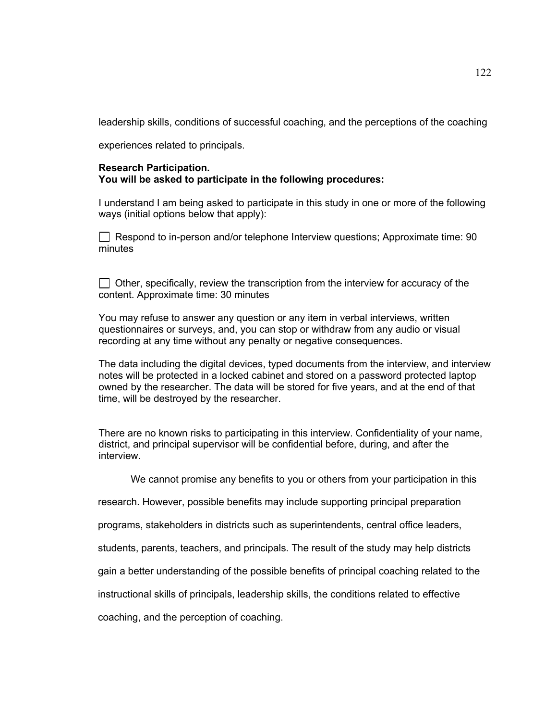leadership skills, conditions of successful coaching, and the perceptions of the coaching

experiences related to principals.

#### **Research Participation. You will be asked to participate in the following procedures:**

I understand I am being asked to participate in this study in one or more of the following ways (initial options below that apply):

 $\Box$  Respond to in-person and/or telephone Interview questions; Approximate time: 90 minutes

 $\Box$  Other, specifically, review the transcription from the interview for accuracy of the content. Approximate time: 30 minutes

You may refuse to answer any question or any item in verbal interviews, written questionnaires or surveys, and, you can stop or withdraw from any audio or visual recording at any time without any penalty or negative consequences.

The data including the digital devices, typed documents from the interview, and interview notes will be protected in a locked cabinet and stored on a password protected laptop owned by the researcher. The data will be stored for five years, and at the end of that time, will be destroyed by the researcher.

There are no known risks to participating in this interview. Confidentiality of your name, district, and principal supervisor will be confidential before, during, and after the interview.

We cannot promise any benefits to you or others from your participation in this

research. However, possible benefits may include supporting principal preparation

programs, stakeholders in districts such as superintendents, central office leaders,

students, parents, teachers, and principals. The result of the study may help districts

gain a better understanding of the possible benefits of principal coaching related to the

instructional skills of principals, leadership skills, the conditions related to effective

coaching, and the perception of coaching.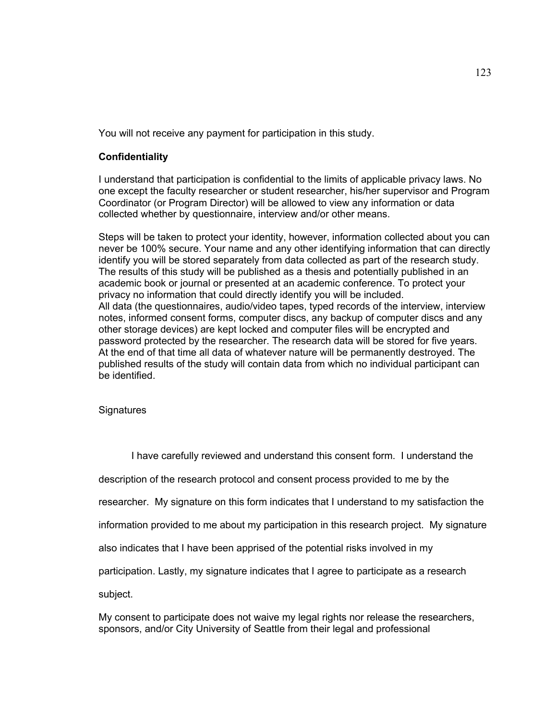You will not receive any payment for participation in this study.

### **Confidentiality**

I understand that participation is confidential to the limits of applicable privacy laws. No one except the faculty researcher or student researcher, his/her supervisor and Program Coordinator (or Program Director) will be allowed to view any information or data collected whether by questionnaire, interview and/or other means.

Steps will be taken to protect your identity, however, information collected about you can never be 100% secure. Your name and any other identifying information that can directly identify you will be stored separately from data collected as part of the research study. The results of this study will be published as a thesis and potentially published in an academic book or journal or presented at an academic conference. To protect your privacy no information that could directly identify you will be included. All data (the questionnaires, audio/video tapes, typed records of the interview, interview notes, informed consent forms, computer discs, any backup of computer discs and any other storage devices) are kept locked and computer files will be encrypted and password protected by the researcher. The research data will be stored for five years. At the end of that time all data of whatever nature will be permanently destroyed. The published results of the study will contain data from which no individual participant can be identified.

#### **Signatures**

I have carefully reviewed and understand this consent form. I understand the

description of the research protocol and consent process provided to me by the

researcher. My signature on this form indicates that I understand to my satisfaction the

information provided to me about my participation in this research project. My signature

also indicates that I have been apprised of the potential risks involved in my

participation. Lastly, my signature indicates that I agree to participate as a research

subject.

My consent to participate does not waive my legal rights nor release the researchers, sponsors, and/or City University of Seattle from their legal and professional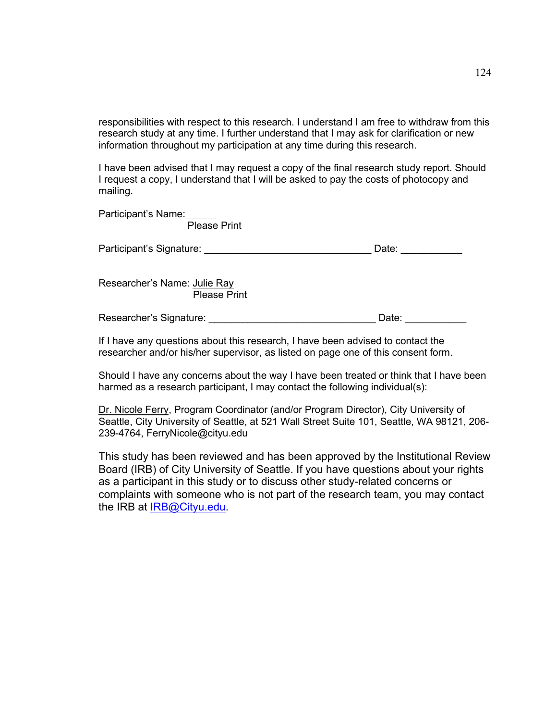responsibilities with respect to this research. I understand I am free to withdraw from this research study at any time. I further understand that I may ask for clarification or new information throughout my participation at any time during this research.

I have been advised that I may request a copy of the final research study report. Should I request a copy, I understand that I will be asked to pay the costs of photocopy and mailing.

| Participant's Name:<br><b>Please Print</b>          |       |
|-----------------------------------------------------|-------|
| Participant's Signature:                            | Date: |
| Researcher's Name: Julie Ray<br><b>Please Print</b> |       |
| Researcher's Signature:                             | Date: |

If I have any questions about this research, I have been advised to contact the researcher and/or his/her supervisor, as listed on page one of this consent form.

Should I have any concerns about the way I have been treated or think that I have been harmed as a research participant, I may contact the following individual(s):

Dr. Nicole Ferry, Program Coordinator (and/or Program Director), City University of Seattle, City University of Seattle, at 521 Wall Street Suite 101, Seattle, WA 98121, 206- 239-4764, FerryNicole@cityu.edu

This study has been reviewed and has been approved by the Institutional Review Board (IRB) of City University of Seattle. If you have questions about your rights as a participant in this study or to discuss other study-related concerns or complaints with someone who is not part of the research team, you may contact the IRB at IRB@Cityu.edu.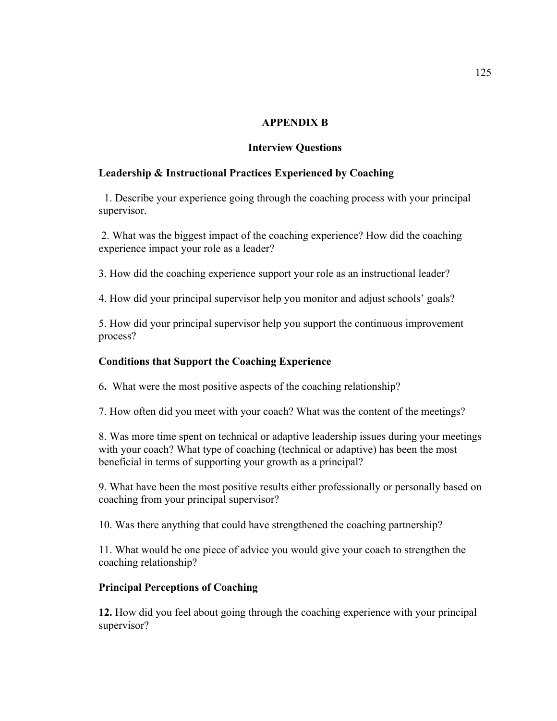## **APPENDIX B**

### **Interview Questions**

## **Leadership & Instructional Practices Experienced by Coaching**

1. Describe your experience going through the coaching process with your principal supervisor.

2. What was the biggest impact of the coaching experience? How did the coaching experience impact your role as a leader?

3. How did the coaching experience support your role as an instructional leader?

4. How did your principal supervisor help you monitor and adjust schools' goals?

5. How did your principal supervisor help you support the continuous improvement process?

### **Conditions that Support the Coaching Experience**

6**.** What were the most positive aspects of the coaching relationship?

7. How often did you meet with your coach? What was the content of the meetings?

8. Was more time spent on technical or adaptive leadership issues during your meetings with your coach? What type of coaching (technical or adaptive) has been the most beneficial in terms of supporting your growth as a principal?

9. What have been the most positive results either professionally or personally based on coaching from your principal supervisor?

10. Was there anything that could have strengthened the coaching partnership?

11. What would be one piece of advice you would give your coach to strengthen the coaching relationship?

## **Principal Perceptions of Coaching**

**12.** How did you feel about going through the coaching experience with your principal supervisor?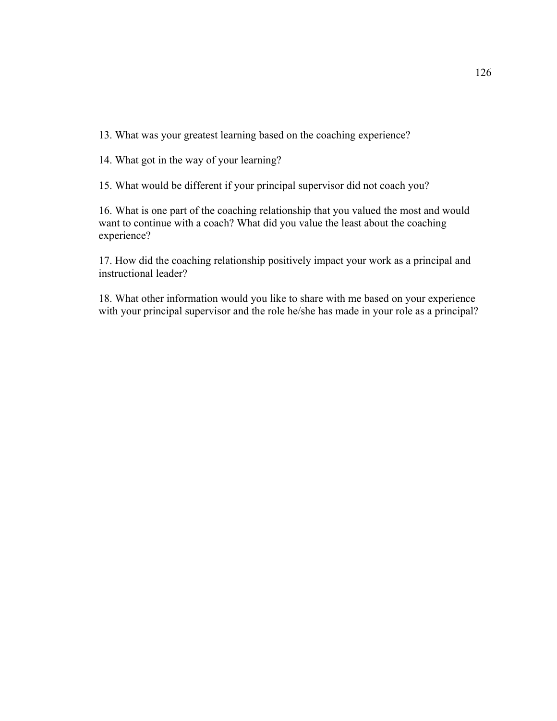13. What was your greatest learning based on the coaching experience?

14. What got in the way of your learning?

15. What would be different if your principal supervisor did not coach you?

16. What is one part of the coaching relationship that you valued the most and would want to continue with a coach? What did you value the least about the coaching experience?

17. How did the coaching relationship positively impact your work as a principal and instructional leader?

18. What other information would you like to share with me based on your experience with your principal supervisor and the role he/she has made in your role as a principal?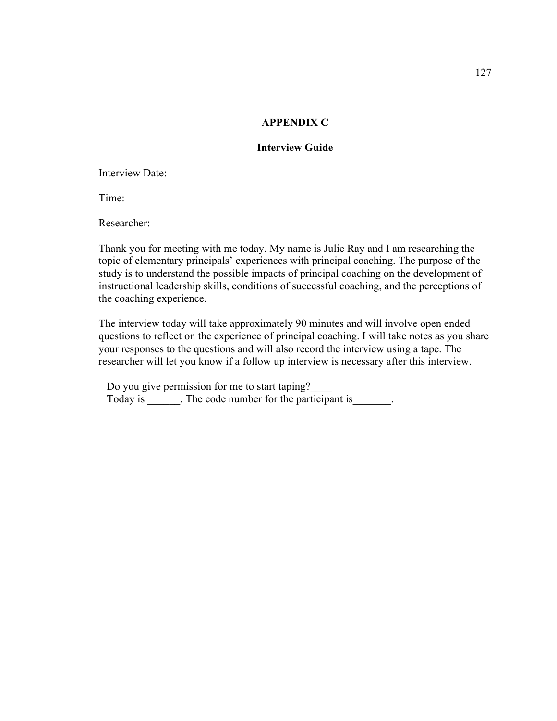### **APPENDIX C**

## **Interview Guide**

Interview Date:

Time:

Researcher:

Thank you for meeting with me today. My name is Julie Ray and I am researching the topic of elementary principals' experiences with principal coaching. The purpose of the study is to understand the possible impacts of principal coaching on the development of instructional leadership skills, conditions of successful coaching, and the perceptions of the coaching experience.

The interview today will take approximately 90 minutes and will involve open ended questions to reflect on the experience of principal coaching. I will take notes as you share your responses to the questions and will also record the interview using a tape. The researcher will let you know if a follow up interview is necessary after this interview.

Do you give permission for me to start taping? Today is \_\_\_\_\_\_. The code number for the participant is\_\_\_\_\_\_\_.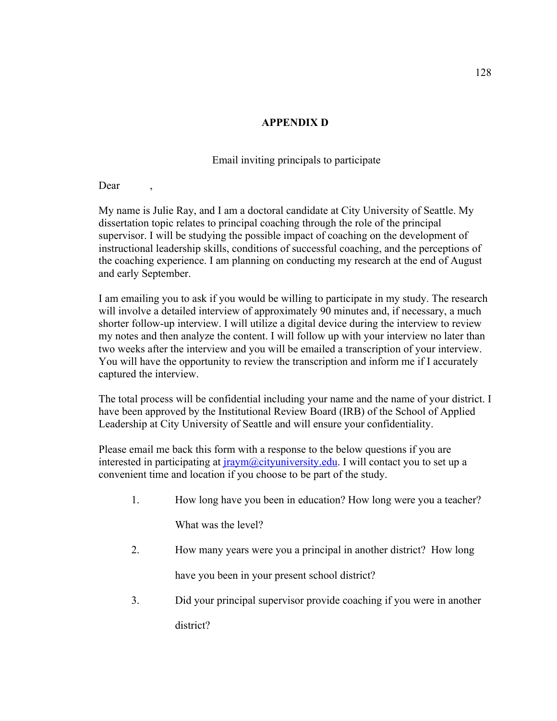# **APPENDIX D**

# Email inviting principals to participate

Dear

My name is Julie Ray, and I am a doctoral candidate at City University of Seattle. My dissertation topic relates to principal coaching through the role of the principal supervisor. I will be studying the possible impact of coaching on the development of instructional leadership skills, conditions of successful coaching, and the perceptions of the coaching experience. I am planning on conducting my research at the end of August and early September.

I am emailing you to ask if you would be willing to participate in my study. The research will involve a detailed interview of approximately 90 minutes and, if necessary, a much shorter follow-up interview. I will utilize a digital device during the interview to review my notes and then analyze the content. I will follow up with your interview no later than two weeks after the interview and you will be emailed a transcription of your interview. You will have the opportunity to review the transcription and inform me if I accurately captured the interview.

The total process will be confidential including your name and the name of your district. I have been approved by the Institutional Review Board (IRB) of the School of Applied Leadership at City University of Seattle and will ensure your confidentiality.

Please email me back this form with a response to the below questions if you are interested in participating at  $\frac{iraym}{\omega}$ cityuniversity.edu. I will contact you to set up a convenient time and location if you choose to be part of the study.

1. How long have you been in education? How long were you a teacher?

What was the level?

2. How many years were you a principal in another district? How long

have you been in your present school district?

3. Did your principal supervisor provide coaching if you were in another district?